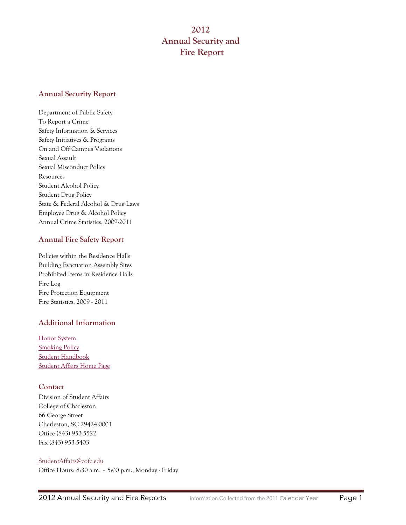# **2012 Annual Security and Fire Report**

## **Annual Security Report**

Department of Public Safety To Report a Crime Safety Information & Services Safety Initiatives & Programs On and Off Campus Violations Sexual Assault Sexual Misconduct Policy Resources Student Alcohol Policy Student Drug Policy State & Federal Alcohol & Drug Laws Employee Drug & Alcohol Policy Annual Crime Statistics, 2009-2011

### **Annual Fire Safety Report**

Policies within the Residence Halls Building Evacuation Assembly Sites Prohibited Items in Residence Halls Fire Log Fire Protection Equipment Fire Statistics, 2009 - 2011

# **Additional Information**

[Honor System](http://studentaffairs.cofc.edu/honor-system/) [Smoking Policy](http://studentaffairs.cofc.edu/policies/smoking.php) [Student Handbook](http://studentaffairs.cofc.edu/honor-system/studenthandbook/index.php) [Student Affairs Home Page](http://studentaffairs.cofc.edu/)

## **Contact**

Division of Student Affairs College of Charleston 66 George Street Charleston, SC 29424-0001 Office (843) 953-5522 Fax (843) 953-5403

### [StudentAffairs@cofc.edu](mailto:StudentAffairs@cofc.edu)

Office Hours: 8:30 a.m. – 5:00 p.m., Monday - Friday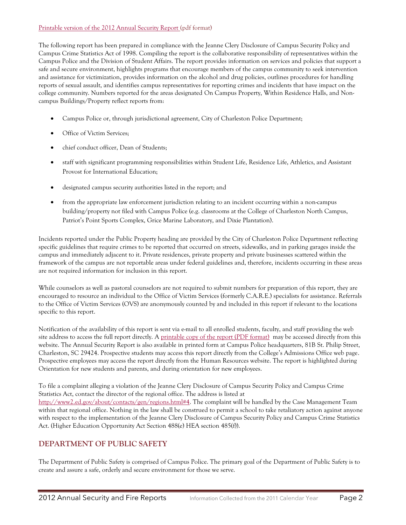### [Printable version of the 2012 Annual Security Report](http://studentaffairs.cofc.edu/annual-security/index.php) (pdf format)

The following report has been prepared in compliance with the Jeanne Clery Disclosure of Campus Security Policy and Campus Crime Statistics Act of 1998. Compiling the report is the collaborative responsibility of representatives within the Campus Police and the Division of Student Affairs. The report provides information on services and policies that support a safe and secure environment, highlights programs that encourage members of the campus community to seek intervention and assistance for victimization, provides information on the alcohol and drug policies, outlines procedures for handling reports of sexual assault, and identifies campus representatives for reporting crimes and incidents that have impact on the college community. Numbers reported for the areas designated On Campus Property, Within Residence Halls, and Noncampus Buildings/Property reflect reports from:

- Campus Police or, through jurisdictional agreement, City of Charleston Police Department;
- Office of Victim Services;
- chief conduct officer, Dean of Students;
- staff with significant programming responsibilities within Student Life, Residence Life, Athletics, and Assistant Provost for International Education;
- designated campus security authorities listed in the report; and
- from the appropriate law enforcement jurisdiction relating to an incident occurring within a non-campus building/property not filed with Campus Police (e.g. classrooms at the College of Charleston North Campus, Patriot's Point Sports Complex, Grice Marine Laboratory, and Dixie Plantation).

Incidents reported under the Public Property heading are provided by the City of Charleston Police Department reflecting specific guidelines that require crimes to be reported that occurred on streets, sidewalks, and in parking garages inside the campus and immediately adjacent to it. Private residences, private property and private businesses scattered within the framework of the campus are not reportable areas under federal guidelines and, therefore, incidents occurring in these areas are not required information for inclusion in this report.

While counselors as well as pastoral counselors are not required to submit numbers for preparation of this report, they are encouraged to resource an individual to the Office of Victim Services (formerly C.A.R.E.) specialists for assistance. Referrals to the Office of Victim Services (OVS) are anonymously counted by and included in this report if relevant to the locations specific to this report.

Notification of the availability of this report is sent via e-mail to all enrolled students, faculty, and staff providing the web site address to access the full report directly. [A printable copy of the report \(PDF format\)](http://studentaffairs.cofc.edu/annual-security/index.php) may be accessed directly from this website. The Annual Security Report is also available in printed form at Campus Police headquarters, 81B St. Philip Street, Charleston, SC 29424. Prospective students may access this report directly from the College's Admissions Office web page. Prospective employees may access the report directly from the Human Resources website. The report is highlighted during Orientation for new students and parents, and during orientation for new employees.

To file a complaint alleging a violation of the Jeanne Clery Disclosure of Campus Security Policy and Campus Crime Statistics Act, contact the director of the regional office. The address is listed at [http://www2.ed.gov/about/contacts/gen/regions.html#4.](http://www2.ed.gov/about/contacts/gen/regions.html#4) The complaint will be handled by the Case Management Team within that regional office. Nothing in the law shall be construed to permit a school to take retaliatory action against anyone with respect to the implementation of the Jeanne Clery Disclosure of Campus Security Policy and Campus Crime Statistics Act. (Higher Education Opportunity Act Section 488(e) HEA section 485(f)).

# **DEPARTMENT OF PUBLIC SAFETY**

The Department of Public Safety is comprised of Campus Police. The primary goal of the Department of Public Safety is to create and assure a safe, orderly and secure environment for those we serve.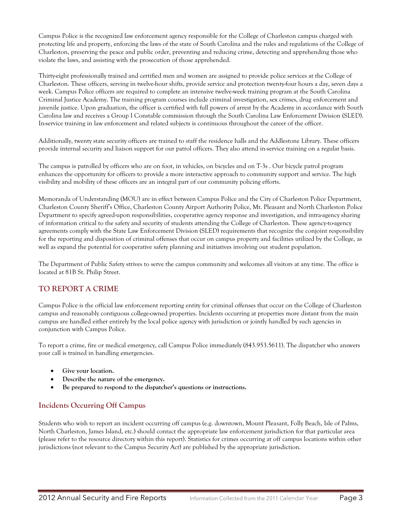Campus Police is the recognized law enforcement agency responsible for the College of Charleston campus charged with protecting life and property, enforcing the laws of the state of South Carolina and the rules and regulations of the College of Charleston, preserving the peace and public order, preventing and reducing crime, detecting and apprehending those who violate the laws, and assisting with the prosecution of those apprehended.

Thirty-eight professionally trained and certified men and women are assigned to provide police services at the College of Charleston. These officers, serving in twelve-hour shifts, provide service and protection twenty-four hours a day, seven days a week. Campus Police officers are required to complete an intensive twelve-week training program at the South Carolina Criminal Justice Academy. The training program courses include criminal investigation, sex crimes, drug enforcement and juvenile justice. Upon graduation, the officer is certified with full powers of arrest by the Academy in accordance with South Carolina law and receives a Group I Constable commission through the South Carolina Law Enforcement Division (SLED). In-service training in law enforcement and related subjects is continuous throughout the career of the officer.

Additionally, twenty state security officers are trained to staff the residence halls and the Addlestone Library. These officers provide internal security and liaison support for our patrol officers. They also attend in-service training on a regular basis.

The campus is patrolled by officers who are on foot, in vehicles, on bicycles and on T-3s . Our bicycle patrol program enhances the opportunity for officers to provide a more interactive approach to community support and service. The high visibility and mobility of these officers are an integral part of our community policing efforts.

Memoranda of Understanding (MOU) are in effect between Campus Police and the City of Charleston Police Department, Charleston County Sheriff's Office, Charleston County Airport Authority Police, Mt. Pleasant and North Charleston Police Department to specify agreed-upon responsibilities, cooperative agency response and investigation, and intra-agency sharing of information critical to the safety and security of students attending the College of Charleston. These agency-to-agency agreements comply with the State Law Enforcement Division (SLED) requirements that recognize the conjoint responsibility for the reporting and disposition of criminal offenses that occur on campus property and facilities utilized by the College, as well as expand the potential for cooperative safety planning and initiatives involving our student population.

The Department of Public Safety strives to serve the campus community and welcomes all visitors at any time. The office is located at 81B St. Philip Street.

# **TO REPORT A CRIME**

Campus Police is the official law enforcement reporting entity for criminal offenses that occur on the College of Charleston campus and reasonably contiguous college-owned properties. Incidents occurring at properties more distant from the main campus are handled either entirely by the local police agency with jurisdiction or jointly handled by such agencies in conjunction with Campus Police.

To report a crime, fire or medical emergency, call Campus Police immediately (843.953.5611). The dispatcher who answers your call is trained in handling emergencies.

- **Give your location.**
- **Describe the nature of the emergency.**
- **Be prepared to respond to the dispatcher's questions or instructions.**

## **Incidents Occurring Off Campus**

Students who wish to report an incident occurring off campus (e.g. downtown, Mount Pleasant, Folly Beach, Isle of Palms, North Charleston, James Island, etc.) should contact the appropriate law enforcement jurisdiction for that particular area (please refer to the resource directory within this report). Statistics for crimes occurring at off campus locations within other jurisdictions (not relevant to the Campus Security Act) are published by the appropriate jurisdiction.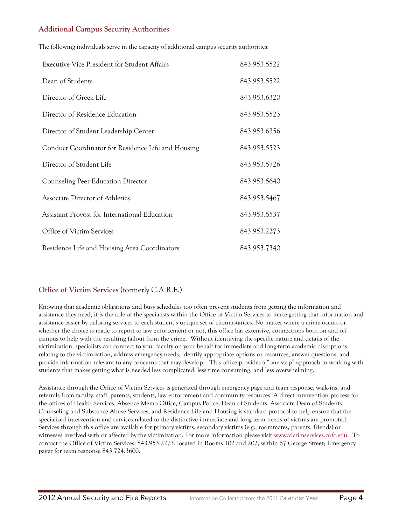# **Additional Campus Security Authorities**

The following individuals serve in the capacity of additional campus security authorities:

| <b>Executive Vice President for Student Affairs</b> | 843.953.5522 |
|-----------------------------------------------------|--------------|
| Dean of Students                                    | 843.953.5522 |
| Director of Greek Life                              | 843.953.6320 |
| Director of Residence Education                     | 843.953.5523 |
| Director of Student Leadership Center               | 843.953.6356 |
| Conduct Coordinator for Residence Life and Housing  | 843.953.5523 |
| Director of Student Life                            | 843.953.5726 |
| Counseling Peer Education Director                  | 843.953.5640 |
| Associate Director of Athletics                     | 843.953.5467 |
| Assistant Provost for International Education       | 843.953.5537 |
| Office of Victim Services                           | 843.953.2273 |
| Residence Life and Housing Area Coordinators        | 843.953.7340 |

## **Office of Victim Services** (formerly C.A.R.E.)

Knowing that academic obligations and busy schedules too often prevent students from getting the information and assistance they need, it is the role of the specialists within the Office of Victim Services to make getting that information and assistance easier by tailoring services to each student's unique set of circumstances. No matter where a crime occurs or whether the choice is made to report to law enforcement or not, this office has extensive, connections both on and off campus to help with the resulting fallout from the crime. Without identifying the specific nature and details of the victimization, specialists can connect to your faculty on your behalf for immediate and long-term academic disruptions relating to the victimization, address emergency needs, identify appropriate options or resources, answer questions, and provide information relevant to any concerns that may develop. This office provides a "one-stop" approach in working with students that makes getting what is needed less complicated, less time consuming, and less overwhelming.

Assistance through the Office of Victim Services is generated through emergency page and team response, walk-ins, and referrals from faculty, staff, parents, students, law enforcement and community resources. A direct intervention process for the offices of Health Services, Absence Memo Office, Campus Police, Dean of Students, Associate Dean of Students, Counseling and Substance Abuse Services, and Residence Life and Housing is standard protocol to help ensure that the specialized intervention and services related to the distinctive immediate and long-term needs of victims are promoted. Services through this office are available for primary victims, secondary victims (e.g., roommates, parents, friends) or witnesses involved with or affected by the victimization. For more information please visit [www.victimservices.cofc.edu.](http://www.victimservices.cofc.edu/) To contact the Office of Victim Services: 843.953.2273, located in Rooms 102 and 202, within 67 George Street; Emergency pager for team response 843.724.3600.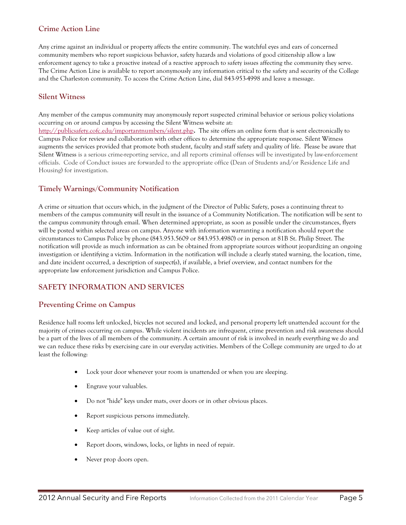# **Crime Action Line**

Any crime against an individual or property affects the entire community. The watchful eyes and ears of concerned community members who report suspicious behavior, safety hazards and violations of good citizenship allow a law enforcement agency to take a proactive instead of a reactive approach to safety issues affecting the community they serve. The Crime Action Line is available to report anonymously any information critical to the safety and security of the College and the Charleston community. To access the Crime Action Line, dial 843-953-4998 and leave a message.

## **Silent Witness**

Any member of the campus community may anonymously report suspected criminal behavior or serious policy violations occurring on or around campus by accessing the Silent Witness website at:

<http://publicsafety.cofc.edu/importantnumbers/silent.php>**.** The site offers an online form that is sent electronically to Campus Police for review and collaboration with other offices to determine the appropriate response. Silent Witness augments the services provided that promote both student, faculty and staff safety and quality of life. Please be aware that Silent Witness is a serious crime-reporting service, and all reports criminal offenses will be investigated by law-enforcement officials. Code of Conduct issues are forwarded to the appropriate office (Dean of Students and/or Residence Life and Housing) for investigation.

### **Timely Warnings/Community Notification**

A crime or situation that occurs which, in the judgment of the Director of Public Safety, poses a continuing threat to members of the campus community will result in the issuance of a Community Notification. The notification will be sent to the campus community through email. When determined appropriate, as soon as possible under the circumstances, flyers will be posted within selected areas on campus. Anyone with information warranting a notification should report the circumstances to Campus Police by phone (843.953.5609 or 843.953.4980) or in person at 81B St. Philip Street. The notification will provide as much information as can be obtained from appropriate sources without jeopardizing an ongoing investigation or identifying a victim. Information in the notification will include a clearly stated warning, the location, time, and date incident occurred, a description of suspect(s), if available, a brief overview, and contact numbers for the appropriate law enforcement jurisdiction and Campus Police.

## **SAFETY INFORMATION AND SERVICES**

## **Preventing Crime on Campus**

Residence hall rooms left unlocked, bicycles not secured and locked, and personal property left unattended account for the majority of crimes occurring on campus. While violent incidents are infrequent, crime prevention and risk awareness should be a part of the lives of all members of the community. A certain amount of risk is involved in nearly everything we do and we can reduce these risks by exercising care in our everyday activities. Members of the College community are urged to do at least the following:

- Lock your door whenever your room is unattended or when you are sleeping.
- Engrave your valuables.
- Do not "hide" keys under mats, over doors or in other obvious places.
- Report suspicious persons immediately.
- Keep articles of value out of sight.
- Report doors, windows, locks, or lights in need of repair.
- Never prop doors open.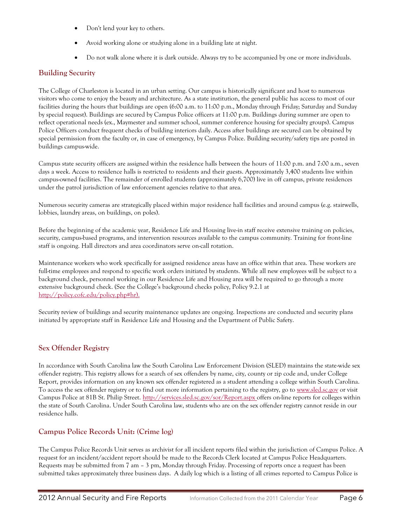- Don't lend your key to others.
- Avoid working alone or studying alone in a building late at night.
- Do not walk alone where it is dark outside. Always try to be accompanied by one or more individuals.

# **Building Security**

The College of Charleston is located in an urban setting. Our campus is historically significant and host to numerous visitors who come to enjoy the beauty and architecture. As a state institution, the general public has access to most of our facilities during the hours that buildings are open (6:00 a.m. to 11:00 p.m., Monday through Friday; Saturday and Sunday by special request). Buildings are secured by Campus Police officers at 11:00 p.m. Buildings during summer are open to reflect operational needs (ex., Maymester and summer school, summer conference housing for specialty groups). Campus Police Officers conduct frequent checks of building interiors daily. Access after buildings are secured can be obtained by special permission from the faculty or, in case of emergency, by Campus Police. Building security/safety tips are posted in buildings campus-wide.

Campus state security officers are assigned within the residence halls between the hours of 11:00 p.m. and 7:00 a.m., seven days a week. Access to residence halls is restricted to residents and their guests. Approximately 3,400 students live within campus-owned facilities. The remainder of enrolled students (approximately 6,700) live in off campus, private residences under the patrol jurisdiction of law enforcement agencies relative to that area.

Numerous security cameras are strategically placed within major residence hall facilities and around campus (e.g. stairwells, lobbies, laundry areas, on buildings, on poles).

Before the beginning of the academic year, Residence Life and Housing live-in staff receive extensive training on policies, security, campus-based programs, and intervention resources available to the campus community. Training for front-line staff is ongoing. Hall directors and area coordinators serve on-call rotation.

Maintenance workers who work specifically for assigned residence areas have an office within that area. These workers are full-time employees and respond to specific work orders initiated by students. While all new employees will be subject to a background check, personnel working in our Residence Life and Housing area will be required to go through a more extensive background check. (See the College's background checks policy, Policy 9.2.1 at [http://policy.cofc.edu/policy.php#hr\)](http://policy.cofc.edu/policy.php#hr).

Security review of buildings and security maintenance updates are ongoing. Inspections are conducted and security plans initiated by appropriate staff in Residence Life and Housing and the Department of Public Safety.

# **Sex Offender Registry**

In accordance with South Carolina law the South Carolina Law Enforcement Division (SLED) maintains the state-wide sex offender registry. This registry allows for a search of sex offenders by name, city, county or zip code and, under College Report, provides information on any known sex offender registered as a student attending a college within South Carolina. To access the sex offender registry or to find out more information pertaining to the registry, go t[o www.sled.sc.gov](http://www.sled.sc.gov/) or visit Campus Police at 81B St. Philip Street. [http://services.sled.sc.gov/sor/Report.aspx o](http://services.sled.sc.gov/sor/Report.aspx)ffers on-line reports for colleges within the state of South Carolina. Under South Carolina law, students who are on the sex offender registry cannot reside in our residence halls.

# **Campus Police Records Unit: (Crime log)**

The Campus Police Records Unit serves as archivist for all incident reports filed within the jurisdiction of Campus Police. A request for an incident/accident report should be made to the Records Clerk located at Campus Police Headquarters. Requests may be submitted from 7 am – 3 pm, Monday through Friday. Processing of reports once a request has been submitted takes approximately three business days. A daily log which is a listing of all crimes reported to Campus Police is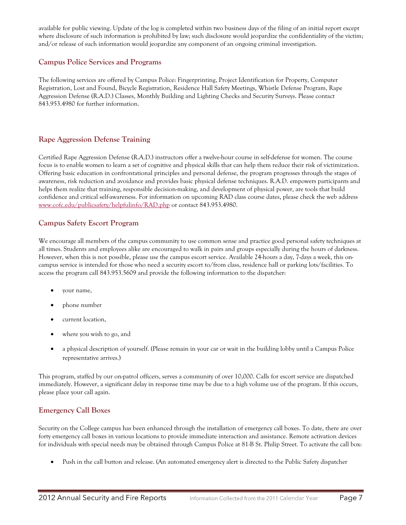available for public viewing. Update of the log is completed within two business days of the filing of an initial report except where disclosure of such information is prohibited by law; such disclosure would jeopardize the confidentiality of the victim; and/or release of such information would jeopardize any component of an ongoing criminal investigation.

## **Campus Police Services and Programs**

The following services are offered by Campus Police: Fingerprinting, Project Identification for Property, Computer Registration, Lost and Found, Bicycle Registration, Residence Hall Safety Meetings, Whistle Defense Program, Rape Aggression Defense (R.A.D.) Classes, Monthly Building and Lighting Checks and Security Surveys. Please contact 843.953.4980 for further information.

# **Rape Aggression Defense Training**

Certified Rape Aggression Defense (R.A.D.) instructors offer a twelve-hour course in self-defense for women. The course focus is to enable women to learn a set of cognitive and physical skills that can help them reduce their risk of victimization. Offering basic education in confrontational principles and personal defense, the program progresses through the stages of awareness, risk reduction and avoidance and provides basic physical defense techniques. R.A.D. empowers participants and helps them realize that training, responsible decision-making, and development of physical power, are tools that build confidence and critical self-awareness. For information on upcoming RAD class course dates, please check the web address [www.cofc.edu/publicsafety/helpfulinfo/RAD.php](http://www.cofc.edu/publicsafety/helpfulinfo/RAD.php) or contact 843.953.4980.

## **Campus Safety Escort Program**

We encourage all members of the campus community to use common sense and practice good personal safety techniques at all times. Students and employees alike are encouraged to walk in pairs and groups especially during the hours of darkness. However, when this is not possible, please use the campus escort service. Available 24-hours a day, 7-days a week, this oncampus service is intended for those who need a security escort to/from class, residence hall or parking lots/facilities. To access the program call 843.953.5609 and provide the following information to the dispatcher:

- your name,
- phone number
- current location,
- where you wish to go, and
- a physical description of yourself. (Please remain in your car or wait in the building lobby until a Campus Police representative arrives.)

This program, staffed by our on-patrol officers, serves a community of over 10,000. Calls for escort service are dispatched immediately. However, a significant delay in response time may be due to a high volume use of the program. If this occurs, please place your call again.

# **Emergency Call Boxes**

Security on the College campus has been enhanced through the installation of emergency call boxes. To date, there are over forty emergency call boxes in various locations to provide immediate interaction and assistance. Remote activation devices for individuals with special needs may be obtained through Campus Police at 81-B St. Philip Street. To activate the call box:

Push in the call button and release. (An automated emergency alert is directed to the Public Safety dispatcher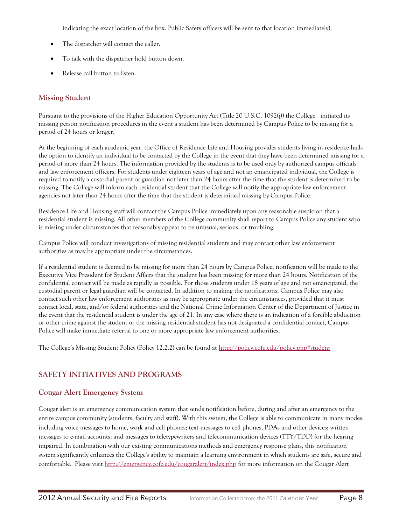indicating the exact location of the box. Public Safety officers will be sent to that location immediately).

- The dispatcher will contact the caller.
- To talk with the dispatcher hold button down.
- Release call button to listen.

# **Missing Student**

Pursuant to the provisions of the Higher Education Opportunity Act (Title 20 U.S.C. 1092(j)) the College initiated its missing person notification procedures in the event a student has been determined by Campus Police to be missing for a period of 24 hours or longer.

At the beginning of each academic year, the Office of Residence Life and Housing provides students living in residence halls the option to identify an individual to be contacted by the College in the event that they have been determined missing for a period of more than 24 hours. The information provided by the students is to be used only by authorized campus officials and law enforcement officers. For students under eighteen years of age and not an emancipated individual, the College is required to notify a custodial parent or guardian not later than 24 hours after the time that the student is determined to be missing. The College will inform each residential student that the College will notify the appropriate law enforcement agencies not later than 24 hours after the time that the student is determined missing by Campus Police.

Residence Life and Housing staff will contact the Campus Police immediately upon any reasonable suspicion that a residential student is missing. All other members of the College community shall report to Campus Police any student who is missing under circumstances that reasonably appear to be unusual, serious, or troubling.

Campus Police will conduct investigations of missing residential students and may contact other law enforcement authorities as may be appropriate under the circumstances.

If a residential student is deemed to be missing for more than 24 hours by Campus Police, notification will be made to the Executive Vice President for Student Affairs that the student has been missing for more than 24 hours. Notification of the confidential contact will be made as rapidly as possible. For those students under 18 years of age and not emancipated, the custodial parent or legal guardian will be contacted. In addition to making the notifications, Campus Police may also contact such other law enforcement authorities as may be appropriate under the circumstances, provided that it must contact local, state, and/or federal authorities and the National Crime Information Center of the Department of Justice in the event that the residential student is under the age of 21. In any case where there is an indication of a forcible abduction or other crime against the student or the missing residential student has not designated a confidential contact, Campus Police will make immediate referral to one or more appropriate law enforcement authorities.

The College's Missing Student Policy (Policy 12.2.2) can be found at <http://policy.cofc.edu/policy.php#student>

# **SAFETY INITIATIVES AND PROGRAMS**

## **Cougar Alert Emergency System**

Cougar alert is an emergency communication system that sends notification before, during and after an emergency to the entire campus community (students, faculty and staff). With this system, the College is able to communicate in many modes, including voice messages to home, work and cell phones; text messages to cell phones, PDAs and other devices; written messages to e-mail accounts; and messages to teletypewriters and telecommunication devices (TTY/TDD) for the hearing impaired. In combination with our existing communications methods and emergency response plans, this notification system significantly enhances the College's ability to maintain a learning environment in which students are safe, secure and comfortable. Please visit<http://emergency.cofc.edu/cougaralert/index.php> for more information on the Cougar Alert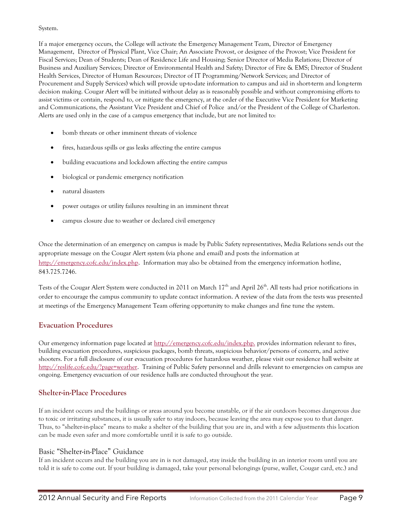#### System.

If a major emergency occurs, the College will activate the Emergency Management Team, Director of Emergency Management, Director of Physical Plant, Vice Chair; An Associate Provost, or designee of the Provost; Vice President for Fiscal Services; Dean of Students; Dean of Residence Life and Housing; Senior Director of Media Relations; Director of Business and Auxiliary Services; Director of Environmental Health and Safety; Director of Fire & EMS; Director of Student Health Services, Director of Human Resources; Director of IT Programming/Network Services; and Director of Procurement and Supply Services) which will provide up-to-date information to campus and aid in short-term and long-term decision making. Cougar Alert will be initiated without delay as is reasonably possible and without compromising efforts to assist victims or contain, respond to, or mitigate the emergency, at the order of the Executive Vice President for Marketing and Communications, the Assistant Vice President and Chief of Police and/or the President of the College of Charleston. Alerts are used only in the case of a campus emergency that include, but are not limited to:

- bomb threats or other imminent threats of violence
- fires, hazardous spills or gas leaks affecting the entire campus
- building evacuations and lockdown affecting the entire campus
- biological or pandemic emergency notification
- natural disasters
- power outages or utility failures resulting in an imminent threat
- campus closure due to weather or declared civil emergency

Once the determination of an emergency on campus is made by Public Safety representatives, Media Relations sends out the appropriate message on the Cougar Alert system (via phone and email) and posts the information at [http://emergency.cofc.edu/index.php.](http://emergency.cofc.edu/index.php) Information may also be obtained from the emergency information hotline, 843.725.7246.

Tests of the Cougar Alert System were conducted in 2011 on March  $17<sup>th</sup>$  and April 26<sup>th</sup>. All tests had prior notifications in order to encourage the campus community to update contact information. A review of the data from the tests was presented at meetings of the Emergency Management Team offering opportunity to make changes and fine tune the system.

# **Evacuation Procedures**

Our emergency information page located at [http://emergency.cofc.edu/index.php.](http://emergency.cofc.edu/index.php) provides information relevant to fires, building evacuation procedures, suspicious packages, bomb threats, suspicious behavior/persons of concern, and active shooters. For a full disclosure of our evacuation procedures for hazardous weather, please visit our residence hall website at [http://reslife.cofc.edu/?page=weather.](http://reslife.cofc.edu/?page=weather) Training of Public Safety personnel and drills relevant to emergencies on campus are ongoing. Emergency evacuation of our residence halls are conducted throughout the year.

# **Shelter-in-Place Procedures**

If an incident occurs and the buildings or areas around you become unstable, or if the air outdoors becomes dangerous due to toxic or irritating substances, it is usually safer to stay indoors, because leaving the area may expose you to that danger. Thus, to "shelter-in-place" means to make a shelter of the building that you are in, and with a few adjustments this location can be made even safer and more comfortable until it is safe to go outside.

## Basic "Shelter-in-Place" Guidance

If an incident occurs and the building you are in is not damaged, stay inside the building in an interior room until you are told it is safe to come out. If your building is damaged, take your personal belongings (purse, wallet, Cougar card, etc.) and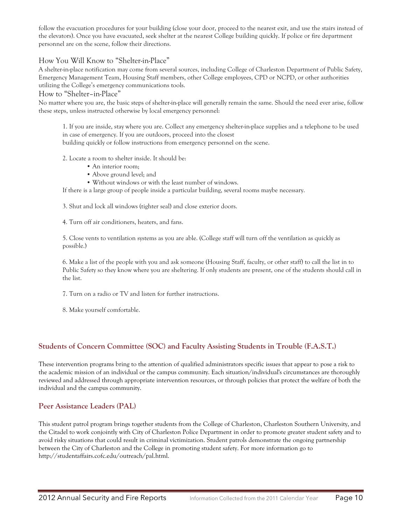follow the evacuation procedures for your building (close your door, proceed to the nearest exit, and use the stairs instead of the elevators). Once you have evacuated, seek shelter at the nearest College building quickly. If police or fire department personnel are on the scene, follow their directions.

# How You Will Know to "Shelter-in-Place"

A shelter-in-place notification may come from several sources, including College of Charleston Department of Public Safety, Emergency Management Team, Housing Staff members, other College employees, CPD or NCPD, or other authorities utilizing the College's emergency communications tools.

### How to "Shelter–in-Place"

No matter where you are, the basic steps of shelter-in-place will generally remain the same. Should the need ever arise, follow these steps, unless instructed otherwise by local emergency personnel:

1. If you are inside, stay where you are. Collect any emergency shelter-in-place supplies and a telephone to be used in case of emergency. If you are outdoors, proceed into the closest building quickly or follow instructions from emergency personnel on the scene.

### 2. Locate a room to shelter inside. It should be:

- An interior room:
- Above ground level; and
- Without windows or with the least number of windows.

If there is a large group of people inside a particular building, several rooms maybe necessary.

3. Shut and lock all windows (tighter seal) and close exterior doors.

4. Turn off air conditioners, heaters, and fans.

5. Close vents to ventilation systems as you are able. (College staff will turn off the ventilation as quickly as possible.)

6. Make a list of the people with you and ask someone (Housing Staff, faculty, or other staff) to call the list in to Public Safety so they know where you are sheltering. If only students are present, one of the students should call in the list.

7. Turn on a radio or TV and listen for further instructions.

8. Make yourself comfortable.

# **Students of Concern Committee (SOC) and Faculty Assisting Students in Trouble (F.A.S.T.)**

These intervention programs bring to the attention of qualified administrators specific issues that appear to pose a risk to the academic mission of an individual or the campus community. Each situation/individual's circumstances are thoroughly reviewed and addressed through appropriate intervention resources, or through policies that protect the welfare of both the individual and the campus community.

## **Peer Assistance Leaders (PAL)**

This student patrol program brings together students from the College of Charleston, Charleston Southern University, and the Citadel to work conjointly with City of Charleston Police Department in order to promote greater student safety and to avoid risky situations that could result in criminal victimization. Student patrols demonstrate the ongoing partnership between the City of Charleston and the College in promoting student safety. For more information go to http://studentaffairs.cofc.edu/outreach/pal.html.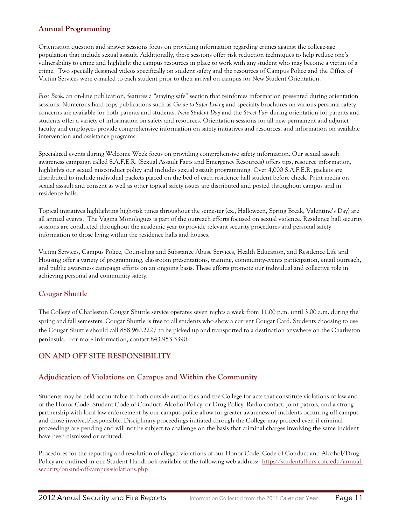# **Annual Programming**

Orientation question and answer sessions focus on providing information regarding crimes against the college-age population that include sexual assault. Additionally, these sessions offer risk reduction techniques to help reduce one's vulnerability to crime and highlight the campus resources in place to work with any student who may become a victim of a crime. Two specially designed videos specifically on student safety and the resources of Campus Police and the Office of Victim Services were e-mailed to each student prior to their arrival on campus for New Student Orientation.

*First Book*, an on-line publication, features a "staying safe" section that reinforces information presented during orientation sessions. Numerous hard copy publications such as *Guide to Safer Living* and specialty brochures on various personal safety concerns are available for both parents and students. *New Student Day* and the *Street Fair* during orientation for parents and students offer a variety of information on safety and resources. Orientation sessions for all new permanent and adjunct faculty and employees provide comprehensive information on safety initiatives and resources, and information on available intervention and assistance programs.

Specialized events during Welcome Week focus on providing comprehensive safety information. Our sexual assault awareness campaign called S.A.F.E.R. (Sexual Assault Facts and Emergency Resources) offers tips, resource information, highlights our sexual misconduct policy and includes sexual assault programming. Over 4,000 S.A.F.E.R. packets are distributed to include individual packets placed on the bed of each residence hall student before check. Print media on sexual assault and consent as well as other topical safety issues are distributed and posted throughout campus and in residence halls.

Topical initiatives highlighting high-risk times throughout the semester (ex., Halloween, Spring Break, Valentine's Day) are all annual events. The Vagina Monologues is part of the outreach efforts focused on sexual violence. Residence hall security sessions are conducted throughout the academic year to provide relevant security procedures and personal safety information to those living within the residence halls and houses.

Victim Services, Campus Police, Counseling and Substance Abuse Services, Health Education, and Residence Life and Housing offer a variety of programming, classroom presentations, training, community-events participation, email outreach, and public awareness campaign efforts on an ongoing basis. These efforts promote our individual and collective role in achieving personal and community safety.

# **Cougar Shuttle**

The College of Charleston Cougar Shuttle service operates seven nights a week from 11:00 p.m. until 3:00 a.m. during the spring and fall semesters. Cougar Shuttle is free to all students who show a current Cougar Card. Students choosing to use the Cougar Shuttle should call 888.960.2227 to be picked up and transported to a destination anywhere on the Charleston peninsula. For more information, contact 843.953.3390.

# **ON AND OFF SITE RESPONSIBILITY**

## **Adjudication of Violations on Campus and Within the Community**

Students may be held accountable to both outside authorities and the College for acts that constitute violations of law and of the Honor Code, Student Code of Conduct, Alcohol Policy, or Drug Policy. Radio contact, joint patrols, and a strong partnership with local law enforcement by our campus police allow for greater awareness of incidents occurring off campus and those involved/responsible. Disciplinary proceedings initiated through the College may proceed even if criminal proceedings are pending and will not be subject to challenge on the basis that criminal charges involving the same incident have been dismissed or reduced.

Procedures for the reporting and resolution of alleged violations of our Honor Code, Code of Conduct and Alcohol/Drug Policy are outlined in our Student Handbook available at the following web address: [http://studentaffairs.cofc.edu/annual](http://studentaffairs.cofc.edu/annual-security/on-and-off-campus-violations.php)[security/on-and-off-campus-violations.php](http://studentaffairs.cofc.edu/annual-security/on-and-off-campus-violations.php)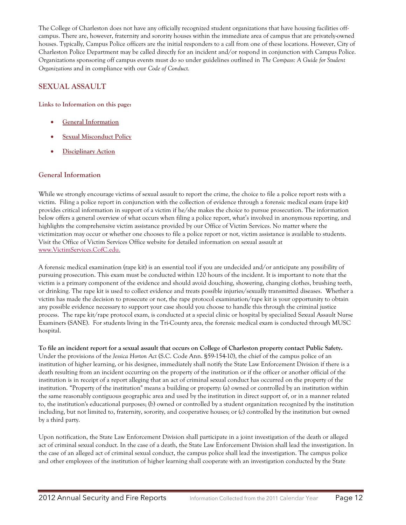The College of Charleston does not have any officially recognized student organizations that have housing facilities offcampus. There are, however, fraternity and sorority houses within the immediate area of campus that are privately-owned houses. Typically, Campus Police officers are the initial responders to a call from one of these locations. However, City of Charleston Police Department may be called directly for an incident and/or respond in conjunction with Campus Police. Organizations sponsoring off campus events must do so under guidelines outlined in *The Compass: A Guide for Student Organizations* and in compliance with our *Code of Conduct.* 

# **SEXUAL ASSAULT**

**Links to Information on this page:** 

- **[General Information](http://studentaffairs.cofc.edu/general_info/annual_security/sexual_assault.html#general)**
- **[Sexual Misconduct Policy](http://studentaffairs.cofc.edu/general_info/annual_security/sexual_assault.html#misconduct)**
- **[Disciplinary Action](http://studentaffairs.cofc.edu/general_info/annual_security/sexual_assault.html#disciplinary)**

# **General Information**

While we strongly encourage victims of sexual assault to report the crime, the choice to file a police report rests with a victim. Filing a police report in conjunction with the collection of evidence through a forensic medical exam (rape kit) provides critical information in support of a victim if he/she makes the choice to pursue prosecution. The information below offers a general overview of what occurs when filing a police report, what's involved in anonymous reporting, and highlights the comprehensive victim assistance provided by our Office of Victim Services. No matter where the victimization may occur or whether one chooses to file a police report or not, victim assistance is available to students. Visit the Office of Victim Services Office website for detailed information on sexual assault at www.VictimServices.CofC.edu.

A forensic medical examination (rape kit) is an essential tool if you are undecided and/or anticipate any possibility of pursuing prosecution. This exam must be conducted within 120 hours of the incident. It is important to note that the victim is a primary component of the evidence and should avoid douching, showering, changing clothes, brushing teeth, or drinking. The rape kit is used to collect evidence and treats possible injuries/sexually transmitted diseases. Whether a victim has made the decision to prosecute or not, the rape protocol examination/rape kit is your opportunity to obtain any possible evidence necessary to support your case should you choose to handle this through the criminal justice process. The rape kit/rape protocol exam, is conducted at a special clinic or hospital by specialized Sexual Assault Nurse Examiners (SANE). For students living in the Tri-County area, the forensic medical exam is conducted through MUSC hospital.

**To file an incident report for a sexual assault that occurs on College of Charleston property contact Public Safety.** Under the provisions of the *Jessica Horton Act* (S.C. Code Ann. §59-154-10), the chief of the campus police of an institution of higher learning, or his designee, immediately shall notify the State Law Enforcement Division if there is a death resulting from an incident occurring on the property of the institution or if the officer or another official of the institution is in receipt of a report alleging that an act of criminal sexual conduct has occurred on the property of the institution. "Property of the institution" means a building or property: (a) owned or controlled by an institution within the same reasonably contiguous geographic area and used by the institution in direct support of, or in a manner related to, the institution's educational purposes; (b) owned or controlled by a student organization recognized by the institution including, but not limited to, fraternity, sorority, and cooperative houses; or (c) controlled by the institution but owned by a third party.

Upon notification, the State Law Enforcement Division shall participate in a joint investigation of the death or alleged act of criminal sexual conduct. In the case of a death, the State Law Enforcement Division shall lead the investigation. In the case of an alleged act of criminal sexual conduct, the campus police shall lead the investigation. The campus police and other employees of the institution of higher learning shall cooperate with an investigation conducted by the State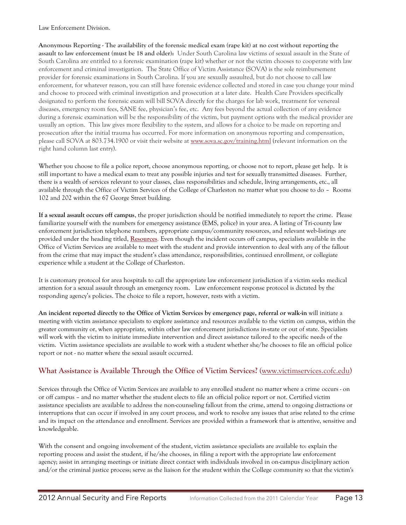Law Enforcement Division.

**Anonymous Reporting - The availability of the forensic medical exam (rape kit) at no cost without reporting the assault to law enforcement (must be 18 and older):** Under South Carolina law victims of sexual assault in the State of South Carolina are entitled to a forensic examination (rape kit) whether or not the victim chooses to cooperate with law enforcement and criminal investigation. The State Office of Victim Assistance (SOVA) is the sole reimbursement provider for forensic examinations in South Carolina. If you are sexually assaulted, but do not choose to call law enforcement, for whatever reason, you can still have forensic evidence collected and stored in case you change your mind and choose to proceed with criminal investigation and prosecution at a later date. Health Care Providers specifically designated to perform the forensic exam will bill SOVA directly for the charges for lab work, treatment for venereal diseases, emergency room fees, SANE fee, physician's fee, etc. Any fees beyond the actual collection of any evidence during a forensic examination will be the responsibility of the victim, but payment options with the medical provider are usually an option. This law gives more flexibility to the system, and allows for a choice to be made on reporting and prosecution after the initial trauma has occurred. For more information on anonymous reporting and compensation, please call SOVA at 803.734.1900 or visit their website a[t www.sova.sc.gov/training.html](http://www.sova.sc.gov/training.html) (relevant information on the right hand column last entry).

Whether you choose to file a police report, choose anonymous reporting, or choose not to report, please get help. It is still important to have a medical exam to treat any possible injuries and test for sexually transmitted diseases. Further, there is a wealth of services relevant to your classes, class responsibilities and schedule, living arrangements, etc., all available through the Office of Victim Services of the College of Charleston no matter what you choose to do – Rooms 102 and 202 within the 67 George Street building.

**If a sexual assault occurs off campus**, the proper jurisdiction should be notified immediately to report the crime. Please familiarize yourself with the numbers for emergency assistance (EMS, police) in your area. A listing of Tri-county law enforcement jurisdiction telephone numbers, appropriate campus/community resources, and relevant web-listings are provided under the heading titled, **Resources**. Even though the incident occurs off campus, specialists available in the Office of Victim Services are available to meet with the student and provide intervention to deal with any of the fallout from the crime that may impact the student's class attendance, responsibilities, continued enrollment, or collegiate experience while a student at the College of Charleston.

It is customary protocol for area hospitals to call the appropriate law enforcement jurisdiction if a victim seeks medical attention for a sexual assault through an emergency room. Law enforcement response protocol is dictated by the responding agency's policies. The choice to file a report, however, rests with a victim.

**An incident reported directly to the Office of Victim Services by emergency page, referral or walk-in** will initiate a meeting with victim assistance specialists to explore assistance and resources available to the victim on campus, within the greater community or, when appropriate, within other law enforcement jurisdictions in-state or out of state. Specialists will work with the victim to initiate immediate intervention and direct assistance tailored to the specific needs of the victim. Victim assistance specialists are available to work with a student whether she/he chooses to file an official police report or not - no matter where the sexual assault occurred.

# **What Assistance is Available Through the Office of Victim Services?** [\(www.victimservices.](http://www.victimservices/)cofc.edu)

Services through the Office of Victim Services are available to any enrolled student no matter where a crime occurs - on or off campus – and no matter whether the student elects to file an official police report or not. Certified victim assistance specialists are available to address the non-counseling fallout from the crime, attend to ongoing distractions or interruptions that can occur if involved in any court process, and work to resolve any issues that arise related to the crime and its impact on the attendance and enrollment. Services are provided within a framework that is attentive, sensitive and knowledgeable.

With the consent and ongoing involvement of the student, victim assistance specialists are available to: explain the reporting process and assist the student, if he/she chooses, in filing a report with the appropriate law enforcement agency; assist in arranging meetings or initiate direct contact with individuals involved in on-campus disciplinary action and/or the criminal justice process; serve as the liaison for the student within the College community so that the victim's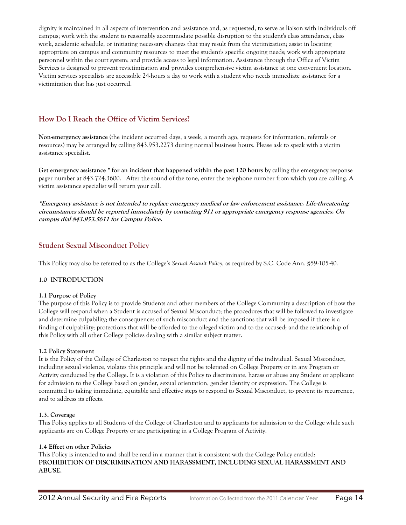dignity is maintained in all aspects of intervention and assistance and, as requested, to serve as liaison with individuals off campus; work with the student to reasonably accommodate possible disruption to the student's class attendance, class work, academic schedule, or initiating necessary changes that may result from the victimization; assist in locating appropriate on campus and community resources to meet the student's specific ongoing needs; work with appropriate personnel within the court system; and provide access to legal information. Assistance through the Office of Victim Services is designed to prevent revictimization and provides comprehensive victim assistance at one convenient location. Victim services specialists are accessible 24-hours a day to work with a student who needs immediate assistance for a victimization that has just occurred.

# **How Do I Reach the Office of Victim Services?**

**Non-emergency assistance** (the incident occurred days, a week, a month ago, requests for information, referrals or resources) may be arranged by calling 843.953.2273 during normal business hours. Please ask to speak with a victim assistance specialist.

**Get emergency assistance \* for an incident that happened within the past 120 hours** by calling the emergency response pager number at 843.724.3600. After the sound of the tone, enter the telephone number from which you are calling. A victim assistance specialist will return your call.

**\*Emergency assistance is not intended to replace emergency medical or law enforcement assistance. Life-threatening circumstances should be reported immediately by contacting 911 or appropriate emergency response agencies. On campus dial 843.953.5611 for Campus Police.**

# **Student Sexual Misconduct Policy**

This Policy may also be referred to as the College's *Sexual Assault Policy*, as required by S.C. Code Ann. §59-105-40.

### **1.0 INTRODUCTION**

### **1.1 Purpose of Policy**

The purpose of this Policy is to provide Students and other members of the College Community a description of how the College will respond when a Student is accused of Sexual Misconduct; the procedures that will be followed to investigate and determine culpability; the consequences of such misconduct and the sanctions that will be imposed if there is a finding of culpability; protections that will be afforded to the alleged victim and to the accused; and the relationship of this Policy with all other College policies dealing with a similar subject matter.

### **1.2 Policy Statement**

It is the Policy of the College of Charleston to respect the rights and the dignity of the individual. Sexual Misconduct, including sexual violence, violates this principle and will not be tolerated on College Property or in any Program or Activity conducted by the College. It is a violation of this Policy to discriminate, harass or abuse any Student or applicant for admission to the College based on gender, sexual orientation, gender identity or expression. The College is committed to taking immediate, equitable and effective steps to respond to Sexual Misconduct, to prevent its recurrence, and to address its effects.

### **1.3. Coverage**

This Policy applies to all Students of the College of Charleston and to applicants for admission to the College while such applicants are on College Property or are participating in a College Program of Activity.

### **1.4 Effect on other Policies**

This Policy is intended to and shall be read in a manner that is consistent with the College Policy entitled: **PROHIBITION OF DISCRIMINATION AND HARASSMENT, INCLUDING SEXUAL HARASSMENT AND ABUSE.**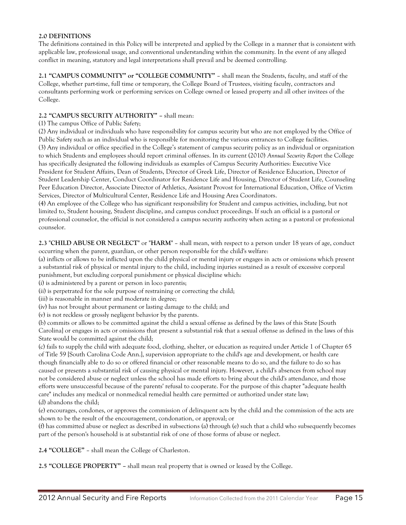#### **2.0 DEFINITIONS**

The definitions contained in this Policy will be interpreted and applied by the College in a manner that is consistent with applicable law, professional usage, and conventional understanding within the community. In the event of any alleged conflict in meaning, statutory and legal interpretations shall prevail and be deemed controlling.

**2.1 "CAMPUS COMMUNITY" or "COLLEGE COMMUNITY"** – shall mean the Students, faculty, and staff of the College, whether part-time, full time or temporary, the College Board of Trustees, visiting faculty, contractors and consultants performing work or performing services on College owned or leased property and all other invitees of the College.

#### **2.2 "CAMPUS SECURITY AUTHORITY" –** shall mean:

#### (1) The campus Office of Public Safety;

(2) Any individual or individuals who have responsibility for campus security but who are not employed by the Office of Public Safety such as an individual who is responsible for monitoring the various entrances to College facilities. (3) Any individual or office specified in the College's statement of campus security policy as an individual or organization to which Students and employees should report criminal offenses. In its current (2010) *Annual Security Report* the College has specifically designated the following individuals as examples of Campus Security Authorities: Executive Vice President for Student Affairs, Dean of Students, Director of Greek Life, Director of Residence Education, Director of Student Leadership Center, Conduct Coordinator for Residence Life and Housing, Director of Student Life, Counseling Peer Education Director, Associate Director of Athletics, Assistant Provost for International Education, Office of Victim Services, Director of Multicultural Center, Residence Life and Housing Area Coordinators.

(4) An employee of the College who has significant responsibility for Student and campus activities, including, but not limited to, Student housing, Student discipline, and campus conduct proceedings. If such an official is a pastoral or professional counselor, the official is not considered a campus security authority when acting as a pastoral or professional counselor.

**2.3** "**CHILD ABUSE OR NEGLECT**" or "**HARM**" – shall mean, with respect to a person under 18 years of age, conduct occurring when the parent, guardian, or other person responsible for the child's welfare:

(a) inflicts or allows to be inflicted upon the child physical or mental injury or engages in acts or omissions which present a substantial risk of physical or mental injury to the child, including injuries sustained as a result of excessive corporal punishment, but excluding corporal punishment or physical discipline which:

(i) is administered by a parent or person in loco parentis;

(ii) is perpetrated for the sole purpose of restraining or correcting the child;

(iii) is reasonable in manner and moderate in degree;

(iv) has not brought about permanent or lasting damage to the child; and

(v) is not reckless or grossly negligent behavior by the parents.

(b) commits or allows to be committed against the child a sexual offense as defined by the laws of this State [South Carolina] or engages in acts or omissions that present a substantial risk that a sexual offense as defined in the laws of this State would be committed against the child;

(c) fails to supply the child with adequate food, clothing, shelter, or education as required under Article 1 of Chapter 65 of Title 59 [South Carolina Code Ann.], supervision appropriate to the child's age and development, or health care though financially able to do so or offered financial or other reasonable means to do so, and the failure to do so has caused or presents a substantial risk of causing physical or mental injury. However, a child's absences from school may not be considered abuse or neglect unless the school has made efforts to bring about the child's attendance, and those efforts were unsuccessful because of the parents' refusal to cooperate. For the purpose of this chapter "adequate health care" includes any medical or nonmedical remedial health care permitted or authorized under state law; (d) abandons the child;

(e) encourages, condones, or approves the commission of delinquent acts by the child and the commission of the acts are shown to be the result of the encouragement, condonation, or approval; or

(f) has committed abuse or neglect as described in subsections (a) through (e) such that a child who subsequently becomes part of the person's household is at substantial risk of one of those forms of abuse or neglect.

**2.4 "COLLEGE"** – shall mean the College of Charleston.

**2.5 "COLLEGE PROPERTY" –** shall mean real property that is owned or leased by the College.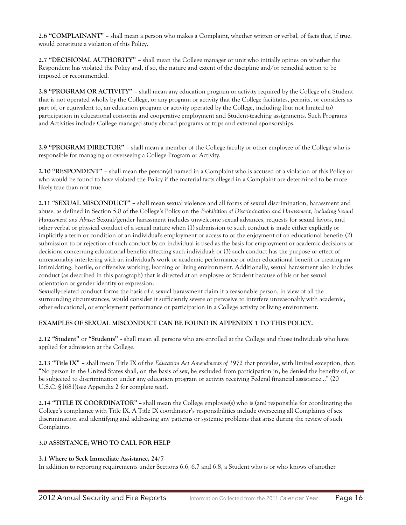**2.6 "COMPLAINANT"** – shall mean a person who makes a Complaint, whether written or verbal, of facts that, if true, would constitute a violation of this Policy.

**2.7 "DECISIONAL AUTHORITY" –** shall mean the College manager or unit who initially opines on whether the Respondent has violated the Policy and, if so, the nature and extent of the discipline and/or remedial action to be imposed or recommended.

**2.8 "PROGRAM OR ACTIVITY"** – shall mean any education program or activity required by the College of a Student that is not operated wholly by the College, or any program or activity that the College facilitates, permits, or considers as part of, or equivalent to, an education program or activity operated by the College, including (but not limited to) participation in educational consortia and cooperative employment and Student-teaching assignments. Such Programs and Activities include College managed study abroad programs or trips and external sponsorships.

**2.9 "PROGRAM DIRECTOR" –** shall mean a member of the College faculty or other employee of the College who is responsible for managing or overseeing a College Program or Activity.

**2.10 "RESPONDENT"** – shall mean the person(s) named in a Complaint who is accused of a violation of this Policy or who would be found to have violated the Policy if the material facts alleged in a Complaint are determined to be more likely true than not true.

**2.11 "SEXUAL MISCONDUCT" –** shall mean sexual violence and all forms of sexual discrimination, harassment and abuse, as defined in Section 5.0 of the College's Policy on the *Prohibition of Discrimination and Harassment, Including Sexual Harassment and Abuse:* Sexual/gender harassment includes unwelcome sexual advances, requests for sexual favors, and other verbal or physical conduct of a sexual nature when (1) submission to such conduct is made either explicitly or implicitly a term or condition of an individual's employment or access to or the enjoyment of an educational benefit; (2) submission to or rejection of such conduct by an individual is used as the basis for employment or academic decisions or decisions concerning educational benefits affecting such individual; or (3) such conduct has the purpose or effect of unreasonably interfering with an individual's work or academic performance or other educational benefit or creating an intimidating, hostile, or offensive working, learning or living environment. Additionally, sexual harassment also includes conduct (as described in this paragraph) that is directed at an employee or Student because of his or her sexual orientation or gender identity or expression.

Sexually-related conduct forms the basis of a sexual harassment claim if a reasonable person, in view of all the surrounding circumstances, would consider it sufficiently severe or pervasive to interfere unreasonably with academic, other educational, or employment performance or participation in a College activity or living environment.

### **EXAMPLES OF SEXUAL MISCONDUCT CAN BE FOUND IN APPENDIX 1 TO THIS POLICY.**

2.12 "Student" or "Students" ~ shall mean all persons who are enrolled at the College and those individuals who have applied for admission at the College.

**2.13 "Title IX" –** shall mean Title IX of the *Education Act Amendments of 1972* that provides, with limited exception, that: "No person in the United States shall, on the basis of sex, be excluded from participation in, be denied the benefits of, or be subjected to discrimination under any education program or activity receiving Federal financial assistance…" (20 U.S.C. §1681)(see Appendix 2 for complete text).

**2.14 "TITLE IX COORDINATOR"**  $\sim$  shall mean the College employee(s) who is (are) responsible for coordinating the College's compliance with Title IX. A Title IX coordinator's responsibilities include overseeing all Complaints of sex discrimination and identifying and addressing any patterns or systemic problems that arise during the review of such Complaints.

### **3.0 ASSISTANCE; WHO TO CALL FOR HELP**

#### **3.1 Where to Seek Immediate Assistance, 24/7**

In addition to reporting requirements under Sections 6.6, 6.7 and 6.8, a Student who is or who knows of another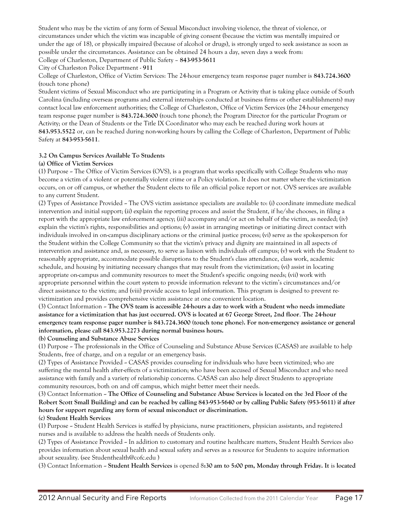Student who may be the victim of any form of Sexual Misconduct involving violence, the threat of violence, or circumstances under which the victim was incapable of giving consent (because the victim was mentally impaired or under the age of 18), or physically impaired (because of alcohol or drugs), is strongly urged to seek assistance as soon as possible under the circumstances. Assistance can be obtained 24 hours a day, seven days a week from: College of Charleston, Department of Public Safety – **843-953-5611** 

City of Charleston Police Department - **911** 

College of Charleston, Office of Victim Services: The 24-hour emergency team response pager number is **843.724.3600**  (touch tone phone)

Student victims of Sexual Misconduct who are participating in a Program or Activity that is taking place outside of South Carolina (including overseas programs and external internships conducted at business firms or other establishments) may contact local law enforcement authorities; the College of Charleston, Office of Victim Services (the 24-hour emergency team response pager number is **843.724.3600** (touch tone phone); the Program Director for the particular Program or Activity; or the Dean of Students or the Title IX Coordinator who may each be reached during work hours at **843.953.5522** or, can be reached during non-working hours by calling the College of Charleston, Department of Public Safety at **843-953-5611**.

#### **3.2 On Campus Services Available To Students**

#### **(a) Office of Victim Services**

(1) Purpose -- The Office of Victim Services (OVS), is a program that works specifically with College Students who may become a victim of a violent or potentially violent crime or a Policy violation. It does not matter where the victimization occurs, on or off campus, or whether the Student elects to file an official police report or not. OVS services are available to any current Student.

(2) Types of Assistance Provided -- The OVS victim assistance specialists are available to: (i) coordinate immediate medical intervention and initial support; (ii) explain the reporting process and assist the Student, if he/she chooses, in filing a report with the appropriate law enforcement agency; (iii) accompany and/or act on behalf of the victim, as needed; (iv) explain the victim's rights, responsibilities and options; (v) assist in arranging meetings or initiating direct contact with individuals involved in on-campus disciplinary actions or the criminal justice process; (vi) serve as the spokesperson for the Student within the College Community so that the victim's privacy and dignity are maintained in all aspects of intervention and assistance and, as necessary, to serve as liaison with individuals off campus; (v) work with the Student to reasonably appropriate, accommodate possible disruptions to the Student's class attendance, class work, academic schedule, and housing by initiating necessary changes that may result from the victimization; (vi) assist in locating appropriate on-campus and community resources to meet the Student's specific ongoing needs; (vii) work with appropriate personnel within the court system to provide information relevant to the victim's circumstances and/or direct assistance to the victim; and (viii) provide access to legal information. This program is designed to prevent revictimization and provides comprehensive victim assistance at one convenient location.

(3) Contact Information -- The OVS team is accessible 24-hours a day to work with a Student who needs immediate **assistance for a victimization that has just occurred. OVS is located at 67 George Street, 2nd floor**. **The 24-hour emergency team response pager number is 843.724.3600 (touch tone phone). For non-emergency assistance or general information, please call 843.953.2273 during normal business hours.** 

#### **(b) Counseling and Substance Abuse Services**

(1) Purpose ~ The professionals in the Office of Counseling and Substance Abuse Services (CASAS) are available to help Students, free of charge, and on a regular or an emergency basis.

(2) Types of Assistance Provided -- CASAS provides counseling for individuals who have been victimized; who are suffering the mental health after-effects of a victimization; who have been accused of Sexual Misconduct and who need assistance with family and a variety of relationship concerns. CASAS can also help direct Students to appropriate community resources, both on and off campus, which might better meet their needs.

(3) Contact Information -- **The Office of Counseling and Substance Abuse Services is located on the 3rd Floor of the Robert Scott Small Building) and can be reached by calling 843-953-5640 or by calling Public Safety (953-5611) if after hours for support regarding any form of sexual misconduct or discrimination.** 

### **(c) Student Health Services**

(1) Purpose -- Student Health Services is staffed by physicians, nurse practitioners, physician assistants, and registered nurses and is available to address the health needs of Students only.

(2) Types of Assistance Provided -- In addition to customary and routine healthcare matters, Student Health Services also provides information about sexual health and sexual safety and serves as a resource for Students to acquire information about sexuality. (see Studenthealth@cofc.edu )

(3) Contact Information -- **Student Health Services** is opened 8**:30 am to 5:00 pm, Monday through Friday. It** is **located**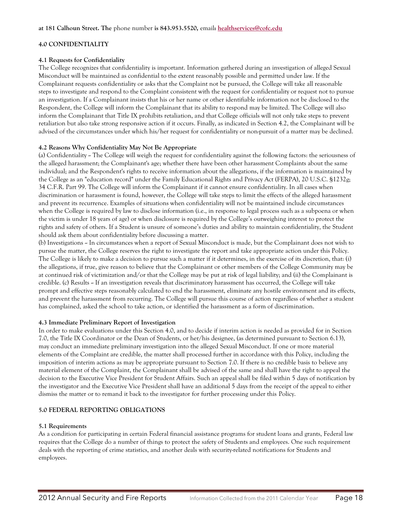### **4.0 CONFIDENTIALITY**

#### **4.1 Requests for Confidentiality**

The College recognizes that confidentiality is important. Information gathered during an investigation of alleged Sexual Misconduct will be maintained as confidential to the extent reasonably possible and permitted under law. If the Complainant requests confidentiality or asks that the Complaint not be pursued, the College will take all reasonable steps to investigate and respond to the Complaint consistent with the request for confidentiality or request not to pursue an investigation. If a Complainant insists that his or her name or other identifiable information not be disclosed to the Respondent, the College will inform the Complainant that its ability to respond may be limited. The College will also inform the Complainant that Title IX prohibits retaliation, and that College officials will not only take steps to prevent retaliation but also take strong responsive action if it occurs. Finally, as indicated in Section 4.2, the Complainant will be advised of the circumstances under which his/her request for confidentiality or non-pursuit of a matter may be declined.

#### **4.2 Reasons Why Confidentiality May Not Be Appropriate**

(a) Confidentiality  $\sim$  The College will weigh the request for confidentiality against the following factors: the seriousness of the alleged harassment; the Complainant's age; whether there have been other harassment Complaints about the same individual; and the Respondent's rights to receive information about the allegations, if the information is maintained by the College as an "education record" under the Family Educational Rights and Privacy Act (FERPA), 20 U.S.C. §1232g; 34 C.F.R. Part 99. The College will inform the Complainant if it cannot ensure confidentiality. In all cases when discrimination or harassment is found, however, the College will take steps to limit the effects of the alleged harassment and prevent its recurrence. Examples of situations when confidentiality will not be maintained include circumstances when the College is required by law to disclose information (i.e., in response to legal process such as a subpoena or when the victim is under 18 years of age) or when disclosure is required by the College's outweighing interest to protect the rights and safety of others. If a Student is unsure of someone's duties and ability to maintain confidentiality, the Student should ask them about confidentiality before discussing a matter.

(b) Investigations – In circumstances when a report of Sexual Misconduct is made, but the Complainant does not wish to pursue the matter, the College reserves the right to investigate the report and take appropriate action under this Policy. The College is likely to make a decision to pursue such a matter if it determines, in the exercise of its discretion, that: (i) the allegations, if true, give reason to believe that the Complainant or other members of the College Community may be at continued risk of victimization and/or that the College may be put at risk of legal liability; and (ii) the Complainant is credible. (c) Results ~ If an investigation reveals that discriminatory harassment has occurred, the College will take prompt and effective steps reasonably calculated to end the harassment, eliminate any hostile environment and its effects, and prevent the harassment from recurring. The College will pursue this course of action regardless of whether a student has complained, asked the school to take action, or identified the harassment as a form of discrimination.

#### **4.3 Immediate Preliminary Report of Investigation**

In order to make evaluations under this Section 4.0, and to decide if interim action is needed as provided for in Section 7.0, the Title IX Coordinator or the Dean of Students, or her/his designee, (as determined pursuant to Section 6.13), may conduct an immediate preliminary investigation into the alleged Sexual Misconduct. If one or more material elements of the Complaint are credible, the matter shall processed further in accordance with this Policy, including the imposition of interim actions as may be appropriate pursuant to Section 7.0. If there is no credible basis to believe any material element of the Complaint, the Complainant shall be advised of the same and shall have the right to appeal the decision to the Executive Vice President for Student Affairs. Such an appeal shall be filed within 5 days of notification by the investigator and the Executive Vice President shall have an additional 5 days from the receipt of the appeal to either dismiss the matter or to remand it back to the investigator for further processing under this Policy.

### **5.0 FEDERAL REPORTING OBLIGATIONS**

### **5.1 Requirements**

As a condition for participating in certain Federal financial assistance programs for student loans and grants, Federal law requires that the College do a number of things to protect the safety of Students and employees. One such requirement deals with the reporting of crime statistics, and another deals with security-related notifications for Students and employees.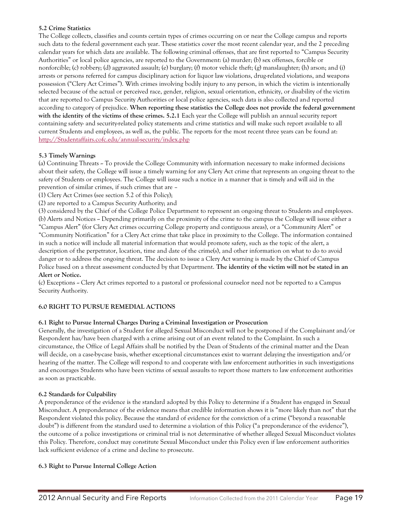### **5.2 Crime Statistics**

The College collects, classifies and counts certain types of crimes occurring on or near the College campus and reports such data to the federal government each year. These statistics cover the most recent calendar year, and the 2 preceding calendar years for which data are available. The following criminal offenses, that are first reported to "Campus Security Authorities" or local police agencies, are reported to the Government: (a) murder; (b) sex offenses, forcible or nonforcible; (c) robbery; (d) aggravated assault; (e) burglary; (f) motor vehicle theft; (g) manslaughter; (h) arson; and (i) arrests or persons referred for campus disciplinary action for liquor law violations, drug-related violations, and weapons possession ("Clery Act Crimes"). With crimes involving bodily injury to any person, in which the victim is intentionally selected because of the actual or perceived race, gender, religion, sexual orientation, ethnicity, or disability of the victim that are reported to Campus Security Authorities or local police agencies, such data is also collected and reported according to category of prejudice. **When reporting these statistics the College does not provide the federal government with the identity of the victims of these crimes. 5.2.1** Each year the College will publish an annual security report containing safety- and security-related policy statements and crime statistics and will make such report available to all current Students and employees, as well as, the public. The reports for the most recent three years can be found at: [http://Studentaffairs.cofc.edu/annual-security/index.php](http://studentaffairs.cofc.edu/annual-security/index.php)

### **5.3 Timely Warnings**

(a) Continuing Threats ~ To provide the College Community with information necessary to make informed decisions about their safety, the College will issue a timely warning for any Clery Act crime that represents an ongoing threat to the safety of Students or employees. The College will issue such a notice in a manner that is timely and will aid in the prevention of similar crimes, if such crimes that are –

(1) Clery Act Crimes (see section 5.2 of this Policy);

(2) are reported to a Campus Security Authority; and

(3) considered by the Chief of the College Police Department to represent an ongoing threat to Students and employees. (b) Alerts and Notices -- Depending primarily on the proximity of the crime to the campus the College will issue either a "Campus Alert" (for Clery Act crimes occurring College property and contiguous areas), or a "Community Alert" or "Community Notification" for a Clery Act crime that take place in proximity to the College. The information contained in such a notice will include all material information that would promote safety, such as the topic of the alert, a description of the perpetrator, location, time and date of the crime(s), and other information on what to do to avoid danger or to address the ongoing threat. The decision to issue a Clery Act warning is made by the Chief of Campus Police based on a threat assessment conducted by that Department. **The identity of the victim will not be stated in an Alert or Notice.** 

#### (c) Exceptions – Clery Act crimes reported to a pastoral or professional counselor need not be reported to a Campus Security Authority.

### **6.0 RIGHT TO PURSUE REMEDIAL ACTIONS**

#### **6.1 Right to Pursue Internal Charges During a Criminal Investigation or Prosecution**

Generally, the investigation of a Student for alleged Sexual Misconduct will not be postponed if the Complainant and/or Respondent has/have been charged with a crime arising out of an event related to the Complaint. In such a circumstance, the Office of Legal Affairs shall be notified by the Dean of Students of the criminal matter and the Dean will decide, on a case-by-case basis, whether exceptional circumstances exist to warrant delaying the investigation and/or hearing of the matter. The College will respond to and cooperate with law enforcement authorities in such investigations and encourages Students who have been victims of sexual assaults to report those matters to law enforcement authorities as soon as practicable.

#### **6.2 Standards for Culpability**

A preponderance of the evidence is the standard adopted by this Policy to determine if a Student has engaged in Sexual Misconduct. A preponderance of the evidence means that credible information shows it is "more likely than not" that the Respondent violated this policy. Because the standard of evidence for the conviction of a crime ("beyond a reasonable doubt") is different from the standard used to determine a violation of this Policy ("a preponderance of the evidence"), the outcome of a police investigations or criminal trial is not determinative of whether alleged Sexual Misconduct violates this Policy. Therefore, conduct may constitute Sexual Misconduct under this Policy even if law enforcement authorities lack sufficient evidence of a crime and decline to prosecute.

#### **6.3 Right to Pursue Internal College Action**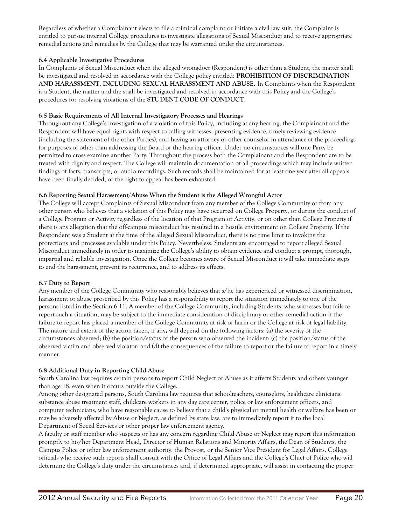Regardless of whether a Complainant elects to file a criminal complaint or initiate a civil law suit, the Complaint is entitled to pursue internal College procedures to investigate allegations of Sexual Misconduct and to receive appropriate remedial actions and remedies by the College that may be warranted under the circumstances.

### **6.4 Applicable Investigative Procedures**

In Complaints of Sexual Misconduct when the alleged wrongdoer (Respondent) is other than a Student, the matter shall be investigated and resolved in accordance with the College policy entitled: **PROHIBITION OF DISCRIMINATION AND HARASSMENT, INCLUDING SEXUAL HARASSMENT AND ABUSE.** In Complaints when the Respondent is a Student, the matter and the shall be investigated and resolved in accordance with this Policy and the College's procedures for resolving violations of the **STUDENT CODE OF CONDUCT**.

### **6.5 Basic Requirements of All Internal Investigatory Processes and Hearings**

Throughout any College's investigation of a violation of this Policy, including at any hearing, the Complainant and the Respondent will have equal rights with respect to calling witnesses, presenting evidence, timely reviewing evidence (including the statement of the other Parties), and having an attorney or other counselor in attendance at the proceedings for purposes of other than addressing the Board or the hearing officer. Under no circumstances will one Party be permitted to cross examine another Party. Throughout the process both the Complainant and the Respondent are to be treated with dignity and respect. The College will maintain documentation of all proceedings which may include written findings of facts, transcripts, or audio recordings. Such records shall be maintained for at least one year after all appeals have been finally decided, or the right to appeal has been exhausted.

## **6.6 Reporting Sexual Harassment/Abuse When the Student is the Alleged Wrongful Actor**

The College will accept Complaints of Sexual Misconduct from any member of the College Community or from any other person who believes that a violation of this Policy may have occurred on College Property, or during the conduct of a College Program or Activity regardless of the location of that Program or Activity, or on other than College Property if there is any allegation that the off-campus misconduct has resulted in a hostile environment on College Property. If the Respondent was a Student at the time of the alleged Sexual Misconduct, there is no time limit to invoking the protections and processes available under this Policy. Nevertheless, Students are encouraged to report alleged Sexual Misconduct immediately in order to maximize the College's ability to obtain evidence and conduct a prompt, thorough, impartial and reliable investigation. Once the College becomes aware of Sexual Misconduct it will take immediate steps to end the harassment, prevent its recurrence, and to address its effects.

### **6.7 Duty to Report**

Any member of the College Community who reasonably believes that s/he has experienced or witnessed discrimination, harassment or abuse proscribed by this Policy has a responsibility to report the situation immediately to one of the persons listed in the Section 6.11. A member of the College Community, including Students, who witnesses but fails to report such a situation, may be subject to the immediate consideration of disciplinary or other remedial action if the failure to report has placed a member of the College Community at risk of harm or the College at risk of legal liability. The nature and extent of the action taken, if any**,** will depend on the following factors: (a) the severity of the circumstances observed; (b) the position/status of the person who observed the incident; (c) the position/status of the observed victim and observed violator; and (d) the consequences of the failure to report or the failure to report in a timely manner.

### **6.8 Additional Duty in Reporting Child Abuse**

South Carolina law requires certain persons to report Child Neglect or Abuse as it affects Students and others younger than age 18, even when it occurs outside the College.

Among other designated persons, South Carolina law requires that schoolteachers, counselors, healthcare clinicians, substance abuse treatment staff, childcare workers in any day care center, police or law enforcement officers, and computer technicians, who have reasonable cause to believe that a child's physical or mental health or welfare has been or may be adversely affected by Abuse or Neglect, as defined by state law, are to immediately report it to the local Department of Social Services or other proper law enforcement agency.

A faculty or staff member who suspects or has any concern regarding Child Abuse or Neglect may report this information promptly to his/her Department Head, Director of Human Relations and Minority Affairs, the Dean of Students, the Campus Police or other law enforcement authority, the Provost, or the Senior Vice President for Legal Affairs. College officials who receive such reports shall consult with the Office of Legal Affairs and the College's Chief of Police who will determine the College's duty under the circumstances and, if determined appropriate, will assist in contacting the proper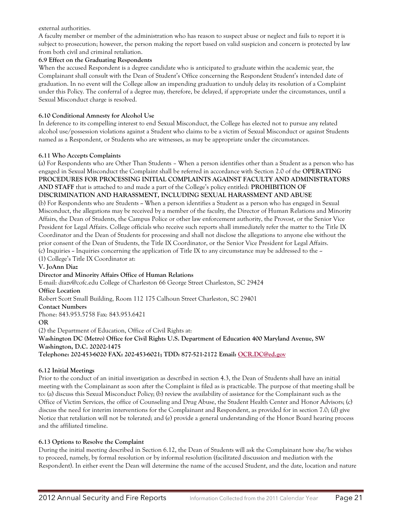#### external authorities.

A faculty member or member of the administration who has reason to suspect abuse or neglect and fails to report it is subject to prosecution; however, the person making the report based on valid suspicion and concern is protected by law from both civil and criminal retaliation.

### **6.9 Effect on the Graduating Respondents**

When the accused Respondent is a degree candidate who is anticipated to graduate within the academic year, the Complainant shall consult with the Dean of Student's Office concerning the Respondent Student's intended date of graduation. In no event will the College allow an impending graduation to unduly delay its resolution of a Complaint under this Policy. The conferral of a degree may, therefore, be delayed, if appropriate under the circumstances, until a Sexual Misconduct charge is resolved.

### **6.10 Conditional Amnesty for Alcohol Use**

In deference to its compelling interest to end Sexual Misconduct, the College has elected not to pursue any related alcohol use/possession violations against a Student who claims to be a victim of Sexual Misconduct or against Students named as a Respondent, or Students who are witnesses, as may be appropriate under the circumstances.

#### **6.11 Who Accepts Complaints**

(a) For Respondents who are Other Than Students – When a person identifies other than a Student as a person who has engaged in Sexual Misconduct the Complaint shall be referred in accordance with Section 2.0 of the **OPERATING PROCEDURES FOR PROCESSING INITIAL COMPLAINTS AGAINST FACULTY AND ADMINISTRATORS AND STAFF** that is attached to and made a part of the College's policy entitled: **PROHIBITION OF DISCRIMINATION AND HARASSMENT, INCLUDING SEXUAL HARASSMENT AND ABUSE** 

(b) For Respondents who are Students -- When a person identifies a Student as a person who has engaged in Sexual Misconduct, the allegations may be received by a member of the faculty, the Director of Human Relations and Minority Affairs, the Dean of Students, the Campus Police or other law enforcement authority, the Provost, or the Senior Vice President for Legal Affairs. College officials who receive such reports shall immediately refer the matter to the Title IX Coordinator and the Dean of Students for processing and shall not disclose the allegations to anyone else without the prior consent of the Dean of Students, the Title IX Coordinator, or the Senior Vice President for Legal Affairs. (c) Inquiries  $\sim$  Inquiries concerning the application of Title IX to any circumstance may be addressed to the  $\sim$ 

(1) College's Title IX Coordinator at:

### **V. JoAnn Diaz**

### **Director and Minority Affairs Office of Human Relations**

E-mail: diazv@cofc.edu College of Charleston 66 George Street Charleston, SC 29424 **Office Location** 

Robert Scott Small Building, Room 112 175 Calhoun Street Charleston, SC 29401

#### **Contact Numbers**

Phone: 843.953.5758 Fax: 843.953.6421

### **OR**

(2) the Department of Education, Office of Civil Rights at:

### **Washington DC (Metro) Office for Civil Rights U.S. Department of Education 400 Maryland Avenue, SW Washington, D.C. 20202-1475**

**Telephone: 202-453-6020 FAX: 202-453-6021; TDD: 877-521-2172 Email: [OCR.DC@ed.gov](mailto:OCR.DC@ed.gov)**

### **6.12 Initial Meetings**

Prior to the conduct of an initial investigation as described in section 4.3, the Dean of Students shall have an initial meeting with the Complainant as soon after the Complaint is filed as is practicable. The purpose of that meeting shall be to: (a) discuss this Sexual Misconduct Policy; (b) review the availability of assistance for the Complainant such as the Office of Victim Services, the office of Counseling and Drug Abuse, the Student Health Center and Honor Advisors; (c) discuss the need for interim interventions for the Complainant and Respondent, as provided for in section 7.0; (d) give Notice that retaliation will not be tolerated; and (e) provide a general understanding of the Honor Board hearing process and the affiliated timeline.

### **6.13 Options to Resolve the Complaint**

During the initial meeting described in Section 6.12, the Dean of Students will ask the Complainant how she/he wishes to proceed, namely, by formal resolution or by informal resolution (facilitated discussion and mediation with the Respondent). In either event the Dean will determine the name of the accused Student, and the date, location and nature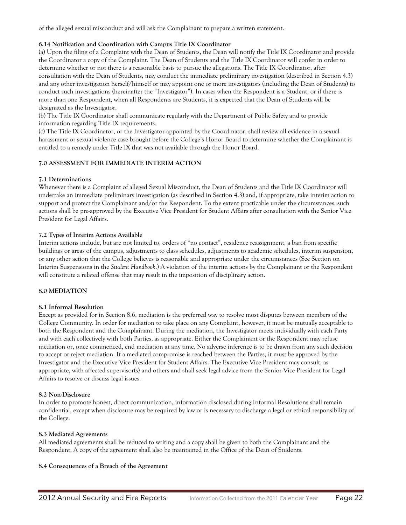of the alleged sexual misconduct and will ask the Complainant to prepare a written statement.

#### **6.14 Notification and Coordination with Campus Title IX Coordinator**

(a) Upon the filing of a Complaint with the Dean of Students, the Dean will notify the Title IX Coordinator and provide the Coordinator a copy of the Complaint. The Dean of Students and the Title IX Coordinator will confer in order to determine whether or not there is a reasonable basis to pursue the allegations. The Title IX Coordinator, after consultation with the Dean of Students, may conduct the immediate preliminary investigation (described in Section 4.3) and any other investigation herself/himself or may appoint one or more investigators (including the Dean of Students) to conduct such investigations (hereinafter the "Investigator"). In cases when the Respondent is a Student, or if there is more than one Respondent, when all Respondents are Students, it is expected that the Dean of Students will be designated as the Investigator.

(b) The Title IX Coordinator shall communicate regularly with the Department of Public Safety and to provide information regarding Title IX requirements.

(c) The Title IX Coordinator, or the Investigator appointed by the Coordinator, shall review all evidence in a sexual harassment or sexual violence case brought before the College's Honor Board to determine whether the Complainant is entitled to a remedy under Title IX that was not available through the Honor Board.

#### **7.0 ASSESSMENT FOR IMMEDIATE INTERIM ACTION**

#### **7.1 Determinations**

Whenever there is a Complaint of alleged Sexual Misconduct, the Dean of Students and the Title IX Coordinator will undertake an immediate preliminary investigation (as described in Section 4.3) and, if appropriate, take interim action to support and protect the Complainant and/or the Respondent. To the extent practicable under the circumstances, such actions shall be pre-approved by the Executive Vice President for Student Affairs after consultation with the Senior Vice President for Legal Affairs.

#### **7.2 Types of Interim Actions Available**

Interim actions include, but are not limited to, orders of "no contact", residence reassignment, a ban from specific buildings or areas of the campus, adjustments to class schedules, adjustments to academic schedules, interim suspension, or any other action that the College believes is reasonable and appropriate under the circumstances (See Section on Interim Suspensions in the *Student Handbook*.) A violation of the interim actions by the Complainant or the Respondent will constitute a related offense that may result in the imposition of disciplinary action.

#### **8.0 MEDIATION**

#### **8.1 Informal Resolution**

Except as provided for in Section 8.6, mediation is the preferred way to resolve most disputes between members of the College Community. In order for mediation to take place on any Complaint, however, it must be mutually acceptable to both the Respondent and the Complainant. During the mediation, the Investigator meets individually with each Party and with each collectively with both Parties, as appropriate. Either the Complainant or the Respondent may refuse mediation or, once commenced, end mediation at any time. No adverse inference is to be drawn from any such decision to accept or reject mediation. If a mediated compromise is reached between the Parties, it must be approved by the Investigator and the Executive Vice President for Student Affairs. The Executive Vice President may consult, as appropriate, with affected supervisor(s) and others and shall seek legal advice from the Senior Vice President for Legal Affairs to resolve or discuss legal issues.

#### **8.2 Non-Disclosure**

In order to promote honest, direct communication, information disclosed during Informal Resolutions shall remain confidential, except when disclosure may be required by law or is necessary to discharge a legal or ethical responsibility of the College.

#### **8.3 Mediated Agreements**

All mediated agreements shall be reduced to writing and a copy shall be given to both the Complainant and the Respondent. A copy of the agreement shall also be maintained in the Office of the Dean of Students.

#### **8.4 Consequences of a Breach of the Agreement**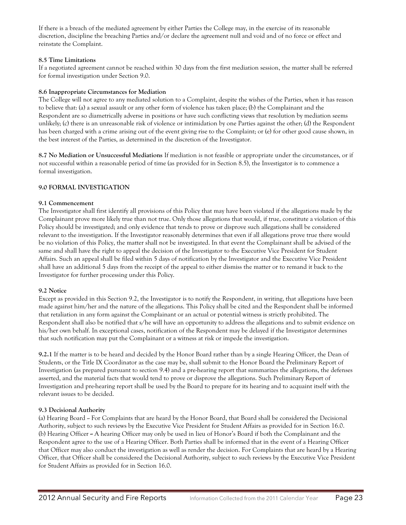If there is a breach of the mediated agreement by either Parties the College may, in the exercise of its reasonable discretion, discipline the breaching Parties and/or declare the agreement null and void and of no force or effect and reinstate the Complaint.

### **8.5 Time Limitations**

If a negotiated agreement cannot be reached within 30 days from the first mediation session, the matter shall be referred for formal investigation under Section 9.0.

#### **8.6 Inappropriate Circumstances for Mediation**

The College will not agree to any mediated solution to a Complaint, despite the wishes of the Parties, when it has reason to believe that: (a) a sexual assault or any other form of violence has taken place; (b) the Complainant and the Respondent are so diametrically adverse in positions or have such conflicting views that resolution by mediation seems unlikely; (c) there is an unreasonable risk of violence or intimidation by one Parties against the other; (d) the Respondent has been charged with a crime arising out of the event giving rise to the Complaint; or (e) for other good cause shown, in the best interest of the Parties, as determined in the discretion of the Investigator.

**8.7 No Mediation or Unsuccessful Mediations** If mediation is not feasible or appropriate under the circumstances, or if not successful within a reasonable period of time (as provided for in Section 8.5), the Investigator is to commence a formal investigation.

#### **9.0 FORMAL INVESTIGATION**

#### **9.1 Commencement**

The Investigator shall first identify all provisions of this Policy that may have been violated if the allegations made by the Complainant prove more likely true than not true. Only those allegations that would, if true, constitute a violation of this Policy should be investigated; and only evidence that tends to prove or disprove such allegations shall be considered relevant to the investigation. If the Investigator reasonably determines that even if all allegations prove true there would be no violation of this Policy, the matter shall not be investigated. In that event the Complainant shall be advised of the same and shall have the right to appeal the decision of the Investigator to the Executive Vice President for Student Affairs. Such an appeal shall be filed within 5 days of notification by the Investigator and the Executive Vice President shall have an additional 5 days from the receipt of the appeal to either dismiss the matter or to remand it back to the Investigator for further processing under this Policy.

#### **9.2 Notice**

Except as provided in this Section 9.2, the Investigator is to notify the Respondent, in writing, that allegations have been made against him/her and the nature of the allegations. This Policy shall be cited and the Respondent shall be informed that retaliation in any form against the Complainant or an actual or potential witness is strictly prohibited. The Respondent shall also be notified that s/he will have an opportunity to address the allegations and to submit evidence on his/her own behalf. In exceptional cases, notification of the Respondent may be delayed if the Investigator determines that such notification may put the Complainant or a witness at risk or impede the investigation.

**9.2.1** If the matter is to be heard and decided by the Honor Board rather than by a single Hearing Officer, the Dean of Students, or the Title IX Coordinator as the case may be, shall submit to the Honor Board the Preliminary Report of Investigation (as prepared pursuant to section 9.4) and a pre-hearing report that summarizes the allegations, the defenses asserted, and the material facts that would tend to prove or disprove the allegations. Such Preliminary Report of Investigation and pre-hearing report shall be used by the Board to prepare for its hearing and to acquaint itself with the relevant issues to be decided.

### **9.3 Decisional Authority**

(a) Hearing Board -- For Complaints that are heard by the Honor Board, that Board shall be considered the Decisional Authority, subject to such reviews by the Executive Vice President for Student Affairs as provided for in Section 16.0. (b) Hearing Officer **--** A hearing Officer may only be used in lieu of Honor's Board if both the Complainant and the Respondent agree to the use of a Hearing Officer. Both Parties shall be informed that in the event of a Hearing Officer that Officer may also conduct the investigation as well as render the decision. For Complaints that are heard by a Hearing Officer, that Officer shall be considered the Decisional Authority, subject to such reviews by the Executive Vice President for Student Affairs as provided for in Section 16.0.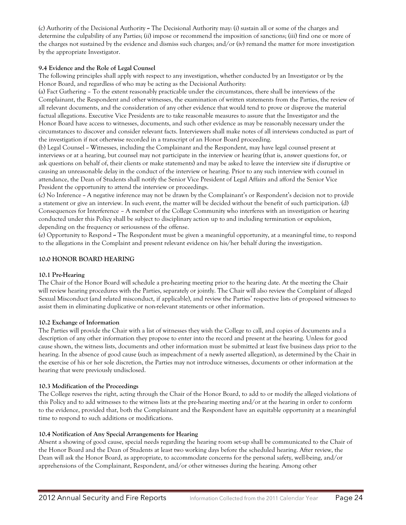(c) Authority of the Decisional Authority **--** The Decisional Authority may: (i) sustain all or some of the charges and determine the culpability of any Parties; (ii) impose or recommend the imposition of sanctions; (iii) find one or more of the charges not sustained by the evidence and dismiss such charges; and/or (iv) remand the matter for more investigation by the appropriate Investigator.

### **9.4 Evidence and the Role of Legal Counsel**

The following principles shall apply with respect to any investigation, whether conducted by an Investigator or by the Honor Board, and regardless of who may be acting as the Decisional Authority:

(a) Fact Gathering – To the extent reasonably practicable under the circumstances, there shall be interviews of the Complainant, the Respondent and other witnesses, the examination of written statements from the Parties, the review of all relevant documents, and the consideration of any other evidence that would tend to prove or disprove the material factual allegations. Executive Vice Presidents are to take reasonable measures to assure that the Investigator and the Honor Board have access to witnesses, documents, and such other evidence as may be reasonably necessary under the circumstances to discover and consider relevant facts. Interviewers shall make notes of all interviews conducted as part of the investigation if not otherwise recorded in a transcript of an Honor Board proceeding.

(b) Legal Counsel -- Witnesses, including the Complainant and the Respondent, may have legal counsel present at interviews or at a hearing, but counsel may not participate in the interview or hearing (that is, answer questions for, or ask questions on behalf of, their clients or make statements) and may be asked to leave the interview site if disruptive or causing an unreasonable delay in the conduct of the interview or hearing. Prior to any such interview with counsel in attendance, the Dean of Students shall notify the Senior Vice President of Legal Affairs and afford the Senior Vice President the opportunity to attend the interview or proceedings.

(c) No Inference -- A negative inference may not be drawn by the Complainant's or Respondent's decision not to provide a statement or give an interview. In such event, the matter will be decided without the benefit of such participation. (d) Consequences for Interference – A member of the College Community who interferes with an investigation or hearing conducted under this Policy shall be subject to disciplinary action up to and including termination or expulsion, depending on the frequency or seriousness of the offense.

(e) Opportunity to Respond **--** The Respondent must be given a meaningful opportunity, at a meaningful time, to respond to the allegations in the Complaint and present relevant evidence on his/her behalf during the investigation.

### **10.0 HONOR BOARD HEARING**

#### **10.1 Pre-Hearing**

The Chair of the Honor Board will schedule a pre-hearing meeting prior to the hearing date. At the meeting the Chair will review hearing procedures with the Parties, separately or jointly. The Chair will also review the Complaint of alleged Sexual Misconduct (and related misconduct, if applicable), and review the Parties' respective lists of proposed witnesses to assist them in eliminating duplicative or non-relevant statements or other information.

#### **10.2 Exchange of Information**

The Parties will provide the Chair with a list of witnesses they wish the College to call, and copies of documents and a description of any other information they propose to enter into the record and present at the hearing. Unless for good cause shown, the witness lists, documents and other information must be submitted at least five business days prior to the hearing. In the absence of good cause (such as impeachment of a newly asserted allegation), as determined by the Chair in the exercise of his or her sole discretion, the Parties may not introduce witnesses, documents or other information at the hearing that were previously undisclosed.

#### **10.3 Modification of the Proceedings**

The College reserves the right, acting through the Chair of the Honor Board, to add to or modify the alleged violations of this Policy and to add witnesses to the witness lists at the pre-hearing meeting and/or at the hearing in order to conform to the evidence, provided that, both the Complainant and the Respondent have an equitable opportunity at a meaningful time to respond to such additions or modifications.

### **10.4 Notification of Any Special Arrangements for Hearing**

Absent a showing of good cause, special needs regarding the hearing room set-up shall be communicated to the Chair of the Honor Board and the Dean of Students at least two working days before the scheduled hearing. After review, the Dean will ask the Honor Board, as appropriate, to accommodate concerns for the personal safety, well-being, and/or apprehensions of the Complainant, Respondent, and/or other witnesses during the hearing. Among other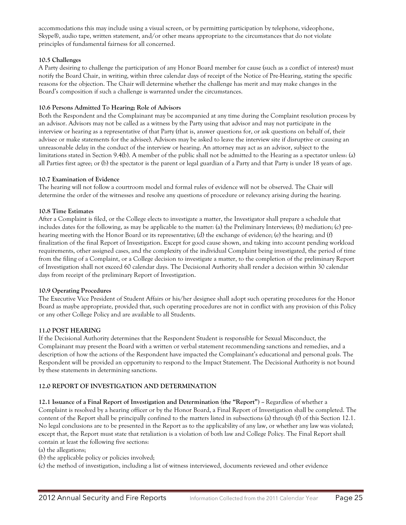accommodations this may include using a visual screen, or by permitting participation by telephone, videophone, Skype®, audio tape, written statement, and/or other means appropriate to the circumstances that do not violate principles of fundamental fairness for all concerned.

### **10.5 Challenges**

A Party desiring to challenge the participation of any Honor Board member for cause (such as a conflict of interest) must notify the Board Chair, in writing, within three calendar days of receipt of the Notice of Pre-Hearing, stating the specific reasons for the objection. The Chair will determine whether the challenge has merit and may make changes in the Board's composition if such a challenge is warranted under the circumstances.

#### **10.6 Persons Admitted To Hearing; Role of Advisors**

Both the Respondent and the Complainant may be accompanied at any time during the Complaint resolution process by an advisor. Advisors may not be called as a witness by the Party using that advisor and may not participate in the interview or hearing as a representative of that Party (that is, answer questions for, or ask questions on behalf of, their advisee or make statements for the advisee). Advisors may be asked to leave the interview site if disruptive or causing an unreasonable delay in the conduct of the interview or hearing. An attorney may act as an advisor, subject to the limitations stated in Section 9.4(b). A member of the public shall not be admitted to the Hearing as a spectator unless: (a) all Parties first agree; or (b) the spectator is the parent or legal guardian of a Party and that Party is under 18 years of age.

#### **10.7 Examination of Evidence**

The hearing will not follow a courtroom model and formal rules of evidence will not be observed. The Chair will determine the order of the witnesses and resolve any questions of procedure or relevancy arising during the hearing.

#### **10.8 Time Estimates**

After a Complaint is filed, or the College elects to investigate a matter, the Investigator shall prepare a schedule that includes dates for the following, as may be applicable to the matter: (a) the Preliminary Interviews; (b) mediation; (c) prehearing meeting with the Honor Board or its representative; (d) the exchange of evidence; (e) the hearing; and (f) finalization of the final Report of Investigation. Except for good cause shown, and taking into account pending workload requirements, other assigned cases, and the complexity of the individual Complaint being investigated, the period of time from the filing of a Complaint, or a College decision to investigate a matter, to the completion of the preliminary Report of Investigation shall not exceed 60 calendar days. The Decisional Authority shall render a decision within 30 calendar days from receipt of the preliminary Report of Investigation.

#### **10.9 Operating Procedures**

The Executive Vice President of Student Affairs or his/her designee shall adopt such operating procedures for the Honor Board as maybe appropriate, provided that, such operating procedures are not in conflict with any provision of this Policy or any other College Policy and are available to all Students.

#### **11.0 POST HEARING**

If the Decisional Authority determines that the Respondent Student is responsible for Sexual Misconduct, the Complainant may present the Board with a written or verbal statement recommending sanctions and remedies, and a description of how the actions of the Respondent have impacted the Complainant's educational and personal goals. The Respondent will be provided an opportunity to respond to the Impact Statement. The Decisional Authority is not bound by these statements in determining sanctions.

### **12.0 REPORT OF INVESTIGATION AND DETERMINATION**

**12.1 Issuance of a Final Report of Investigation and Determination (the "Report")** – Regardless of whether a Complaint is resolved by a hearing officer or by the Honor Board, a Final Report of Investigation shall be completed. The content of the Report shall be principally confined to the matters listed in subsections (a) through (f) of this Section 12.1. No legal conclusions are to be presented in the Report as to the applicability of any law, or whether any law was violated; except that, the Report must state that retaliation is a violation of both law and College Policy. The Final Report shall contain at least the following five sections:

#### (a) the allegations;

- (b) the applicable policy or policies involved;
- (c) the method of investigation, including a list of witness interviewed, documents reviewed and other evidence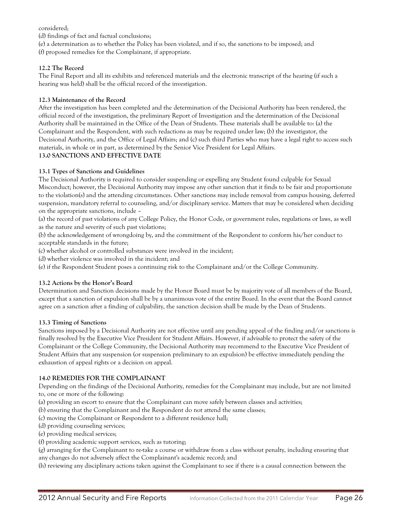#### considered;

(d) findings of fact and factual conclusions;

(e) a determination as to whether the Policy has been violated, and if so, the sanctions to be imposed; and (f) proposed remedies for the Complainant, if appropriate.

### **12.2 The Record**

The Final Report and all its exhibits and referenced materials and the electronic transcript of the hearing (if such a hearing was held) shall be the official record of the investigation.

### **12.3 Maintenance of the Record**

After the investigation has been completed and the determination of the Decisional Authority has been rendered, the official record of the investigation, the preliminary Report of Investigation and the determination of the Decisional Authority shall be maintained in the Office of the Dean of Students. These materials shall be available to: (a) the Complainant and the Respondent, with such redactions as may be required under law; (b) the investigator, the Decisional Authority, and the Office of Legal Affairs; and (c) such third Parties who may have a legal right to access such materials, in whole or in part, as determined by the Senior Vice President for Legal Affairs. **13.0 SANCTIONS AND EFFECTIVE DATE** 

#### **13.1 Types of Sanctions and Guidelines**

The Decisional Authority is required to consider suspending or expelling any Student found culpable for Sexual Misconduct; however, the Decisional Authority may impose any other sanction that it finds to be fair and proportionate to the violation(s) and the attending circumstances. Other sanctions may include removal from campus housing, deferred suspension, mandatory referral to counseling, and/or disciplinary service. Matters that may be considered when deciding on the appropriate sanctions, include –

(a) the record of past violations of any College Policy, the Honor Code, or government rules, regulations or laws, as well as the nature and severity of such past violations;

(b) the acknowledgement of wrongdoing by, and the commitment of the Respondent to conform his/her conduct to acceptable standards in the future;

(c) whether alcohol or controlled substances were involved in the incident;

(d) whether violence was involved in the incident; and

(e) if the Respondent Student poses a continuing risk to the Complainant and/or the College Community.

### **13.2 Actions by the Honor's Board**

Determination and Sanction decisions made by the Honor Board must be by majority vote of all members of the Board, except that a sanction of expulsion shall be by a unanimous vote of the entire Board. In the event that the Board cannot agree on a sanction after a finding of culpability, the sanction decision shall be made by the Dean of Students.

#### **13.3 Timing of Sanctions**

Sanctions imposed by a Decisional Authority are not effective until any pending appeal of the finding and/or sanctions is finally resolved by the Executive Vice President for Student Affairs. However, if advisable to protect the safety of the Complainant or the College Community, the Decisional Authority may recommend to the Executive Vice President of Student Affairs that any suspension (or suspension preliminary to an expulsion) be effective immediately pending the exhaustion of appeal rights or a decision on appeal.

### **14.0 REMEDIES FOR THE COMPLAINANT**

Depending on the findings of the Decisional Authority, remedies for the Complainant may include, but are not limited to, one or more of the following:

- (a) providing an escort to ensure that the Complainant can move safely between classes and activities;
- (b) ensuring that the Complainant and the Respondent do not attend the same classes;
- (c) moving the Complainant or Respondent to a different residence hall;
- (d) providing counseling services;
- (e) providing medical services;
- (f) providing academic support services, such as tutoring;

(g) arranging for the Complainant to re-take a course or withdraw from a class without penalty, including ensuring that any changes do not adversely affect the Complainant's academic record; and

(h) reviewing any disciplinary actions taken against the Complainant to see if there is a causal connection between the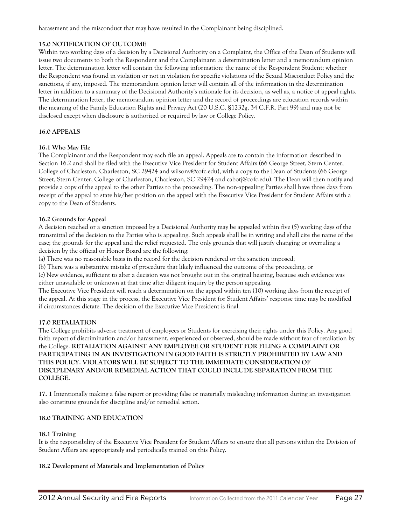harassment and the misconduct that may have resulted in the Complainant being disciplined.

### **15.0 NOTIFICATION OF OUTCOME**

Within two working days of a decision by a Decisional Authority on a Complaint, the Office of the Dean of Students will issue two documents to both the Respondent and the Complainant: a determination letter and a memorandum opinion letter. The determination letter will contain the following information: the name of the Respondent Student; whether the Respondent was found in violation or not in violation for specific violations of the Sexual Misconduct Policy and the sanctions, if any, imposed. The memorandum opinion letter will contain all of the information in the determination letter in addition to a summary of the Decisional Authority's rationale for its decision, as well as, a notice of appeal rights. The determination letter, the memorandum opinion letter and the record of proceedings are education records within the meaning of the Family Education Rights and Privacy Act (20 U.S.C. §1232g, 34 C.F.R. Part 99) and may not be disclosed except when disclosure is authorized or required by law or College Policy.

### **16.0 APPEALS**

#### **16.1 Who May File**

The Complainant and the Respondent may each file an appeal. Appeals are to contain the information described in Section 16.2 and shall be filed with the Executive Vice President for Student Affairs (66 George Street, Stern Center, College of Charleston, Charleston, SC 29424 and wilsonv@cofc.edu), with a copy to the Dean of Students (66 George Street, Stern Center, College of Charleston, Charleston, SC 29424 and cabotj@cofc.edu). The Dean will then notify and provide a copy of the appeal to the other Parties to the proceeding. The non-appealing Parties shall have three days from receipt of the appeal to state his/her position on the appeal with the Executive Vice President for Student Affairs with a copy to the Dean of Students.

#### **16.2 Grounds for Appeal**

A decision reached or a sanction imposed by a Decisional Authority may be appealed within five (5) working days of the transmittal of the decision to the Parties who is appealing. Such appeals shall be in writing and shall cite the name of the case; the grounds for the appeal and the relief requested. The only grounds that will justify changing or overruling a decision by the official or Honor Board are the following:

(a) There was no reasonable basis in the record for the decision rendered or the sanction imposed;

(b) There was a substantive mistake of procedure that likely influenced the outcome of the proceeding; or

(c) New evidence, sufficient to alter a decision was not brought out in the original hearing, because such evidence was either unavailable or unknown at that time after diligent inquiry by the person appealing.

The Executive Vice President will reach a determination on the appeal within ten (10) working days from the receipt of the appeal. At this stage in the process, the Executive Vice President for Student Affairs' response time may be modified if circumstances dictate. The decision of the Executive Vice President is final.

### **17.0 RETALIATION**

The College prohibits adverse treatment of employees or Students for exercising their rights under this Policy. Any good faith report of discrimination and/or harassment, experienced or observed, should be made without fear of retaliation by the College. **RETALIATION AGAINST ANY EMPLOYEE OR STUDENT FOR FILING A COMPLAINT OR PARTICIPATING IN AN INVESTIGATION IN GOOD FAITH IS STRICTLY PROHIBITED BY LAW AND THIS POLICY. VIOLATORS WILL BE SUBJECT TO THE IMMEDIATE CONSIDERATION OF DISCIPLINARY AND/OR REMEDIAL ACTION THAT COULD INCLUDE SEPARATION FROM THE COLLEGE.** 

**17. 1** Intentionally making a false report or providing false or materially misleading information during an investigation also constitute grounds for discipline and/or remedial action.

#### **18.0 TRAINING AND EDUCATION**

#### **18.1 Training**

It is the responsibility of the Executive Vice President for Student Affairs to ensure that all persons within the Division of Student Affairs are appropriately and periodically trained on this Policy.

### **18.2 Development of Materials and Implementation of Policy**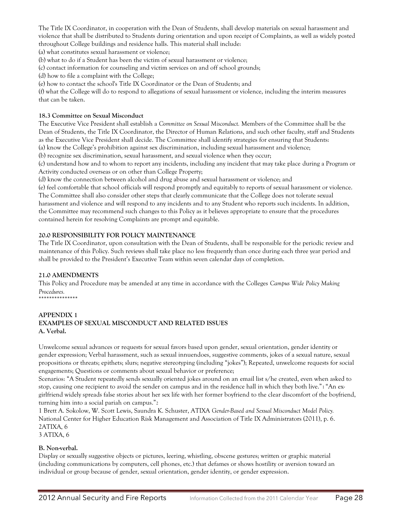The Title IX Coordinator, in cooperation with the Dean of Students, shall develop materials on sexual harassment and violence that shall be distributed to Students during orientation and upon receipt of Complaints, as well as widely posted throughout College buildings and residence halls. This material shall include:

(a) what constitutes sexual harassment or violence;

(b) what to do if a Student has been the victim of sexual harassment or violence;

(c) contact information for counseling and victim services on and off school grounds;

(d) how to file a complaint with the College;

(e) how to contact the school's Title IX Coordinator or the Dean of Students; and

(f) what the College will do to respond to allegations of sexual harassment or violence, including the interim measures that can be taken.

#### **18.3 Committee on Sexual Misconduct**

The Executive Vice President shall establish a *Committee on Sexual Misconduct.* Members of the Committee shall be the Dean of Students, the Title IX Coordinator, the Director of Human Relations, and such other faculty, staff and Students as the Executive Vice President shall decide. The Committee shall identify strategies for ensuring that Students: (a) know the College's prohibition against sex discrimination, including sexual harassment and violence;

(b) recognize sex discrimination, sexual harassment, and sexual violence when they occur;

(c) understand how and to whom to report any incidents, including any incident that may take place during a Program or Activity conducted overseas or on other than College Property;

(d) know the connection between alcohol and drug abuse and sexual harassment or violence; and

(e) feel comfortable that school officials will respond promptly and equitably to reports of sexual harassment or violence. The Committee shall also consider other steps that clearly communicate that the College does not tolerate sexual harassment and violence and will respond to any incidents and to any Student who reports such incidents. In addition, the Committee may recommend such changes to this Policy as it believes appropriate to ensure that the procedures contained herein for resolving Complaints are prompt and equitable.

### **20.0 RESPONSIBILITY FOR POLICY MAINTENANCE**

The Title IX Coordinator, upon consultation with the Dean of Students, shall be responsible for the periodic review and maintenance of this Policy. Such reviews shall take place no less frequently than once during each three year period and shall be provided to the President's Executive Team within seven calendar days of completion.

### **21.0 AMENDMENTS**

This Policy and Procedure may be amended at any time in accordance with the Colleges *Campus Wide Policy Making Procedures.* 

### \*\*\*\*\*\*\*\*\*\*\*\*\*\*\*

#### **APPENDIX 1 EXAMPLES OF SEXUAL MISCONDUCT AND RELATED ISSUES A. Verbal.**

Unwelcome sexual advances or requests for sexual favors based upon gender, sexual orientation, gender identity or gender expression; Verbal harassment, such as sexual innuendoes, suggestive comments, jokes of a sexual nature, sexual propositions or threats; epithets; slurs; negative stereotyping (including "jokes"); Repeated, unwelcome requests for social engagements; Questions or comments about sexual behavior or preference;

Scenarios: "A Student repeatedly sends sexually oriented jokes around on an email list s/he created, even when asked to stop, causing one recipient to avoid the sender on campus and in the residence hall in which they both live."1 "An exgirlfriend widely spreads false stories about her sex life with her former boyfriend to the clear discomfort of the boyfriend, turning him into a social pariah on campus."<sup>2</sup>

1 Brett A. Sokolow, W. Scott Lewis, Saundra K. Schuster, ATIXA *Gender-Based and Sexual Misconduct Model Policy.*  National Center for Higher Education Risk Management and Association of Title IX Administrators (2011), p. 6. 2ATIXA, 6

3 ATIXA, 6

### **B. Non-verbal.**

Display or sexually suggestive objects or pictures, leering, whistling, obscene gestures; written or graphic material (including communications by computers, cell phones, etc.) that defames or shows hostility or aversion toward an individual or group because of gender, sexual orientation, gender identity, or gender expression.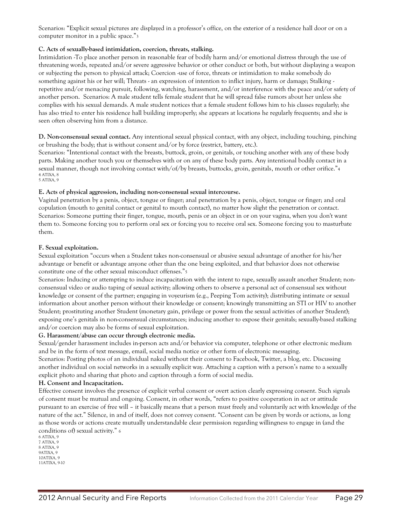Scenarios: "Explicit sexual pictures are displayed in a professor's office, on the exterior of a residence hall door or on a computer monitor in a public space."<sup>3</sup>

### **C. Acts of sexually-based intimidation, coercion, threats, stalking.**

Intimidation -To place another person in reasonable fear of bodily harm and/or emotional distress through the use of threatening words, repeated and/or severe aggressive behavior or other conduct or both, but without displaying a weapon or subjecting the person to physical attack; Coercion -use of force, threats or intimidation to make somebody do something against his or her will; Threats - an expression of intention to inflict injury, harm or damage; Stalking repetitive and/or menacing pursuit, following, watching, harassment, and/or interference with the peace and/or safety of another person. Scenarios: A male student tells female student that he will spread false rumors about her unless she complies with his sexual demands. A male student notices that a female student follows him to his classes regularly; she has also tried to enter his residence hall building improperly; she appears at locations he regularly frequents; and she is seen often observing him from a distance.

**D. Non-consensual sexual contact.** Any intentional sexual physical contact, with any object, including touching, pinching or brushing the body; that is without consent and/or by force (restrict, battery, etc.).

Scenarios: "Intentional contact with the breasts, buttock, groin, or genitals, or touching another with any of these body parts. Making another touch you or themselves with or on any of these body parts. Any intentional bodily contact in a sexual manner, though not involving contact with/of/by breasts, buttocks, groin, genitals, mouth or other orifice."<sup>4</sup> 4 ATIXA, 8 5 ATIXA, 9

#### **E. Acts of physical aggression, including non-consensual sexual intercourse.**

Vaginal penetration by a penis, object, tongue or finger; anal penetration by a penis, object, tongue or finger; and oral copulation (mouth to genital contact or genital to mouth contact), no matter how slight the penetration or contact. Scenarios: Someone putting their finger, tongue, mouth, penis or an object in or on your vagina, when you don't want them to. Someone forcing you to perform oral sex or forcing you to receive oral sex. Someone forcing you to masturbate them.

#### **F. Sexual exploitation.**

Sexual exploitation "occurs when a Student takes non-consensual or abusive sexual advantage of another for his/her advantage or benefit or advantage anyone other than the one being exploited, and that behavior does not otherwise constitute one of the other sexual misconduct offenses."<sup>5</sup>

Scenarios: Inducing or attempting to induce incapacitation with the intent to rape, sexually assault another Student; nonconsensual video or audio taping of sexual activity; allowing others to observe a personal act of consensual sex without knowledge or consent of the partner; engaging in voyeurism (e.g., Peeping Tom activity); distributing intimate or sexual information about another person without their knowledge or consent; knowingly transmitting an STI or HIV to another Student; prostituting another Student (monetary gain, privilege or power from the sexual activities of another Student); exposing one's genitals in non-consensual circumstances; inducing another to expose their genitals; sexually-based stalking and/or coercion may also be forms of sexual exploitation.

### **G. Harassment/abuse can occur through electronic media.**

Sexual/gender harassment includes in-person acts and/or behavior via computer, telephone or other electronic medium and be in the form of text message, email, social media notice or other form of electronic messaging. Scenarios: Posting photos of an individual naked without their consent to Facebook, Twitter, a blog, etc. Discussing another individual on social networks in a sexually explicit way. Attaching a caption with a person's name to a sexually explicit photo and sharing that photo and caption through a form of social media.

### **H. Consent and Incapacitation.**

Effective consent involves the presence of explicit verbal consent or overt action clearly expressing consent. Such signals of consent must be mutual and ongoing. Consent, in other words, "refers to positive cooperation in act or attitude pursuant to an exercise of free will – it basically means that a person must freely and voluntarily act with knowledge of the nature of the act." Silence, in and of itself, does not convey consent. "Consent can be given by words or actions, as long as those words or actions create mutually understandable clear permission regarding willingness to engage in (and the conditions of) sexual activity." <sup>6</sup>

6 ATIXA, 9 7 ATIXA, 9 8 ATIXA, 9 9ATIXA, 9 10ATIXA, 9 11ATIXA, 9-10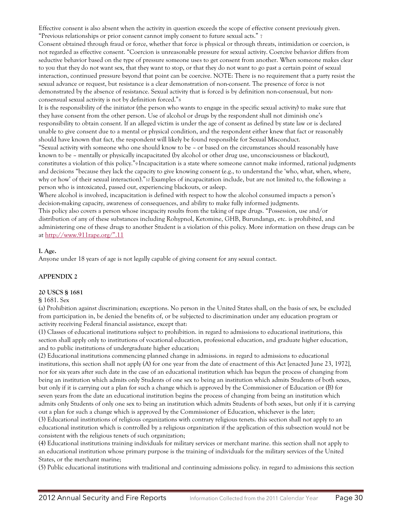Effective consent is also absent when the activity in question exceeds the scope of effective consent previously given. "Previous relationships or prior consent cannot imply consent to future sexual acts." <sup>7</sup>

Consent obtained through fraud or force, whether that force is physical or through threats, intimidation or coercion, is not regarded as effective consent. "Coercion is unreasonable pressure for sexual activity. Coercive behavior differs from seductive behavior based on the type of pressure someone uses to get consent from another. When someone makes clear to you that they do not want sex, that they want to stop, or that they do not want to go past a certain point of sexual interaction, continued pressure beyond that point can be coercive. NOTE: There is no requirement that a party resist the sexual advance or request, but resistance is a clear demonstration of non-consent. The presence of force is not demonstrated by the absence of resistance. Sexual activity that is forced is by definition non-consensual, but nonconsensual sexual activity is not by definition forced."<sup>8</sup>

It is the responsibility of the initiator (the person who wants to engage in the specific sexual activity) to make sure that they have consent from the other person. Use of alcohol or drugs by the respondent shall not diminish one's responsibility to obtain consent. If an alleged victim is under the age of consent as defined by state law or is declared unable to give consent due to a mental or physical condition, and the respondent either knew that fact or reasonably should have known that fact, the respondent will likely be found responsible for Sexual Misconduct.

"Sexual activity with someone who one should know to be – or based on the circumstances should reasonably have known to be – mentally or physically incapacitated (by alcohol or other drug use, unconsciousness or blackout), constitutes a violation of this policy."9 Incapacitation is a state where someone cannot make informed, rational judgments and decisions "because they lack the capacity to give knowing consent (e.g., to understand the 'who, what, when, where, why or how' of their sexual interaction)."10 Examples of incapacitation include, but are not limited to, the following: a person who is intoxicated, passed out, experiencing blackouts, or asleep.

Where alcohol is involved, incapacitation is defined with respect to how the alcohol consumed impacts a person's decision-making capacity, awareness of consequences, and ability to make fully informed judgments.

This policy also covers a person whose incapacity results from the taking of rape drugs. "Possession, use and/or distribution of any of these substances including Rohypnol, Ketomine, GHB, Burundanga, etc. is prohibited, and administering one of these drugs to another Student is a violation of this policy. More information on these drugs can be at [http://www.911rape.org/".11](http://www.911rape.org/)

#### **I. Age.**

Anyone under 18 years of age is not legally capable of giving consent for any sexual contact.

### **APPENDIX 2**

#### **20 USCS § 1681**

#### § 1681. Sex

(a) Prohibition against discrimination; exceptions. No person in the United States shall, on the basis of sex, be excluded from participation in, be denied the benefits of, or be subjected to discrimination under any education program or activity receiving Federal financial assistance, except that:

(1) Classes of educational institutions subject to prohibition. in regard to admissions to educational institutions, this section shall apply only to institutions of vocational education, professional education, and graduate higher education, and to public institutions of undergraduate higher education;

(2) Educational institutions commencing planned change in admissions. in regard to admissions to educational institutions, this section shall not apply (A) for one year from the date of enactment of this Act [enacted June 23, 1972], nor for six years after such date in the case of an educational institution which has begun the process of changing from being an institution which admits only Students of one sex to being an institution which admits Students of both sexes, but only if it is carrying out a plan for such a change which is approved by the Commissioner of Education or (B) for seven years from the date an educational institution begins the process of changing from being an institution which admits only Students of only one sex to being an institution which admits Students of both sexes, but only if it is carrying out a plan for such a change which is approved by the Commissioner of Education, whichever is the later;

(3) Educational institutions of religious organizations with contrary religious tenets. this section shall not apply to an educational institution which is controlled by a religious organization if the application of this subsection would not be consistent with the religious tenets of such organization;

(4) Educational institutions training individuals for military services or merchant marine. this section shall not apply to an educational institution whose primary purpose is the training of individuals for the military services of the United States, or the merchant marine;

(5) Public educational institutions with traditional and continuing admissions policy. in regard to admissions this section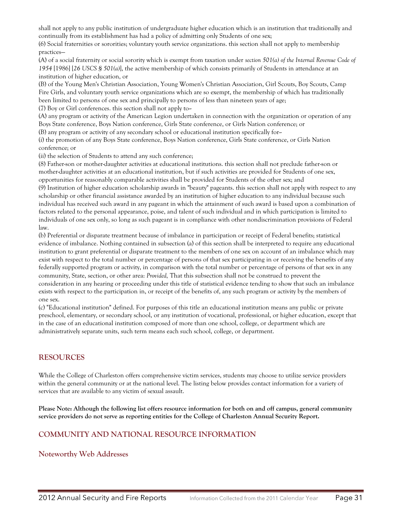shall not apply to any public institution of undergraduate higher education which is an institution that traditionally and continually from its establishment has had a policy of admitting only Students of one sex;

(6) Social fraternities or sororities; voluntary youth service organizations. this section shall not apply to membership practices—

(A) of a social fraternity or social sorority which is exempt from taxation under *section 501(a) of the Internal Revenue Code of 1954* [1986] [*26 USCS § 501(a)*], the active membership of which consists primarily of Students in attendance at an institution of higher education, or

(B) of the Young Men's Christian Association, Young Women's Christian Association, Girl Scouts, Boy Scouts, Camp Fire Girls, and voluntary youth service organizations which are so exempt, the membership of which has traditionally been limited to persons of one sex and principally to persons of less than nineteen years of age;

(7) Boy or Girl conferences. this section shall not apply to--

(A) any program or activity of the American Legion undertaken in connection with the organization or operation of any Boys State conference, Boys Nation conference, Girls State conference, or Girls Nation conference; or

(B) any program or activity of any secondary school or educational institution specifically for--

(i) the promotion of any Boys State conference, Boys Nation conference, Girls State conference, or Girls Nation conference; or

(ii) the selection of Students to attend any such conference;

(8) Father-son or mother-daughter activities at educational institutions. this section shall not preclude father-son or mother-daughter activities at an educational institution, but if such activities are provided for Students of one sex, opportunities for reasonably comparable activities shall be provided for Students of the other sex; and

(9) Institution of higher education scholarship awards in "beauty" pageants. this section shall not apply with respect to any scholarship or other financial assistance awarded by an institution of higher education to any individual because such individual has received such award in any pageant in which the attainment of such award is based upon a combination of factors related to the personal appearance, poise, and talent of such individual and in which participation is limited to individuals of one sex only, so long as such pageant is in compliance with other nondiscrimination provisions of Federal law.

(b) Preferential or disparate treatment because of imbalance in participation or receipt of Federal benefits; statistical evidence of imbalance. Nothing contained in subsection (a) of this section shall be interpreted to require any educational institution to grant preferential or disparate treatment to the members of one sex on account of an imbalance which may exist with respect to the total number or percentage of persons of that sex participating in or receiving the benefits of any federally supported program or activity, in comparison with the total number or percentage of persons of that sex in any community, State, section, or other area: *Provided,* That this subsection shall not be construed to prevent the consideration in any hearing or proceeding under this title of statistical evidence tending to show that such an imbalance exists with respect to the participation in, or receipt of the benefits of, any such program or activity by the members of one sex.

(c) "Educational institution" defined. For purposes of this title an educational institution means any public or private preschool, elementary, or secondary school, or any institution of vocational, professional, or higher education, except that in the case of an educational institution composed of more than one school, college, or department which are administratively separate units, such term means each such school, college, or department.

# **RESOURCES**

While the College of Charleston offers comprehensive victim services, students may choose to utilize service providers within the general community or at the national level. The listing below provides contact information for a variety of services that are available to any victim of sexual assault.

**Please Note: Although the following list offers resource information for both on and off campus, general community service providers do not serve as reporting entities for the College of Charleston Annual Security Report.**

# **COMMUNITY AND NATIONAL RESOURCE INFORMATION**

# **Noteworthy Web Addresses**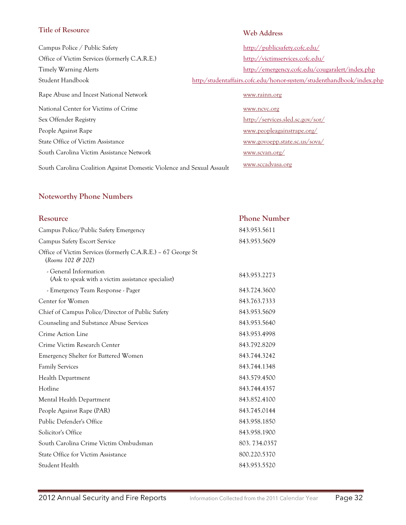# **Title of Resource Web Address**

Campus Police / Public Safety <http://publicsafety.cofc.edu/> Office of Victim Services (formerly C.A.R.E.) <http://victimservices.cofc.edu/> Timely Warning Alerts <http://emergency.cofc.edu/cougaralert/index.php> Student Handbook [http:/studentaffairs.cofc.edu/honor-system/studenthandbook/index.php](http://studentaffairs.cofc.edu/honor-system/studenthandbook/index.php) Rape Abuse and Incest National Network [www.rainn.org](http://www.rainn.org/) National Center for Victims of Crime [www.ncvc.org](http://www.ncvc.org/) Sex Offender Registry <http://services.sled.sc.gov/sor/> People Against Rape [www.peopleagainstrape.org/](http://www.peopleagainstrape.org/) State Office of Victim Assistance [www.govoepp.state.sc.us/sova/](http://www.govoepp.state.sc.us/sova/) South Carolina Victim Assistance Network [www.scvan.org/](http://www.scvan.org/) South Carolina Coalition Against Domestic Violence and Sexual Assault [www.sccadvasa.org](http://www.sccadvasa.org/)

# **Noteworthy Phone Numbers**

| Resource                                                                          | <b>Phone Number</b> |
|-----------------------------------------------------------------------------------|---------------------|
| Campus Police/Public Safety Emergency                                             | 843.953.5611        |
| <b>Campus Safety Escort Service</b>                                               | 843.953.5609        |
| Office of Victim Services (formerly C.A.R.E.) - 67 George St<br>(Rooms 102 & 202) |                     |
| - General Information<br>(Ask to speak with a victim assistance specialist)       | 843.953.2273        |
| - Emergency Team Response - Pager                                                 | 843.724.3600        |
| Center for Women                                                                  | 843.763.7333        |
| Chief of Campus Police/Director of Public Safety                                  | 843.953.5609        |
| Counseling and Substance Abuse Services                                           | 843.953.5640        |
| Crime Action Line                                                                 | 843.953.4998        |
| Crime Victim Research Center                                                      | 843.792.8209        |
| Emergency Shelter for Battered Women                                              | 843.744.3242        |
| <b>Family Services</b>                                                            | 843.744.1348        |
| Health Department                                                                 | 843.579.4500        |
| Hotline                                                                           | 843.744.4357        |
| Mental Health Department                                                          | 843.852.4100        |
| People Against Rape (PAR)                                                         | 843.745.0144        |
| Public Defender's Office                                                          | 843.958.1850        |
| Solicitor's Office                                                                | 843.958.1900        |
| South Carolina Crime Victim Ombudsman                                             | 803.734.0357        |
| State Office for Victim Assistance                                                | 800.220.5370        |
| Student Health                                                                    | 843.953.5520        |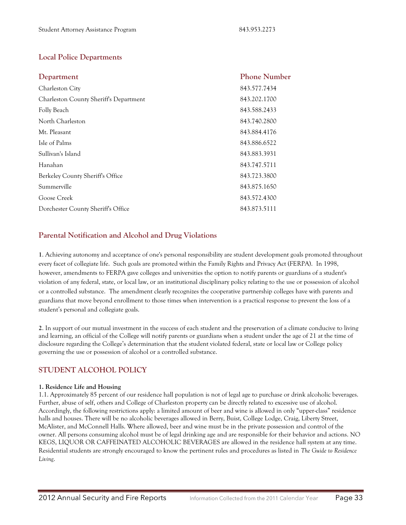# **Local Police Departments**

| <b>Phone Number</b> |
|---------------------|
| 843.577.7434        |
| 843.202.1700        |
| 843.588.2433        |
| 843.740.2800        |
| 843.884.4176        |
| 843.886.6522        |
| 843.883.3931        |
| 843.747.5711        |
| 843.723.3800        |
| 843.875.1650        |
| 843.572.4300        |
| 843.873.5111        |
|                     |

# **Parental Notification and Alcohol and Drug Violations**

**1**. Achieving autonomy and acceptance of one's personal responsibility are student development goals promoted throughout every facet of collegiate life. Such goals are promoted within the Family Rights and Privacy Act (FERPA). In 1998, however, amendments to FERPA gave colleges and universities the option to notify parents or guardians of a student's violation of any federal, state, or local law, or an institutional disciplinary policy relating to the use or possession of alcohol or a controlled substance. The amendment clearly recognizes the cooperative partnership colleges have with parents and guardians that move beyond enrollment to those times when intervention is a practical response to prevent the loss of a student's personal and collegiate goals.

**2**. In support of our mutual investment in the success of each student and the preservation of a climate conducive to living and learning, an official of the College will notify parents or guardians when a student under the age of 21 at the time of disclosure regarding the College's determination that the student violated federal, state or local law or College policy governing the use or possession of alcohol or a controlled substance.

# **STUDENT ALCOHOL POLICY**

### **1. Residence Life and Housing**

1.1. Approximately 85 percent of our residence hall population is not of legal age to purchase or drink alcoholic beverages. Further, abuse of self, others and College of Charleston property can be directly related to excessive use of alcohol. Accordingly, the following restrictions apply: a limited amount of beer and wine is allowed in only "upper-class" residence halls and houses. There will be no alcoholic beverages allowed in Berry, Buist, College Lodge, Craig, Liberty Street, McAlister, and McConnell Halls. Where allowed, beer and wine must be in the private possession and control of the owner. All persons consuming alcohol must be of legal drinking age and are responsible for their behavior and actions. NO KEGS, LIQUOR OR CAFFEINATED ALCOHOLIC BEVERAGES are allowed in the residence hall system at any time. Residential students are strongly encouraged to know the pertinent rules and procedures as listed in *The Guide to Residence Living*.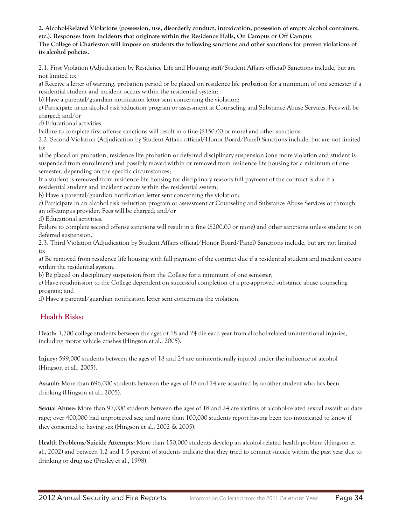**2. Alcohol-Related Violations (possession, use, disorderly conduct, intoxication, possession of empty alcohol containers, etc.). Responses from incidents that originate within the Residence Halls, On Campus or Off Campus** 

**The College of Charleston will impose on students the following sanctions and other sanctions for proven violations of its alcohol policies.** 

2.1. First Violation (Adjudication by Residence Life and Housing staff/Student Affairs official) Sanctions include, but are not limited to:

a) Receive a letter of warning, probation period or be placed on residence life probation for a minimum of one semester if a residential student and incident occurs within the residential system;

b) Have a parental/guardian notification letter sent concerning the violation;

c) Participate in an alcohol risk reduction program or assessment at Counseling and Substance Abuse Services. Fees will be charged; and/or

d) Educational activities.

Failure to complete first offense sanctions will result in a fine (\$150.00 or more) and other sanctions.

2.2. Second Violation (Adjudication by Student Affairs official/Honor Board/Panel) Sanctions include, but are not limited to:

a) Be placed on probation, residence life probation or deferred disciplinary suspension (one more violation and student is suspended from enrollment) and possibly moved within or removed from residence life housing for a minimum of one semester, depending on the specific circumstances;

If a student is removed from residence life housing for disciplinary reasons full payment of the contract is due if a residential student and incident occurs within the residential system;

b) Have a parental/guardian notification letter sent concerning the violation;

c) Participate in an alcohol risk reduction program or assessment at Counseling and Substance Abuse Services or through an off-campus provider. Fees will be charged; and/or

d) Educational activities.

Failure to complete second offense sanctions will result in a fine (\$200.00 or more) and other sanctions unless student is on deferred suspension.

2.3. Third Violation (Adjudication by Student Affairs official/Honor Board/Panel) Sanctions include, but are not limited to:

a) Be removed from residence life housing with full payment of the contract due if a residential student and incident occurs within the residential system;

b) Be placed on disciplinary suspension from the College for a minimum of one semester;

c) Have re-admission to the College dependent on successful completion of a pre-approved substance abuse counseling program; and

d) Have a parental/guardian notification letter sent concerning the violation.

# **Health Risks:**

**Death:** 1,700 college students between the ages of 18 and 24 die each year from alcohol-related unintentional injuries, including motor vehicle crashes (Hingson et al., 2005).

**Injury:** 599,000 students between the ages of 18 and 24 are unintentionally injured under the influence of alcohol (Hingson et al., 2005).

**Assault:** More than 696,000 students between the ages of 18 and 24 are assaulted by another student who has been drinking (Hingson et al., 2005).

**Sexual Abuse:** More than 97,000 students between the ages of 18 and 24 are victims of alcohol-related sexual assault or date rape; over 400,000 had unprotected sex; and more than 100,000 students report having been too intoxicated to know if they consented to having sex (Hingson et al., 2002 & 2005).

**Health Problems/Suicide Attempts**: More than 150,000 students develop an alcohol-related health problem (Hingson et al., 2002) and between 1.2 and 1.5 percent of students indicate that they tried to commit suicide within the past year due to drinking or drug use (Presley et al., 1998).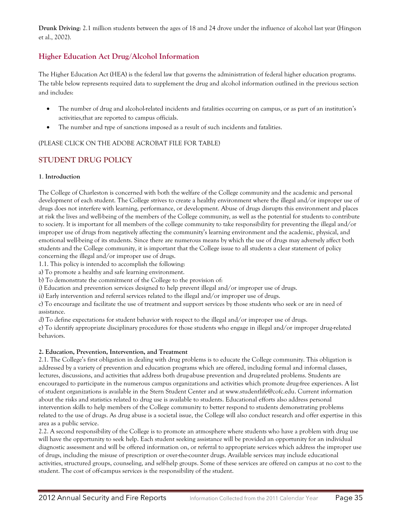**Drunk Driving**: 2.1 million students between the ages of 18 and 24 drove under the influence of alcohol last year (Hingson et al., 2002).

# **Higher Education Act Drug/Alcohol Information**

The Higher Education Act (HEA) is the federal law that governs the administration of federal higher education programs. The table below represents required data to supplement the drug and alcohol information outlined in the previous section and includes:

- The number of drug and alcohol-related incidents and fatalities occurring on campus, or as part of an institution's activities,that are reported to campus officials.
- The number and type of sanctions imposed as a result of such incidents and fatalities.

### (PLEASE CLICK ON THE ADOBE ACROBAT FILE FOR TABLE)

# **STUDENT DRUG POLICY**

### **1**. **Introduction**

The College of Charleston is concerned with both the welfare of the College community and the academic and personal development of each student. The College strives to create a healthy environment where the illegal and/or improper use of drugs does not interfere with learning, performance, or development. Abuse of drugs disrupts this environment and places at risk the lives and well-being of the members of the College community, as well as the potential for students to contribute to society. It is important for all members of the college community to take responsibility for preventing the illegal and/or improper use of drugs from negatively affecting the community's learning environment and the academic, physical, and emotional well-being of its students. Since there are numerous means by which the use of drugs may adversely affect both students and the College community, it is important that the College issue to all students a clear statement of policy concerning the illegal and/or improper use of drugs.

1.1. This policy is intended to accomplish the following:

a) To promote a healthy and safe learning environment.

b) To demonstrate the commitment of the College to the provision of:

i) Education and prevention services designed to help prevent illegal and/or improper use of drugs.

ii) Early intervention and referral services related to the illegal and/or improper use of drugs.

c) To encourage and facilitate the use of treatment and support services by those students who seek or are in need of assistance.

d) To define expectations for student behavior with respect to the illegal and/or improper use of drugs.

e) To identify appropriate disciplinary procedures for those students who engage in illegal and/or improper drug-related behaviors.

### **2. Education, Prevention, Intervention, and Treatment**

2.1. The College's first obligation in dealing with drug problems is to educate the College community. This obligation is addressed by a variety of prevention and education programs which are offered, including formal and informal classes, lectures, discussions, and activities that address both drug-abuse prevention and drug-related problems. Students are encouraged to participate in the numerous campus organizations and activities which promote drug-free experiences. A list of student organizations is available in the Stern Student Center and at www.studentlife@cofc.edu. Current information about the risks and statistics related to drug use is available to students. Educational efforts also address personal intervention skills to help members of the College community to better respond to students demonstrating problems related to the use of drugs. As drug abuse is a societal issue, the College will also conduct research and offer expertise in this area as a public service.

2.2. A second responsibility of the College is to promote an atmosphere where students who have a problem with drug use will have the opportunity to seek help. Each student seeking assistance will be provided an opportunity for an individual diagnostic assessment and will be offered information on, or referral to appropriate services which address the improper use of drugs, including the misuse of prescription or over-the-counter drugs. Available services may include educational activities, structured groups, counseling, and self-help groups. Some of these services are offered on campus at no cost to the student. The cost of off-campus services is the responsibility of the student.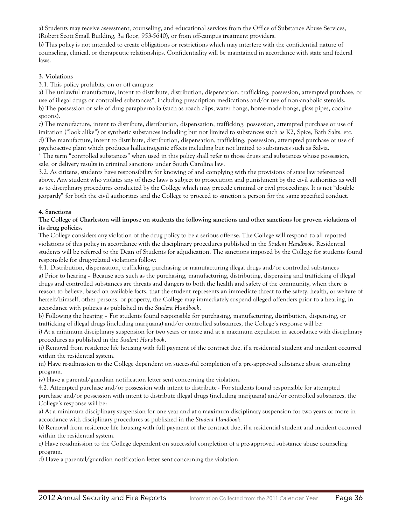a) Students may receive assessment, counseling, and educational services from the Office of Substance Abuse Services, (Robert Scott Small Building, 3rd floor, 953-5640), or from off-campus treatment providers.

b) This policy is not intended to create obligations or restrictions which may interfere with the confidential nature of counseling, clinical, or therapeutic relationships. Confidentiality will be maintained in accordance with state and federal laws.

### **3. Violations**

3.1. This policy prohibits, on or off campus:

a) The unlawful manufacture, intent to distribute, distribution, dispensation, trafficking, possession, attempted purchase, or use of illegal drugs or controlled substances\*, including prescription medications and/or use of non-anabolic steroids. b) The possession or sale of drug paraphernalia (such as roach clips, water bongs, home-made bongs, glass pipes, cocaine spoons).

c) The manufacture, intent to distribute, distribution, dispensation, trafficking, possession, attempted purchase or use of imitation ("look alike") or synthetic substances including but not limited to substances such as K2, Spice, Bath Salts, etc. d) The manufacture, intent to distribute, distribution, dispensation, trafficking, possession, attempted purchase or use of psychoactive plant which produces hallucinogenic effects including but not limited to substances such as Salvia.

\* The term "controlled substances" when used in this policy shall refer to those drugs and substances whose possession, sale, or delivery results in criminal sanctions under South Carolina law.

3.2. As citizens, students have responsibility for knowing of and complying with the provisions of state law referenced above. Any student who violates any of these laws is subject to prosecution and punishment by the civil authorities as well as to disciplinary procedures conducted by the College which may precede criminal or civil proceedings. It is not "double jeopardy" for both the civil authorities and the College to proceed to sanction a person for the same specified conduct.

### **4. Sanctions**

#### **The College of Charleston will impose on students the following sanctions and other sanctions for proven violations of its drug policies.**

The College considers any violation of the drug policy to be a serious offense. The College will respond to all reported violations of this policy in accordance with the disciplinary procedures published in the *Student Handbook*. Residential students will be referred to the Dean of Students for adjudication. The sanctions imposed by the College for students found responsible for drug-related violations follow:

4.1. Distribution, dispensation, trafficking, purchasing or manufacturing illegal drugs and/or controlled substances a) Prior to hearing -- Because acts such as the purchasing, manufacturing, distributing, dispensing and trafficking of illegal drugs and controlled substances are threats and dangers to both the health and safety of the community, when there is reason to believe, based on available facts, that the student represents an immediate threat to the safety, health, or welfare of herself/himself, other persons, or property, the College may immediately suspend alleged offenders prior to a hearing, in accordance with policies as published in the *Student Handbook*.

b) Following the hearing – For students found responsible for purchasing, manufacturing, distribution, dispensing, or trafficking of illegal drugs (including marijuana) and/or controlled substances, the College's response will be:

i) At a minimum disciplinary suspension for two years or more and at a maximum expulsion in accordance with disciplinary procedures as published in the *Student Handbook*.

ii) Removal from residence life housing with full payment of the contract due, if a residential student and incident occurred within the residential system.

iii) Have re-admission to the College dependent on successful completion of a pre-approved substance abuse counseling program.

iv) Have a parental/guardian notification letter sent concerning the violation.

4.2. Attempted purchase and/or possession with intent to distribute - For students found responsible for attempted purchase and/or possession with intent to distribute illegal drugs (including marijuana) and/or controlled substances, the College's response will be:

a) At a minimum disciplinary suspension for one year and at a maximum disciplinary suspension for two years or more in accordance with disciplinary procedures as published in the *Student Handbook*.

b) Removal from residence life housing with full payment of the contract due, if a residential student and incident occurred within the residential system.

c) Have re-admission to the College dependent on successful completion of a pre-approved substance abuse counseling program.

d) Have a parental/guardian notification letter sent concerning the violation.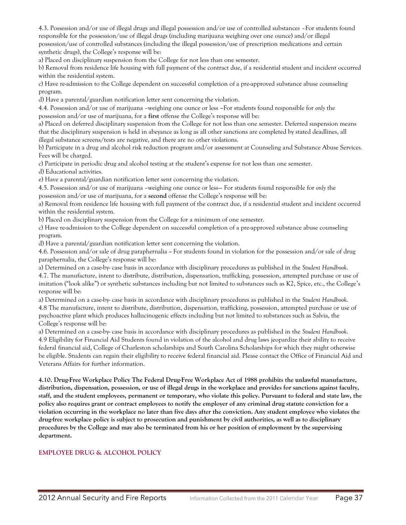4.3. Possession and/or use of illegal drugs and illegal possession and/or use of controlled substances –For students found responsible for the possession/use of illegal drugs (including marijuana weighing over one ounce) and/or illegal possession/use of controlled substances (including the illegal possession/use of prescription medications and certain synthetic drugs), the College's response will be:

a) Placed on disciplinary suspension from the College for not less than one semester.

b) Removal from residence life housing with full payment of the contract due, if a residential student and incident occurred within the residential system.

c) Have re-admission to the College dependent on successful completion of a pre-approved substance abuse counseling program.

d) Have a parental/guardian notification letter sent concerning the violation.

4.4. Possession and/or use of marijuana –weighing one ounce or less **–**For students found responsible for *only* the possession and/or use of marijuana, for a **first** offense the College's response will be:

a) Placed on deferred disciplinary suspension from the College for not less than one semester. Deferred suspension means that the disciplinary suspension is held in abeyance as long as all other sanctions are completed by stated deadlines, all illegal substance screens/tests are negative, and there are no other violations.

b) Participate in a drug and alcohol risk reduction program and/or assessment at Counseling and Substance Abuse Services. Fees will be charged.

c) Participate in periodic drug and alcohol testing at the student's expense for not less than one semester.

d) Educational activities.

e) Have a parental/guardian notification letter sent concerning the violation.

4.5. Possession and/or use of marijuana –weighing one ounce or less— For students found responsible for *only* the possession and/or use of marijuana, for a **second** offense the College's response will be:

a) Removal from residence life housing with full payment of the contract due, if a residential student and incident occurred within the residential system.

b) Placed on disciplinary suspension from the College for a minimum of one semester.

c) Have re-admission to the College dependent on successful completion of a pre-approved substance abuse counseling program.

d) Have a parental/guardian notification letter sent concerning the violation.

4.6. Possession and/or sale of drug paraphernalia ~ For students found in violation for the possession and/or sale of drug paraphernalia, the College's response will be:

a) Determined on a case-by- case basis in accordance with disciplinary procedures as published in the *Student Handbook*.

4.7. The manufacture, intent to distribute, distribution, dispensation, trafficking, possession, attempted purchase or use of imitation ("look alike") or synthetic substances including but not limited to substances such as K2, Spice, etc., the College's response will be:

a) Determined on a case-by- case basis in accordance with disciplinary procedures as published in the *Student Handbook*. 4.8 The manufacture, intent to distribute, distribution, dispensation, trafficking, possession, attempted purchase or use of psychoactive plant which produces hallucinogenic effects including but not limited to substances such as Salvia, the College's response will be:

a) Determined on a case-by- case basis in accordance with disciplinary procedures as published in the *Student Handbook*. 4.9 Eligibility for Financial Aid Students found in violation of the alcohol and drug laws jeopardize their ability to receive federal financial aid, College of Charleston scholarships and South Carolina Scholarships for which they might otherwise be eligible. Students can regain their eligibility to receive federal financial aid. Please contact the Office of Financial Aid and Veterans Affairs for further information.

**4.10. Drug-Free Workplace Policy The Federal Drug-Free Workplace Act of 1988 prohibits the unlawful manufacture, distribution, dispensation, possession, or use of illegal drugs in the workplace and provides for sanctions against faculty, staff, and the student employees, permanent or temporary, who violate this policy. Pursuant to federal and state law, the policy also requires grant or contract employees to notify the employer of any criminal drug statute conviction for a violation occurring in the workplace no later than five days after the conviction. Any student employee who violates the drug-free workplace policy is subject to prosecution and punishment by civil authorities, as well as to disciplinary procedures by the College and may also be terminated from his or her position of employment by the supervising department.** 

## **EMPLOYEE DRUG & ALCOHOL POLICY**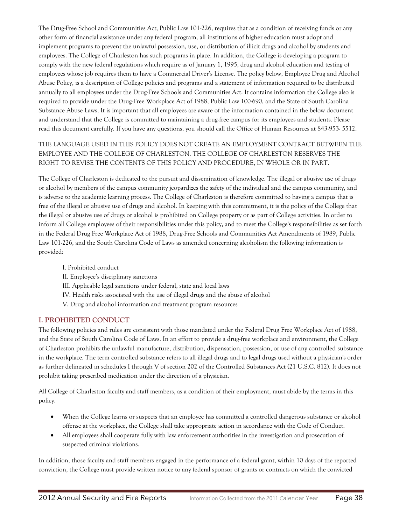The Drug-Free School and Communities Act, Public Law 101-226, requires that as a condition of receiving funds or any other form of financial assistance under any federal program, all institutions of higher education must adopt and implement programs to prevent the unlawful possession, use, or distribution of illicit drugs and alcohol by students and employees. The College of Charleston has such programs in place. In addition, the College is developing a program to comply with the new federal regulations which require as of January 1, 1995, drug and alcohol education and testing of employees whose job requires them to have a Commercial Driver's License. The policy below, Employee Drug and Alcohol Abuse Policy, is a description of College policies and programs and a statement of information required to be distributed annually to all employees under the Drug-Free Schools and Communities Act. It contains information the College also is required to provide under the Drug-Free Workplace Act of 1988, Public Law 100-690, and the State of South Carolina Substance Abuse Laws, It is important that all employees are aware of the information contained in the below document and understand that the College is committed to maintaining a drug-free campus for its employees and students. Please read this document carefully. If you have any questions, you should call the Office of Human Resources at 843-953- 5512.

# THE LANGUAGE USED IN THIS POLICY DOES NOT CREATE AN EMPLOYMENT CONTRACT BETWEEN THE EMPLOYEE AND THE COLLEGE OF CHARLESTON. THE COLLEGE OF CHARLESTON RESERVES THE RIGHT TO REVISE THE CONTENTS OF THIS POLICY AND PROCEDURE, IN WHOLE OR IN PART.

The College of Charleston is dedicated to the pursuit and dissemination of knowledge. The illegal or abusive use of drugs or alcohol by members of the campus community jeopardizes the safety of the individual and the campus community, and is adverse to the academic learning process. The College of Charleston is therefore committed to having a campus that is free of the illegal or abusive use of drugs and alcohol. In keeping with this commitment, it is the policy of the College that the illegal or abusive use of drugs or alcohol is prohibited on College property or as part of College activities. In order to inform all College employees of their responsibilities under this policy, and to meet the College's responsibilities as set forth in the Federal Drug Free Workplace Act of 1988, Drug-Free Schools and Communities Act Amendments of 1989, Public Law 101-226, and the South Carolina Code of Laws as amended concerning alcoholism the following information is provided:

- I. Prohibited conduct
- II. Employee's disciplinary sanctions
- III. Applicable legal sanctions under federal, state and local laws
- IV. Health risks associated with the use of illegal drugs and the abuse of alcohol
- V. Drug and alcohol information and treatment program resources

## **I. PROHIBITED CONDUCT**

The following policies and rules are consistent with those mandated under the Federal Drug Free Workplace Act of 1988, and the State of South Carolina Code of Laws. In an effort to provide a drug-free workplace and environment, the College of Charleston prohibits the unlawful manufacture, distribution, dispensation, possession, or use of any controlled substance in the workplace. The term controlled substance refers to all illegal drugs and to legal drugs used without a physician's order as further delineated in schedules I through V of section 202 of the Controlled Substances Act (21 U.S.C. 812). It does not prohibit taking prescribed medication under the direction of a physician.

All College of Charleston faculty and staff members, as a condition of their employment, must abide by the terms in this policy.

- When the College learns or suspects that an employee has committed a controlled dangerous substance or alcohol offense at the workplace, the College shall take appropriate action in accordance with the Code of Conduct.
- All employees shall cooperate fully with law enforcement authorities in the investigation and prosecution of suspected criminal violations.

In addition, those faculty and staff members engaged in the performance of a federal grant, within 10 days of the reported conviction, the College must provide written notice to any federal sponsor of grants or contracts on which the convicted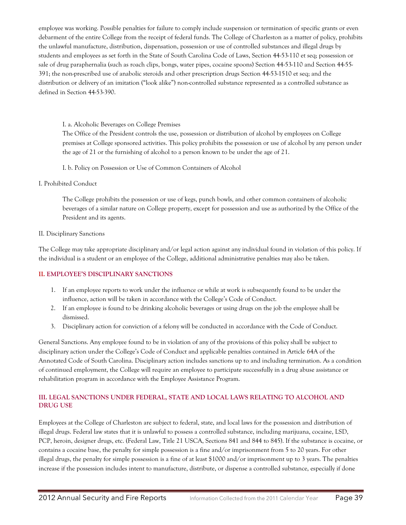employee was working. Possible penalties for failure to comply include suspension or termination of specific grants or even debarment of the entire College from the receipt of federal funds. The College of Charleston as a matter of policy, prohibits the unlawful manufacture, distribution, dispensation, possession or use of controlled substances and illegal drugs by students and employees as set forth in the State of South Carolina Code of Laws, Section 44-53-110 et seq; possession or sale of drug paraphernalia (such as roach clips, bongs, water pipes, cocaine spoons) Section 44-53-110 and Section 44-55- 391; the non-prescribed use of anabolic steroids and other prescription drugs Section 44-53-1510 et seq; and the distribution or delivery of an imitation ("look alike") non-controlled substance represented as a controlled substance as defined in Section 44-53-390.

### I. a. Alcoholic Beverages on College Premises

The Office of the President controls the use, possession or distribution of alcohol by employees on College premises at College sponsored activities. This policy prohibits the possession or use of alcohol by any person under the age of 21 or the furnishing of alcohol to a person known to be under the age of 21.

I. b. Policy on Possession or Use of Common Containers of Alcohol

#### I. Prohibited Conduct

The College prohibits the possession or use of kegs, punch bowls, and other common containers of alcoholic beverages of a similar nature on College property, except for possession and use as authorized by the Office of the President and its agents.

#### II. Disciplinary Sanctions

The College may take appropriate disciplinary and/or legal action against any individual found in violation of this policy. If the individual is a student or an employee of the College, additional administrative penalties may also be taken.

### **II. EMPLOYEE'S DISCIPLINARY SANCTIONS**

- 1. If an employee reports to work under the influence or while at work is subsequently found to be under the influence, action will be taken in accordance with the College's Code of Conduct.
- 2. If an employee is found to be drinking alcoholic beverages or using drugs on the job the employee shall be dismissed.
- 3. Disciplinary action for conviction of a felony will be conducted in accordance with the Code of Conduct.

General Sanctions. Any employee found to be in violation of any of the provisions of this policy shall be subject to disciplinary action under the College's Code of Conduct and applicable penalties contained in Article 64A of the Annotated Code of South Carolina. Disciplinary action includes sanctions up to and including termination. As a condition of continued employment, the College will require an employee to participate successfully in a drug abuse assistance or rehabilitation program in accordance with the Employee Assistance Program.

### **III. LEGAL SANCTIONS UNDER FEDERAL, STATE AND LOCAL LAWS RELATING TO ALCOHOL AND DRUG USE**

Employees at the College of Charleston are subject to federal, state, and local laws for the possession and distribution of illegal drugs. Federal law states that it is unlawful to possess a controlled substance, including marijuana, cocaine, LSD, PCP, heroin, designer drugs, etc. (Federal Law, Title 21 USCA, Sections 841 and 844 to 845). If the substance is cocaine, or contains a cocaine base, the penalty for simple possession is a fine and/or imprisonment from 5 to 20 years. For other illegal drugs, the penalty for simple possession is a fine of at least \$1000 and/or imprisonment up to 3 years. The penalties increase if the possession includes intent to manufacture, distribute, or dispense a controlled substance, especially if done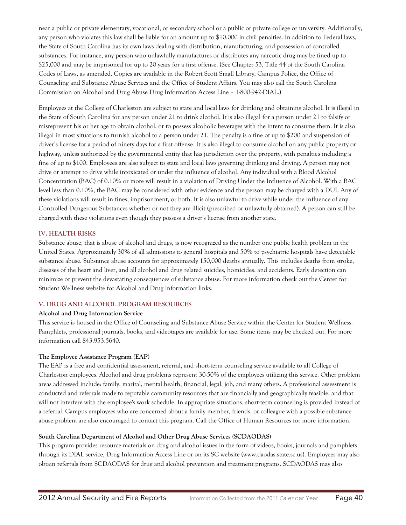near a public or private elementary, vocational, or secondary school or a public or private college or university. Additionally, any person who violates this law shall be liable for an amount up to \$10,000 in civil penalties. In addition to Federal laws, the State of South Carolina has its own laws dealing with distribution, manufacturing, and possession of controlled substances. For instance, any person who unlawfully manufactures or distributes any narcotic drug may be fined up to \$25,000 and may be imprisoned for up to 20 years for a first offense. (See Chapter 53, Title 44 of the South Carolina Codes of Laws, as amended. Copies are available in the Robert Scott Small Library, Campus Police, the Office of Counseling and Substance Abuse Services and the Office of Student Affairs. You may also call the South Carolina Commission on Alcohol and Drug Abuse Drug Information Access Line – 1-800-942-DIAL.)

Employees at the College of Charleston are subject to state and local laws for drinking and obtaining alcohol. It is illegal in the State of South Carolina for any person under 21 to drink alcohol. It is also illegal for a person under 21 to falsify or misrepresent his or her age to obtain alcohol, or to possess alcoholic beverages with the intent to consume them. It is also illegal in most situations to furnish alcohol to a person under 21. The penalty is a fine of up to \$200 and suspension of driver's license for a period of ninety days for a first offense. It is also illegal to consume alcohol on any public property or highway, unless authorized by the governmental entity that has jurisdiction over the property, with penalties including a fine of up to \$100. Employees are also subject to state and local laws governing drinking and driving. A person may not drive or attempt to drive while intoxicated or under the influence of alcohol. Any individual with a Blood Alcohol Concentration (BAC) of 0.10% or more will result in a violation of Driving Under the Influence of Alcohol. With a BAC level less than 0.10%, the BAC may be considered with other evidence and the person may be charged with a DUI. Any of these violations will result in fines, imprisonment, or both. It is also unlawful to drive while under the influence of any Controlled Dangerous Substances whether or not they are illicit (prescribed or unlawfully obtained). A person can still be charged with these violations even though they possess a driver's license from another state.

### **IV. HEALTH RISKS**

Substance abuse, that is abuse of alcohol and drugs, is now recognized as the number one public health problem in the United States. Approximately 30% of all admissions to general hospitals and 50% to psychiatric hospitals have detectable substance abuse. Substance abuse accounts for approximately 150,000 deaths annually. This includes deaths from stroke, diseases of the heart and liver, and all alcohol and drug related suicides, homicides, and accidents. Early detection can minimize or prevent the devastating consequences of substance abuse. For more information check out the Center for Student Wellness website for Alcohol and Drug information links.

## **V. DRUG AND ALCOHOL PROGRAM RESOURCES**

### **Alcohol and Drug Information Service**

This service is housed in the Office of Counseling and Substance Abuse Service within the Center for Student Wellness. Pamphlets, professional journals, books, and videotapes are available for use. Some items may be checked out. For more information call 843.953.5640.

### **The Employee Assistance Program (EAP)**

The EAP is a free and confidential assessment, referral, and short-term counseling service available to all College of Charleston employees. Alcohol and drug problems represent 30-50% of the employees utilizing this service. Other problem areas addressed include: family, marital, mental health, financial, legal, job, and many others. A professional assessment is conducted and referrals made to reputable community resources that are financially and geographically feasible, and that will not interfere with the employee's work schedule. In appropriate situations, short-term counseling is provided instead of a referral. Campus employees who are concerned about a family member, friends, or colleague with a possible substance abuse problem are also encouraged to contact this program. Call the Office of Human Resources for more information.

## **South Carolina Department of Alcohol and Other Drug Abuse Services (SCDAODAS)**

This program provides resource materials on drug and alcohol issues in the form of videos, books, journals and pamphlets through its DIAL service, Drug Information Access Line or on its SC website (www.daodas.state.sc.us). Employees may also obtain referrals from SCDAODAS for drug and alcohol prevention and treatment programs. SCDAODAS may also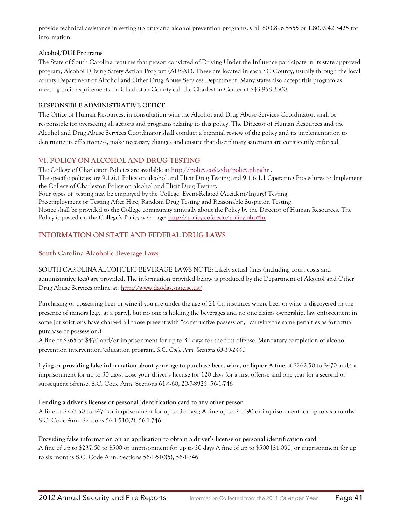provide technical assistance in setting up drug and alcohol prevention programs. Call 803.896.5555 or 1.800.942.3425 for information.

## **Alcohol/DUI Programs**

The State of South Carolina requires that person convicted of Driving Under the Influence participate in its state approved program, Alcohol Driving Safety Action Program (ADSAP). These are located in each SC County, usually through the local county Department of Alcohol and Other Drug Abuse Services Department. Many states also accept this program as meeting their requirements. In Charleston County call the Charleston Center at 843.958.3300.

## **RESPONSIBLE ADMINISTRATIVE OFFICE**

The Office of Human Resources, in consultation with the Alcohol and Drug Abuse Services Coordinator, shall be responsible for overseeing all actions and programs relating to this policy. The Director of Human Resources and the Alcohol and Drug Abuse Services Coordinator shall conduct a biennial review of the policy and its implementation to determine its effectiveness, make necessary changes and ensure that disciplinary sanctions are consistently enforced.

# **VI. POLICY ON ALCOHOL AND DRUG TESTING**

The College of Charleston Policies are available at<http://policy.cofc.edu/policy.php#hr>. The specific policies are 9.1.6.1 Policy on alcohol and Illicit Drug Testing and 9.1.6.1.1 Operating Procedures to Implement the College of Charleston Policy on alcohol and Illicit Drug Testing. Four types of testing may be employed by the College: Event-Related (Accident/Injury) Testing, Pre-employment or Testing After Hire, Random Drug Testing and Reasonable Suspicion Testing. Notice shall be provided to the College community annually about the Policy by the Director of Human Resources. The Policy is posted on the College's Policy web page: <http://policy.cofc.edu/policy.php#hr>

# **INFORMATION ON STATE AND FEDERAL DRUG LAWS**

## **South Carolina Alcoholic Beverage Laws**

SOUTH CAROLINA ALCOHOLIC BEVERAGE LAWS NOTE: Likely actual fines (including court costs and administrative fees) are provided. The information provided below is produced by the Department of Alcohol and Other Drug Abuse Services online at:<http://www.daodas.state.sc.us/>

Purchasing or possessing beer or wine if you are under the age of 21 (In instances where beer or wine is discovered in the presence of minors [e.g., at a party], but no one is holding the beverages and no one claims ownership, law enforcement in some jurisdictions have charged all those present with "constructive possession," carrying the same penalties as for actual purchase or possession.)

A fine of \$265 to \$470 and/or imprisonment for up to 30 days for the first offense. Mandatory completion of alcohol prevention intervention/education program. *S.C. Code Ann. Sections 63-19-2440* 

**Lying or providing false information about your age to** purchase **beer, wine, or liquor** A fine of \$262.50 to \$470 and/or imprisonment for up to 30 days. Lose your driver's license for 120 days for a first offense and one year for a second or subsequent offense. S.C. Code Ann. Sections 61-4-60, 20-7-8925, 56-1-746

### **Lending a driver's license or personal identification card to any other person**

A fine of \$237.50 to \$470 or imprisonment for up to 30 days; A fine up to \$1,090 or imprisonment for up to six months S.C. Code Ann. Sections 56-1-510(2), 56-1-746

## **Providing false information on an application to obtain a driver's license or personal identification card**

A fine of up to \$237.50 to \$500 or imprisonment for up to 30 days A fine of up to \$500 [\$1,090] or imprisonment for up to six months S.C. Code Ann. Sections 56-1-510(5), 56-1-746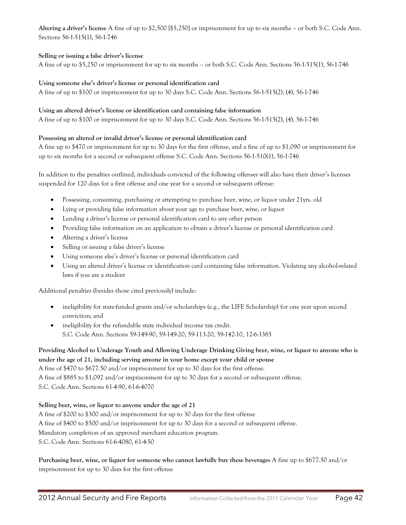**Altering a driver's license** A fine of up to \$2,500 [\$5,250] or imprisonment for up to six months – or both S.C. Code Ann. Sections 56-1-515(1), 56-1-746

### **Selling or issuing a false driver's license**

A fine of up to \$5,250 or imprisonment for up to six months – or both S.C. Code Ann. Sections 56-1-515(1), 56-1-746

#### **Using someone else's driver's license or personal identification card**

A fine of up to \$100 or imprisonment for up to 30 days S.C. Code Ann. Sections 56-1-515(2), (4), 56-1-746

#### **Using an altered driver's license or identification card containing false information**

A fine of up to \$100 or imprisonment for up to 30 days S.C. Code Ann. Sections 56-1-515(2), (4), 56-1-746

#### **Possessing an altered or invalid driver's license or personal identification card**

A fine up to \$470 or imprisonment for up to 30 days for the first offense, and a fine of up to \$1,090 or imprisonment for up to six months for a second or subsequent offense S.C. Code Ann. Sections 56-1-510(1), 56-1-746

In addition to the penalties outlined, individuals convicted of the following offenses will also have their driver's licenses suspended for 120 days for a first offense and one year for a second or subsequent offense:

- Possessing, consuming, purchasing or attempting to purchase beer, wine, or liquor under 21yrs. old
- Lying or providing false information about your age to purchase beer, wine, or liquor
- Lending a driver's license or personal identification card to any other person
- Providing false information on an application to obtain a driver's license or personal identification card
- Altering a driver's license
- Selling or issuing a false driver's license
- Using someone else's driver's license or personal identification card
- Using an altered driver's license or identification card containing false information. Violating any alcohol-related laws if you are a student

Additional penalties (besides those cited previously) include:

- ineligibility for state-funded grants and/or scholarships (e.g., the LIFE Scholarship) for one year upon second conviction; and
- ineligibility for the refundable state individual income tax credit. S.C. Code Ann. Sections 59-149-90, 59-149-20, 59-113-20, 59-142-10, 12-6-3385

### **Providing Alcohol to Underage Youth and Allowing Underage Drinking Giving beer, wine, or liquor to anyone who is under the age of 21, including serving anyone in your home except your child or spouse**

A fine of \$470 to \$677.50 and/or imprisonment for up to 30 days for the first offense. A fine of \$885 to \$1,092 and/or imprisonment for up to 30 days for a second or subsequent offense. S.C. Code Ann. Sections 61-4-90, 61-6-4070

### **Selling beer, wine, or liquor to anyone under the age of 21**

A fine of \$200 to \$300 and/or imprisonment for up to 30 days for the first offense A fine of \$400 to \$500 and/or imprisonment for up to 30 days for a second or subsequent offense. Mandatory completion of an approved merchant education program. S.C. Code Ann. Sections 61-6-4080, 61-4-50

**Purchasing beer, wine, or liquor for someone who cannot lawfully buy these beverages** A fine up to \$677.50 and/or imprisonment for up to 30 days for the first offense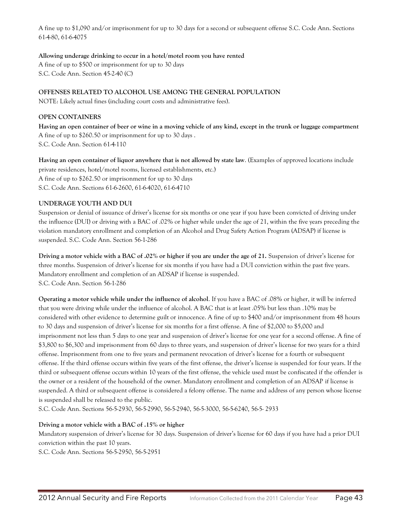A fine up to \$1,090 and/or imprisonment for up to 30 days for a second or subsequent offense S.C. Code Ann. Sections 61-4-80, 61-6-4075

### **Allowing underage drinking to occur in a hotel/motel room you have rented**

A fine of up to \$500 or imprisonment for up to 30 days S.C. Code Ann. Section 45-2-40 (C)

### **OFFENSES RELATED TO ALCOHOL USE AMONG THE GENERAL POPULATION**

NOTE: Likely actual fines (including court costs and administrative fees).

#### **OPEN CONTAINERS**

**Having an open container of beer or wine in a moving vehicle of any kind, except in the trunk or luggage compartment** A fine of up to \$260.50 or imprisonment for up to 30 days . S.C. Code Ann. Section 61-4-110

**Having an open container of liquor anywhere that is not allowed by state law**. (Examples of approved locations include private residences, hotel/motel rooms, licensed establishments, etc.) A fine of up to \$262.50 or imprisonment for up to 30 days S.C. Code Ann. Sections 61-6-2600, 61-6-4020, 61-6-4710

### **UNDERAGE YOUTH AND DUI**

Suspension or denial of issuance of driver's license for six months or one year if you have been convicted of driving under the influence (DUI) or driving with a BAC of .02% or higher while under the age of 21, within the five years preceding the violation mandatory enrollment and completion of an Alcohol and Drug Safety Action Program (ADSAP) if license is suspended. S.C. Code Ann. Section 56-1-286

**Driving a motor vehicle with a BAC of .02% or higher if you are under the age of 21.** Suspension of driver's license for three months. Suspension of driver's license for six months if you have had a DUI conviction within the past five years. Mandatory enrollment and completion of an ADSAP if license is suspended. S.C. Code Ann. Section 56-1-286

**Operating a motor vehicle while under the influence of alcohol**. If you have a BAC of .08% or higher, it will be inferred that you were driving while under the influence of alcohol. A BAC that is at least .05% but less than .10% may be considered with other evidence to determine guilt or innocence. A fine of up to \$400 and/or imprisonment from 48 hours to 30 days and suspension of driver's license for six months for a first offense. A fine of \$2,000 to \$5,000 and imprisonment not less than 5 days to one year and suspension of driver's license for one year for a second offense. A fine of \$3,800 to \$6,300 and imprisonment from 60 days to three years, and suspension of driver's license for two years for a third offense. Imprisonment from one to five years and permanent revocation of driver's license for a fourth or subsequent offense. If the third offense occurs within five years of the first offense, the driver's license is suspended for four years. If the third or subsequent offense occurs within 10 years of the first offense, the vehicle used must be confiscated if the offender is the owner or a resident of the household of the owner. Mandatory enrollment and completion of an ADSAP if license is suspended. A third or subsequent offense is considered a felony offense. The name and address of any person whose license is suspended shall be released to the public.

S.C. Code Ann. Sections 56-5-2930, 56-5-2990, 56-5-2940, 56-5-3000, 56-5-6240, 56-5- 2933

### **Driving a motor vehicle with a BAC of .15% or higher**

Mandatory suspension of driver's license for 30 days. Suspension of driver's license for 60 days if you have had a prior DUI conviction within the past 10 years.

S.C. Code Ann. Sections 56-5-2950, 56-5-2951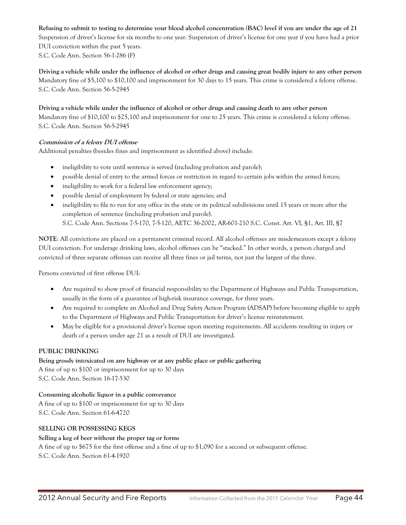### **Refusing to submit to testing to determine your blood alcohol concentration (BAC) level if you are under the age of 21**

Suspension of driver's license for six months to one year. Suspension of driver's license for one year if you have had a prior DUI conviction within the past 5 years.

S.C. Code Ann. Section 56-1-286 (F)

**Driving a vehicle while under the influence of alcohol or other drugs and causing great bodily injury to any other person**  Mandatory fine of \$5,100 to \$10,100 and imprisonment for 30 days to 15 years. This crime is considered a felony offense. S.C. Code Ann. Section 56-5-2945

**Driving a vehicle while under the influence of alcohol or other drugs and causing death to any other person** Mandatory fine of \$10,100 to \$25,100 and imprisonment for one to 25 years. This crime is considered a felony offense. S.C. Code Ann. Section 56-5-2945

### **Commission of a felony DUI offense**

Additional penalties (besides fines and imprisonment as identified above) include:

- ineligibility to vote until sentence is served (including probation and parole);
- possible denial of entry to the armed forces or restriction in regard to certain jobs within the armed forces;
- ineligibility to work for a federal law enforcement agency;
- possible denial of employment by federal or state agencies; and
- ineligibility to file to run for any office in the state or its political subdivisions until 15 years or more after the completion of sentence (including probation and parole).

S.C. Code Ann. Sections 7-5-170, 7-5-120, AETC 36-2002, AR-601-210 S.C. Const. Art. VI, §1, Art. III, §7

**NOTE**: All convictions are placed on a permanent criminal record. All alcohol offenses are misdemeanors except a felony DUI conviction. For underage drinking laws, alcohol offenses can be "stacked." In other words, a person charged and convicted of three separate offenses can receive all three fines or jail terms, not just the largest of the three.

Persons convicted of first offense DUI:

- Are required to show proof of financial responsibility to the Department of Highways and Public Transportation, usually in the form of a guarantee of high-risk insurance coverage, for three years.
- Are required to complete an Alcohol and Drug Safety Action Program (ADSAP) before becoming eligible to apply to the Department of Highways and Public Transportation for driver's license reinstatement.
- May be eligible for a provisional driver's license upon meeting requirements. All accidents resulting in injury or death of a person under age 21 as a result of DUI are investigated.

### **PUBLIC DRINKING**

**Being grossly intoxicated on any highway or at any public place or public gathering** A fine of up to \$100 or imprisonment for up to 30 days S.C. Code Ann. Section 16-17-530

## **Consuming alcoholic liquor in a public conveyance**

A fine of up to \$100 or imprisonment for up to 30 days S.C. Code Ann. Section 61-6-4720

#### **SELLING OR POSSESSING KEGS**

### **Selling a keg of beer without the proper tag or forms**

A fine of up to \$675 for the first offense and a fine of up to \$1,090 for a second or subsequent offense. S.C. Code Ann. Section 61-4-1920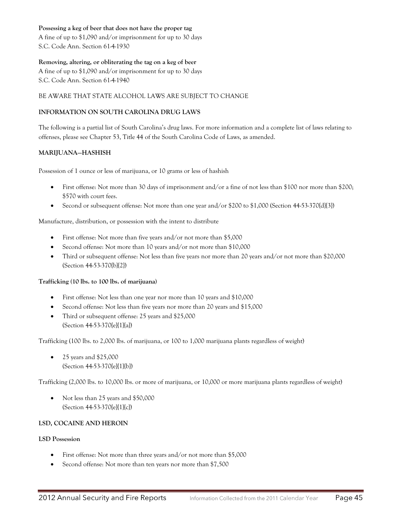### **Possessing a keg of beer that does not have the proper tag**

A fine of up to \$1,090 and/or imprisonment for up to 30 days S.C. Code Ann. Section 61-4-1930

#### **Removing, altering, or obliterating the tag on a keg of beer**

A fine of up to \$1,090 and/or imprisonment for up to 30 days S.C. Code Ann. Section 61-4-1940

### BE AWARE THAT STATE ALCOHOL LAWS ARE SUBJECT TO CHANGE

### **INFORMATION ON SOUTH CAROLINA DRUG LAWS**

The following is a partial list of South Carolina's drug laws. For more information and a complete list of laws relating to offenses, please see Chapter 53, Title 44 of the South Carolina Code of Laws, as amended.

### **MARIJUANA—HASHISH**

Possession of 1 ounce or less of marijuana, or 10 grams or less of hashish

- First offense: Not more than 30 days of imprisonment and/or a fine of not less than \$100 nor more than \$200; \$570 with court fees.
- Second or subsequent offense: Not more than one year and/or \$200 to \$1,000 (Section 44-53-370{d}{3})

Manufacture, distribution, or possession with the intent to distribute

- First offense: Not more than five years and/or not more than \$5,000
- Second offense: Not more than 10 years and/or not more than \$10,000
- Third or subsequent offense: Not less than five years nor more than 20 years and/or not more than \$20,000 (Section 44-53-370{b}{2})

#### **Trafficking (10 lbs. to 100 lbs. of marijuana)**

- First offense: Not less than one year nor more than 10 years and \$10,000
- Second offense: Not less than five years nor more than 20 years and \$15,000
- Third or subsequent offense: 25 years and \$25,000 (Section 44-53-370{e}{1}{a})

Trafficking (100 lbs. to 2,000 lbs. of marijuana, or 100 to 1,000 marijuana plants regardless of weight)

 25 years and \$25,000 (Section 44-53-370{e}{1}{b})

Trafficking (2,000 lbs. to 10,000 lbs. or more of marijuana, or 10,000 or more marijuana plants regardless of weight)

• Not less than 25 years and \$50,000 (Section 44-53-370{e}{1}{c})

### **LSD, COCAINE AND HEROIN**

### **LSD Possession**

- First offense: Not more than three years and/or not more than \$5,000
- Second offense: Not more than ten years nor more than \$7,500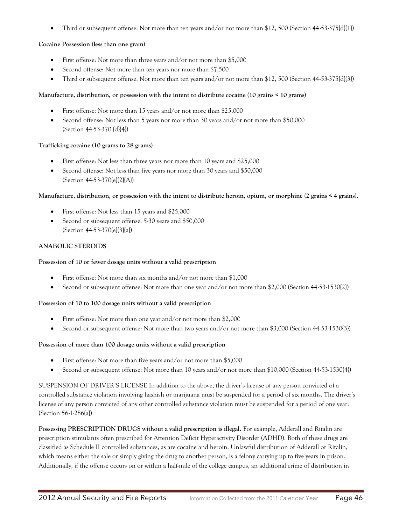• Third or subsequent offense: Not more than ten years and/or not more than \$12, 500 (Section 44-53-375{d}{1})

#### **Cocaine Possession (less than one gram)**

- First offense: Not more than three years and/or not more than \$5,000
- Second offense: Not more than ten years nor more than \$7,500
- Third or subsequent offense: Not more than ten years and/or not more than \$12, 500 (Section 44-53-375{d}{3})

### **Manufacture, distribution, or possession with the intent to distribute cocaine (10 grains < 10 grams)**

- First offense: Not more than 15 years and/or not more than \$25,000
- Second offense: Not less than 5 years nor more than 30 years and/or not more than \$50,000 (Section 44-53-370 {d}{4})

#### **Trafficking cocaine (10 grams to 28 grams)**

- First offense: Not less than three years nor more than 10 years and \$25,000
- Second offense: Not less than five years nor more than 30 years and \$50,000 (Section 44-53-370{e}{2}{A})

#### **Manufacture, distribution, or possession with the intent to distribute heroin, opium, or morphine (2 grains < 4 grains).**

- First offense: Not less than 15 years and \$25,000
- Second or subsequent offense: 5-30 years and \$50,000 (Section 44-53-370{e}{3}{a})

### **ANABOLIC STEROIDS**

#### **Possession of 10 or fewer dosage units without a valid prescription**

- First offense: Not more than six months and/or not more than \$1,000
- Second or subsequent offense: Not more than one year and/or not more than \$2,000 (Section 44-53-1530{2})

### **Possession of 10 to 100 dosage units without a valid prescription**

- First offense: Not more than one year and/or not more than \$2,000
- Second or subsequent offense: Not more than two years and/or not more than \$3,000 (Section 44-53-1530{3})

### **Possession of more than 100 dosage units without a valid prescription**

- First offense: Not more than five years and/or not more than \$5,000
- Second or subsequent offense: Not more than 10 years and/or not more than \$10,000 (Section 44-53-1530{4})

SUSPENSION OF DRIVER'S LICENSE In addition to the above, the driver's license of any person convicted of a controlled substance violation involving hashish or marijuana must be suspended for a period of six months. The driver's license of any person convicted of any other controlled substance violation must be suspended for a period of one year. (Section 56-1-286{a})

**Possessing PRESCRIPTION DRUGS without a valid prescription is illegal.** For example, Adderall and Ritalin are prescription stimulants often prescribed for Attention Deficit Hyperactivity Disorder (ADHD). Both of these drugs are classified as Schedule II controlled substances, as are cocaine and heroin. Unlawful distribution of Adderall or Ritalin, which means either the sale or simply giving the drug to another person, is a felony carrying up to five years in prison. Additionally, if the offense occurs on or within a half-mile of the college campus, an additional crime of distribution in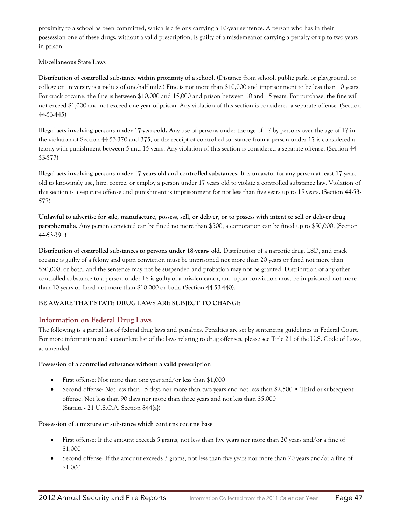proximity to a school as been committed, which is a felony carrying a 10-year sentence. A person who has in their possession one of these drugs, without a valid prescription, is guilty of a misdemeanor carrying a penalty of up to two years in prison.

### **Miscellaneous State Laws**

**Distribution of controlled substance within proximity of a school**. (Distance from school, public park, or playground, or college or university is a radius of one-half mile.) Fine is not more than \$10,000 and imprisonment to be less than 10 years. For crack cocaine, the fine is between \$10,000 and 15,000 and prison between 10 and 15 years. For purchase, the fine will not exceed \$1,000 and not exceed one year of prison. Any violation of this section is considered a separate offense. (Section 44-53-445)

**Illegal acts involving persons under 17-years-old.** Any use of persons under the age of 17 by persons over the age of 17 in the violation of Section 44-53-370 and 375, or the receipt of controlled substance from a person under 17 is considered a felony with punishment between 5 and 15 years. Any violation of this section is considered a separate offense. (Section 44- 53-577)

**Illegal acts involving persons under 17 years old and controlled substances.** It is unlawful for any person at least 17 years old to knowingly use, hire, coerce, or employ a person under 17 years old to violate a controlled substance law. Violation of this section is a separate offense and punishment is imprisonment for not less than five years up to 15 years. (Section 44-53- 577)

**Unlawful to advertise for sale, manufacture, possess, sell, or deliver, or to possess with intent to sell or deliver drug paraphernalia.** Any person convicted can be fined no more than \$500; a corporation can be fined up to \$50,000. (Section 44-53-391)

**Distribution of controlled substances to persons under 18-years- old.** Distribution of a narcotic drug, LSD, and crack cocaine is guilty of a felony and upon conviction must be imprisoned not more than 20 years or fined not more than \$30,000, or both, and the sentence may not be suspended and probation may not be granted. Distribution of any other controlled substance to a person under 18 is guilty of a misdemeanor, and upon conviction must be imprisoned not more than 10 years or fined not more than \$10,000 or both. (Section 44-53-440).

### **BE AWARE THAT STATE DRUG LAWS ARE SUBJECT TO CHANGE**

## **Information on Federal Drug Laws**

The following is a partial list of federal drug laws and penalties. Penalties are set by sentencing guidelines in Federal Court. For more information and a complete list of the laws relating to drug offenses, please see Title 21 of the U.S. Code of Laws, as amended.

#### **Possession of a controlled substance without a valid prescription**

- First offense: Not more than one year and/or less than \$1,000
- Second offense: Not less than 15 days nor more than two years and not less than \$2,500 Third or subsequent offense: Not less than 90 days nor more than three years and not less than \$5,000 (Statute - 21 U.S.C.A. Section 844{a})

#### **Possession of a mixture or substance which contains cocaine base**

- First offense: If the amount exceeds 5 grams, not less than five years nor more than 20 years and/or a fine of \$1,000
- Second offense: If the amount exceeds 3 grams, not less than five years nor more than 20 years and/or a fine of \$1,000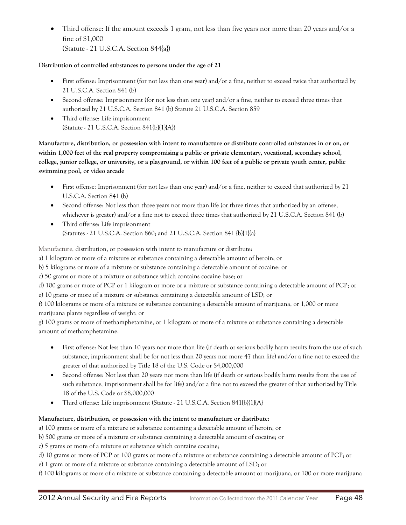Third offense: If the amount exceeds 1 gram, not less than five years nor more than 20 years and/or a fine of \$1,000

(Statute - 21 U.S.C.A. Section 844{a})

### **Distribution of controlled substances to persons under the age of 21**

- First offense: Imprisonment (for not less than one year) and/or a fine, neither to exceed twice that authorized by 21 U.S.C.A. Section 841 (b)
- Second offense: Imprisonment (for not less than one year) and/or a fine, neither to exceed three times that authorized by 21 U.S.C.A. Section 841 (b) Statute 21 U.S.C.A. Section 859
- Third offense: Life imprisonment (Statute - 21 U.S.C.A. Section 841{b}{1}{A})

**Manufacture, distribution, or possession with intent to manufacture or distribute controlled substances in or on, or within 1,000 feet of the real property compromising a public or private elementary, vocational, secondary school, college, junior college, or university, or a playground, or within 100 feet of a public or private youth center, public swimming pool, or video arcade** 

- First offense: Imprisonment (for not less than one year) and/or a fine, neither to exceed that authorized by 21 U.S.C.A. Section 841 (b)
- Second offense: Not less than three years nor more than life (or three times that authorized by an offense, whichever is greater) and/or a fine not to exceed three times that authorized by 21 U.S.C.A. Section 841 (b)
- Third offense: Life imprisonment (Statutes - 21 U.S.C.A. Section 860; and 21 U.S.C.A. Section 841 {b}{1}{a}

Manufacture, distribution, or possession with intent to manufacture or distribute:

a) 1 kilogram or more of a mixture or substance containing a detectable amount of heroin; or

b) 5 kilograms or more of a mixture or substance containing a detectable amount of cocaine; or

c) 50 grams or more of a mixture or substance which contains cocaine base; or

d) 100 grams or more of PCP or 1 kilogram or more or a mixture or substance containing a detectable amount of PCP; or

e) 10 grams or more of a mixture or substance containing a detectable amount of LSD; or

f) 100 kilograms or more of a mixture or substance containing a detectable amount of marijuana, or 1,000 or more marijuana plants regardless of weight; or

g) 100 grams or more of methamphetamine, or 1 kilogram or more of a mixture or substance containing a detectable amount of methamphetamine.

- First offense: Not less than 10 years nor more than life (if death or serious bodily harm results from the use of such substance, imprisonment shall be for not less than 20 years nor more 47 than life) and/or a fine not to exceed the greater of that authorized by Title 18 of the U.S. Code or \$4,000,000
- Second offense: Not less than 20 years nor more than life (if death or serious bodily harm results from the use of such substance, imprisonment shall be for life) and/or a fine not to exceed the greater of that authorized by Title 18 of the U.S. Code or \$8,000,000
- Third offense: Life imprisonment (Statute 21 U.S.C.A. Section 841{b}{1}{A}

### **Manufacture, distribution, or possession with the intent to manufacture or distribute:**

a) 100 grams or more of a mixture or substance containing a detectable amount of heroin; or

b) 500 grams or more of a mixture or substance containing a detectable amount of cocaine; or

c) 5 grams or more of a mixture or substance which contains cocaine;

d) 10 grams or more of PCP or 100 grams or more of a mixture or substance containing a detectable amount of PCP; or

e) 1 gram or more of a mixture or substance containing a detectable amount of LSD; or

f) 100 kilograms or more of a mixture or substance containing a detectable amount or marijuana, or 100 or more marijuana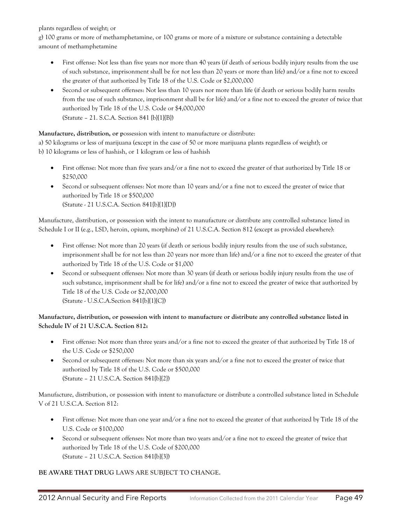plants regardless of weight; or

g) 100 grams or more of methamphetamine, or 100 grams or more of a mixture or substance containing a detectable amount of methamphetamine

- First offense: Not less than five years nor more than 40 years (if death of serious bodily injury results from the use of such substance, imprisonment shall be for not less than 20 years or more than life) and/or a fine not to exceed the greater of that authorized by Title 18 of the U.S. Code or \$2,000,000
- Second or subsequent offenses: Not less than 10 years nor more than life (if death or serious bodily harm results from the use of such substance, imprisonment shall be for life) and/or a fine not to exceed the greater of twice that authorized by Title 18 of the U.S. Code or \$4,000,000 (Statute – 21. S.C.A. Section 841 {b}{1}{B})

## **Manufacture, distribution, or p**ossession with intent to manufacture or distribute:

a) 50 kilograms or less of marijuana (except in the case of 50 or more marijuana plants regardless of weight); or b) 10 kilograms or less of hashish, or 1 kilogram or less of hashish

- First offense: Not more than five years and/or a fine not to exceed the greater of that authorized by Title 18 or \$250,000
- Second or subsequent offenses: Not more than 10 years and/or a fine not to exceed the greater of twice that authorized by Title 18 or \$500,000 (Statute - 21 U.S.C.A. Section 841{b}{1}{D})

Manufacture, distribution, or possession with the intent to manufacture or distribute any controlled substance listed in Schedule I or II (e.g., LSD, heroin, opium, morphine) of 21 U.S.C.A. Section 812 (except as provided elsewhere):

- First offense: Not more than 20 years (if death or serious bodily injury results from the use of such substance, imprisonment shall be for not less than 20 years nor more than life) and/or a fine not to exceed the greater of that authorized by Title 18 of the U.S. Code or \$1,000
- Second or subsequent offenses: Not more than 30 years (if death or serious bodily injury results from the use of such substance, imprisonment shall be for life) and/or a fine not to exceed the greater of twice that authorized by Title 18 of the U.S. Code or \$2,000,000 (Statute - U.S.C.A.Section 841{b}{1}{C})

# **Manufacture, distribution, or possession with intent to manufacture or distribute any controlled substance listed in Schedule IV of 21 U.S.C.A. Section 812:**

- First offense: Not more than three years and/or a fine not to exceed the greater of that authorized by Title 18 of the U.S. Code or \$250,000
- Second or subsequent offenses: Not more than six years and/or a fine not to exceed the greater of twice that authorized by Title 18 of the U.S. Code or \$500,000 (Statute – 21 U.S.C.A. Section 841{b}{2})

Manufacture, distribution, or possession with intent to manufacture or distribute a controlled substance listed in Schedule V of 21 U.S.C.A. Section 812:

- First offense: Not more than one year and/or a fine not to exceed the greater of that authorized by Title 18 of the U.S. Code or \$100,000
- Second or subsequent offenses: Not more than two years and/or a fine not to exceed the greater of twice that authorized by Title 18 of the U.S. Code of \$200,000 (Statute – 21 U.S.C.A. Section 841{b}{3})

## **BE AWARE THAT DRUG LAWS ARE SUBJECT TO CHANGE.**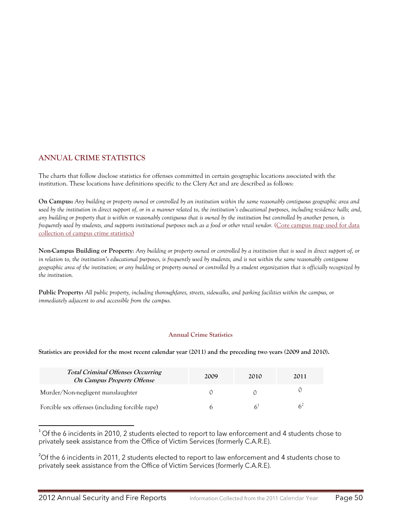# **ANNUAL CRIME STATISTICS**

The charts that follow disclose statistics for offenses committed in certain geographic locations associated with the institution. These locations have definitions specific to the Clery Act and are described as follows:

**On Campus:** *Any building or property owned or controlled by an institution within the same reasonably contiguous geographic area and*  used by the institution in direct support of, or in a manner related to, the institution's educational purposes, including residence halls; and, *any building or property that is within or reasonably contiguous that is owned by the institution but controlled by another person, is frequently used by students, and supports institutional purposes such as a food or other retail vendor.* [\(Core campus map used for data](http://studentaffairs.cofc.edu/general_info/annual_security/Map-Annual_Security_Report_2009-10.pdf)  [collection of campus crime statistics\)](http://studentaffairs.cofc.edu/general_info/annual_security/Map-Annual_Security_Report_2009-10.pdf)

**Non-Campus Building or Property**: *Any building or property owned or controlled by a institution that is used in direct support of, or in relation to, the institution's educational purposes, is frequently used by students, and is not within the same reasonably contiguous geographic area of the institution; or any building or property owned or controlled by a student organization that is officially recognized by the institution.*

**Public Property:** *All public property, including thoroughfares, streets, sidewalks, and parking facilities within the campus, or immediately adjacent to and accessible from the campus.*

#### **Annual Crime Statistics**

**Statistics are provided for the most recent calendar year (2011) and the preceding two years (2009 and 2010).**

| <b>Total Criminal Offenses Occurring</b><br><b>On Campus Property Offense</b> | 2009 | 2010 | 2011           |
|-------------------------------------------------------------------------------|------|------|----------------|
| Murder/Non-negligent manslaughter                                             |      |      |                |
| Forcible sex offenses (including forcible rape)                               |      |      | 6 <sup>2</sup> |

 $\overline{a}$ 1 privately seek assistance from the Office of Victim Services (formerly C.A.R.E).

 $2^2$ Of the 6 incidents in 2011, 2 students elected to report to law enforcement and 4 students chose to privately seek assistance from the Office of Victim Services (formerly C.A.R.E).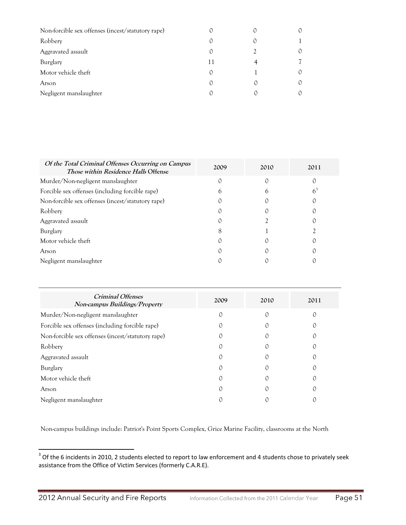| Non-forcible sex offenses (incest/statutory rape) |    | $\Omega$ |
|---------------------------------------------------|----|----------|
| Robbery                                           |    |          |
| Aggravated assault                                |    | 0        |
| Burglary                                          | 11 |          |
| Motor vehicle theft                               |    | 0        |
| Arson                                             |    | $\Omega$ |
| Negligent manslaughter                            |    | 0        |
|                                                   |    |          |

| Of the Total Criminal Offenses Occurring on Campus<br>Those within Residence Halls Offense | 2009 | 2010         | 2011 |
|--------------------------------------------------------------------------------------------|------|--------------|------|
| Murder/Non-negligent manslaughter                                                          |      |              |      |
| Forcible sex offenses (including forcible rape)                                            | O    | <sub>t</sub> | 63   |
| Non-forcible sex offenses (incest/statutory rape)                                          |      |              |      |
| Robbery                                                                                    |      |              |      |
| Aggravated assault                                                                         |      |              |      |
| Burglary                                                                                   | 8    |              |      |
| Motor vehicle theft                                                                        |      |              |      |
| Arson                                                                                      |      |              |      |
| Negligent manslaughter                                                                     |      |              |      |

| <i>Criminal Offenses</i><br><b>Non-campus Buildings/Property</b> | 2009 | 2010 | 2011 |
|------------------------------------------------------------------|------|------|------|
| Murder/Non-negligent manslaughter                                |      |      |      |
| Forcible sex offenses (including forcible rape)                  |      |      |      |
| Non-forcible sex offenses (incest/statutory rape)                |      |      |      |
| Robbery                                                          |      |      |      |
| Aggravated assault                                               |      |      |      |
| Burglary                                                         |      |      |      |
| Motor vehicle theft                                              |      |      |      |
| Arson                                                            |      |      |      |
| Negligent manslaughter                                           |      |      |      |

Non-campus buildings include: Patriot's Point Sports Complex, Grice Marine Facility, classrooms at the North

 3 Of the 6 incidents in 2010, 2 students elected to report to law enforcement and 4 students chose to privately seek assistance from the Office of Victim Services (formerly C.A.R.E).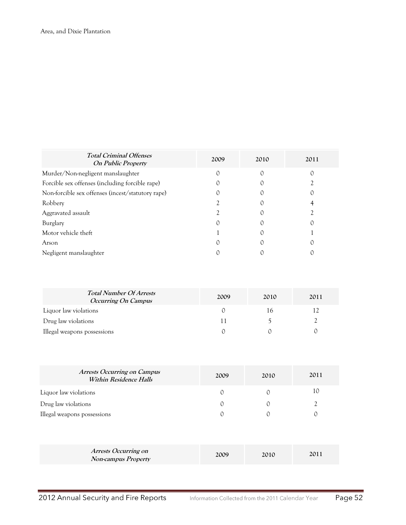| <b>Total Criminal Offenses</b><br><b>On Public Property</b> | 2009 | 2010             | 2011 |
|-------------------------------------------------------------|------|------------------|------|
| Murder/Non-negligent manslaughter                           |      | 0                |      |
| Forcible sex offenses (including forcible rape)             |      | U                |      |
| Non-forcible sex offenses (incest/statutory rape)           |      | $\left( \right)$ |      |
| Robbery                                                     |      | O                |      |
| Aggravated assault                                          |      | 0                |      |
| Burglary                                                    |      | O                |      |
| Motor vehicle theft                                         |      | $\left( \right)$ |      |
| Arson                                                       |      | 0                |      |
| Negligent manslaughter                                      |      |                  |      |

| <b>Total Number Of Arrests</b><br><b>Occurring On Campus</b> | 2009 | 2010 | 2011 |
|--------------------------------------------------------------|------|------|------|
| Liquor law violations                                        |      |      |      |
| Drug law violations                                          |      |      |      |
| Illegal weapons possessions                                  |      |      |      |

| <b>Arrests Occurring on Campus</b><br><b>Within Residence Halls</b> | 2009 | 2010 | 2011 |
|---------------------------------------------------------------------|------|------|------|
| Liquor law violations                                               |      |      | 10   |
| Drug law violations                                                 |      |      |      |
| Illegal weapons possessions                                         |      |      |      |

| Arrests Occurring on<br><b>Non-campus Property</b> | 2009 | 2010 | 2011 |
|----------------------------------------------------|------|------|------|
|                                                    |      |      |      |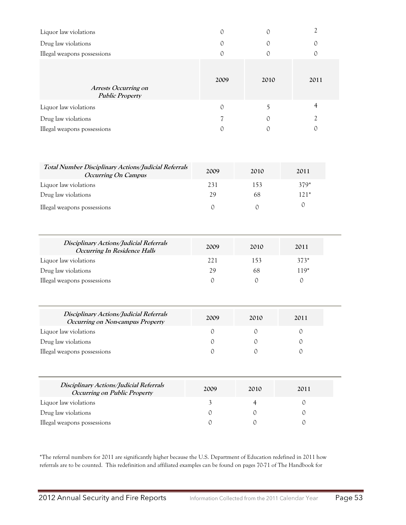| Liquor law violations                          |      |      |      |
|------------------------------------------------|------|------|------|
| Drug law violations                            | 0    |      | 0    |
| Illegal weapons possessions                    |      |      | 0    |
| Arrests Occurring on<br><b>Public Property</b> | 2009 | 2010 | 2011 |
| Liquor law violations                          | 0    |      |      |
| Drug law violations                            |      |      |      |
| Illegal weapons possessions                    |      |      | 0    |

| Total Number Disciplinary Actions/Judicial Referrals<br><b>Occurring On Campus</b> | 2009 | 2010 | 2011   |
|------------------------------------------------------------------------------------|------|------|--------|
| Liquor law violations                                                              | 231  | 153  | $379*$ |
| Drug law violations                                                                | 29   | 68   | $121*$ |
| Illegal weapons possessions                                                        |      |      |        |

| <i>Disciplinary Actions/Judicial Referrals</i><br><b>Occurring In Residence Halls</b> | 2009 | 2010 | 2011   |
|---------------------------------------------------------------------------------------|------|------|--------|
| Liquor law violations                                                                 | 221  | 153  | $373*$ |
| Drug law violations                                                                   | 29   | 68   | $119*$ |
| Illegal weapons possessions                                                           |      |      |        |

| <i>Disciplinary Actions/Judicial Referrals</i><br>Occurring on Non-campus Property | 2009 | 2010 | 2011 |
|------------------------------------------------------------------------------------|------|------|------|
| Liquor law violations                                                              |      |      |      |
| Drug law violations                                                                |      |      |      |
| Illegal weapons possessions                                                        |      |      |      |

| Disciplinary Actions/Judicial Referrals<br><b>Occurring on Public Property</b> | 2009 | 2010 | 2011 |
|--------------------------------------------------------------------------------|------|------|------|
| Liquor law violations                                                          |      |      |      |
| Drug law violations                                                            |      |      |      |
| Illegal weapons possessions                                                    |      |      |      |

\*The referral numbers for 2011 are significantly higher because the U.S. Department of Education redefined in 2011 how referrals are to be counted. This redefinition and affiliated examples can be found on pages 70-71 of The Handbook for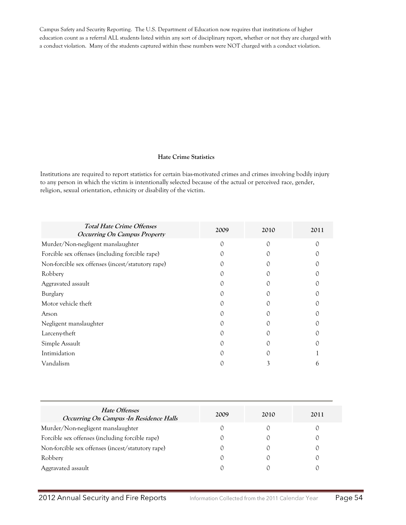Campus Safety and Security Reporting. The U.S. Department of Education now requires that institutions of higher education count as a referral ALL students listed within any sort of disciplinary report, whether or not they are charged with a conduct violation. Many of the students captured within these numbers were NOT charged with a conduct violation.

#### **Hate Crime Statistics**

Institutions are required to report statistics for certain bias-motivated crimes and crimes involving bodily injury to any person in which the victim is intentionally selected because of the actual or perceived race, gender, religion, sexual orientation, ethnicity or disability of the victim.

| <b>Total Hate Crime Offenses</b><br><b>Occurring On Campus Property</b> | 2009 | 2010 | 2011 |
|-------------------------------------------------------------------------|------|------|------|
| Murder/Non-negligent manslaughter                                       |      |      |      |
| Forcible sex offenses (including forcible rape)                         |      |      |      |
| Non-forcible sex offenses (incest/statutory rape)                       |      |      |      |
| Robbery                                                                 |      |      |      |
| Aggravated assault                                                      |      |      |      |
| Burglary                                                                |      |      |      |
| Motor vehicle theft                                                     |      |      |      |
| Arson                                                                   |      |      |      |
| Negligent manslaughter                                                  |      |      |      |
| Larceny-theft                                                           |      |      |      |
| Simple Assault                                                          |      |      |      |
| Intimidation                                                            |      |      |      |
| Vandalism                                                               |      |      |      |

| Hate Offenses<br>Occurring On Campus - In Residence Halls | 2009 | 2010 | 2011 |
|-----------------------------------------------------------|------|------|------|
| Murder/Non-negligent manslaughter                         |      |      |      |
| Forcible sex offenses (including forcible rape)           |      |      |      |
| Non-forcible sex offenses (incest/statutory rape)         |      |      |      |
| Robbery                                                   |      |      |      |
| Aggravated assault                                        |      |      |      |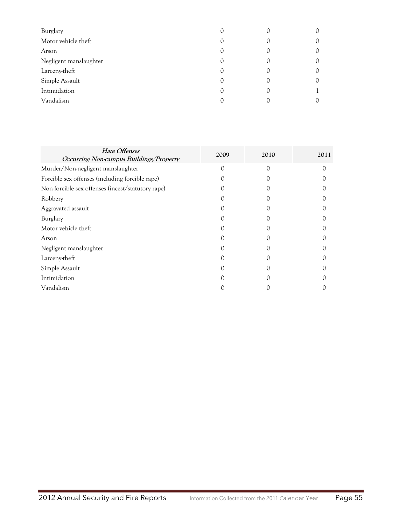| Burglary               | U |  |
|------------------------|---|--|
| Motor vehicle theft    | O |  |
| Arson                  | O |  |
| Negligent manslaughter | 0 |  |
| Larceny-theft          | 0 |  |
| Simple Assault         | 0 |  |
| Intimidation           | 0 |  |
| Vandalism              | C |  |
|                        |   |  |

| <b>Hate Offenses</b><br>Occurring Non-campus Buildings/Property | 2009 | 2010 | 2011 |
|-----------------------------------------------------------------|------|------|------|
| Murder/Non-negligent manslaughter                               | Ω    |      |      |
| Forcible sex offenses (including forcible rape)                 |      |      |      |
| Non-forcible sex offenses (incest/statutory rape)               |      |      |      |
| Robbery                                                         |      |      |      |
| Aggravated assault                                              |      |      |      |
| Burglary                                                        |      |      |      |
| Motor vehicle theft                                             |      |      |      |
| Arson                                                           |      |      |      |
| Negligent manslaughter                                          |      |      |      |
| Larceny-theft                                                   |      |      |      |
| Simple Assault                                                  |      |      |      |
| Intimidation                                                    |      |      |      |
| Vandalism                                                       |      |      |      |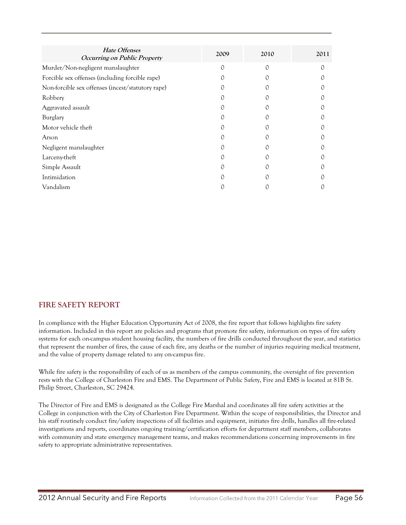| <b>Hate Offenses</b><br><b>Occurring on Public Property</b> | 2009 | 2010 | 2011 |
|-------------------------------------------------------------|------|------|------|
| Murder/Non-negligent manslaughter                           | 0    | 0    |      |
| Forcible sex offenses (including forcible rape)             |      |      |      |
| Non-forcible sex offenses (incest/statutory rape)           |      |      |      |
| Robbery                                                     |      |      |      |
| Aggravated assault                                          |      |      |      |
| Burglary                                                    |      |      |      |
| Motor vehicle theft                                         |      |      |      |
| Arson                                                       |      |      |      |
| Negligent manslaughter                                      |      |      |      |
| Larceny-theft                                               |      |      |      |
| Simple Assault                                              |      |      |      |
| Intimidation                                                |      |      |      |
| Vandalism                                                   |      |      |      |

## **FIRE SAFETY REPORT**

In compliance with the Higher Education Opportunity Act of 2008, the fire report that follows highlights fire safety information. Included in this report are policies and programs that promote fire safety, information on types of fire safety systems for each on-campus student housing facility, the numbers of fire drills conducted throughout the year, and statistics that represent the number of fires, the cause of each fire, any deaths or the number of injuries requiring medical treatment, and the value of property damage related to any on-campus fire.

While fire safety is the responsibility of each of us as members of the campus community, the oversight of fire prevention rests with the College of Charleston Fire and EMS. The Department of Public Safety, Fire and EMS is located at 81B St. Philip Street, Charleston, SC 29424.

The Director of Fire and EMS is designated as the College Fire Marshal and coordinates all fire safety activities at the College in conjunction with the City of Charleston Fire Department. Within the scope of responsibilities, the Director and his staff routinely conduct fire/safety inspections of all facilities and equipment, initiates fire drills, handles all fire-related investigations and reports, coordinates ongoing training/certification efforts for department staff members, collaborates with community and state emergency management teams, and makes recommendations concerning improvements in fire safety to appropriate administrative representatives.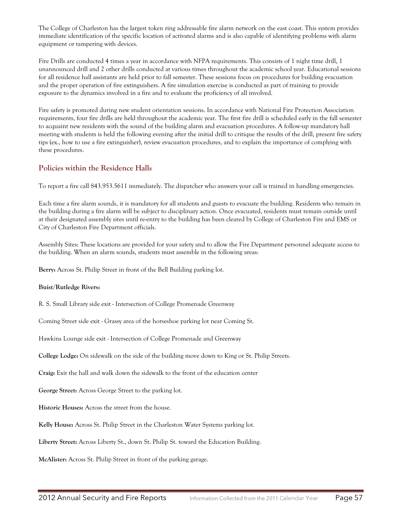The College of Charleston has the largest token ring addressable fire alarm network on the east coast. This system provides immediate identification of the specific location of activated alarms and is also capable of identifying problems with alarm equipment or tampering with devices.

Fire Drills are conducted 4 times a year in accordance with NFPA requirements. This consists of 1 night time drill, 1 unannounced drill and 2 other drills conducted at various times throughout the academic school year. Educational sessions for all residence hall assistants are held prior to fall semester. These sessions focus on procedures for building evacuation and the proper operation of fire extinguishers. A fire simulation exercise is conducted as part of training to provide exposure to the dynamics involved in a fire and to evaluate the proficiency of all involved.

Fire safety is promoted during new student orientation sessions. In accordance with National Fire Protection Association requirements, four fire drills are held throughout the academic year. The first fire drill is scheduled early in the fall semester to acquaint new residents with the sound of the building alarm and evacuation procedures. A follow-up mandatory hall meeting with students is held the following evening after the initial drill to critique the results of the drill, present fire safety tips (ex., how to use a fire extinguisher), review evacuation procedures, and to explain the importance of complying with these procedures.

# **Policies within the Residence Halls**

To report a fire call 843.953.5611 immediately. The dispatcher who answers your call is trained in handling emergencies.

Each time a fire alarm sounds, it is mandatory for all students and guests to evacuate the building. Residents who remain in the building during a fire alarm will be subject to disciplinary action. Once evacuated, residents must remain outside until at their designated assembly sites until re-entry to the building has been cleared by College of Charleston Fire and EMS or City of Charleston Fire Department officials.

Assembly Sites: These locations are provided for your safety and to allow the Fire Department personnel adequate access to the building. When an alarm sounds, students must assemble in the following areas:

**Berry:** Across St. Philip Street in front of the Bell Building parking lot.

#### **Buist/Rutledge Rivers:**

R. S. Small Library side exit - Intersection of College Promenade Greenway

Coming Street side exit - Grassy area of the horseshoe parking lot near Coming St.

Hawkins Lounge side exit - Intersection of College Promenade and Greenway

**College Lodge:** On sidewalk on the side of the building move down to King or St. Philip Streets.

**Craig:** Exit the hall and walk down the sidewalk to the front of the education center

**George Street:** Across George Street to the parking lot.

**Historic Houses:** Across the street from the house.

**Kelly House:** Across St. Philip Street in the Charleston Water Systems parking lot.

**Liberty Street:** Across Liberty St., down St. Philip St. toward the Education Building.

**McAlister:** Across St. Philip Street in front of the parking garage.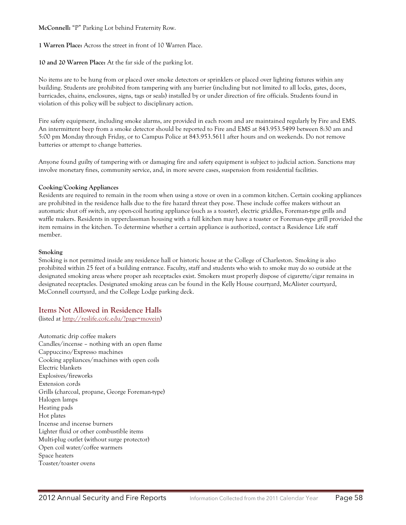**McConnell:** "P" Parking Lot behind Fraternity Row.

**1 Warren Place:** Across the street in front of 10 Warren Place.

**10 and 20 Warren Place:** At the far side of the parking lot.

No items are to be hung from or placed over smoke detectors or sprinklers or placed over lighting fixtures within any building. Students are prohibited from tampering with any barrier (including but not limited to all locks, gates, doors, barricades, chains, enclosures, signs, tags or seals) installed by or under direction of fire officials. Students found in violation of this policy will be subject to disciplinary action.

Fire safety equipment, including smoke alarms, are provided in each room and are maintained regularly by Fire and EMS. An intermittent beep from a smoke detector should be reported to Fire and EMS at 843.953.5499 between 8:30 am and 5:00 pm Monday through Friday, or to Campus Police at 843.953.5611 after hours and on weekends. Do not remove batteries or attempt to change batteries.

Anyone found guilty of tampering with or damaging fire and safety equipment is subject to judicial action. Sanctions may involve monetary fines, community service, and, in more severe cases, suspension from residential facilities.

#### **Cooking/Cooking Appliances**

Residents are required to remain in the room when using a stove or oven in a common kitchen. Certain cooking appliances are prohibited in the residence halls due to the fire hazard threat they pose. These include coffee makers without an automatic shut off switch, any open-coil heating appliance (such as a toaster), electric griddles, Foreman-type grills and waffle makers. Residents in upperclassman housing with a full kitchen may have a toaster or Foreman-type grill provided the item remains in the kitchen. To determine whether a certain appliance is authorized, contact a Residence Life staff member.

#### **Smoking**

Smoking is not permitted inside any residence hall or historic house at the College of Charleston. Smoking is also prohibited within 25 feet of a building entrance. Faculty, staff and students who wish to smoke may do so outside at the designated smoking areas where proper ash receptacles exist. Smokers must properly dispose of cigarette/cigar remains in designated receptacles. Designated smoking areas can be found in the Kelly House courtyard, McAlister courtyard, McConnell courtyard, and the College Lodge parking deck.

## **Items Not Allowed in Residence Halls**

(listed at [http://reslife.cofc.edu/?page=movein\)](http://reslife.cofc.edu/?page=movein)

Automatic drip coffee makers Candles/incense – nothing with an open flame Cappuccino/Expresso machines Cooking appliances/machines with open coils Electric blankets Explosives/fireworks Extension cords Grills (charcoal, propane, George Foreman-type) Halogen lamps Heating pads Hot plates Incense and incense burners Lighter fluid or other combustible items Multi-plug outlet (without surge protector) Open coil water/coffee warmers Space heaters Toaster/toaster ovens